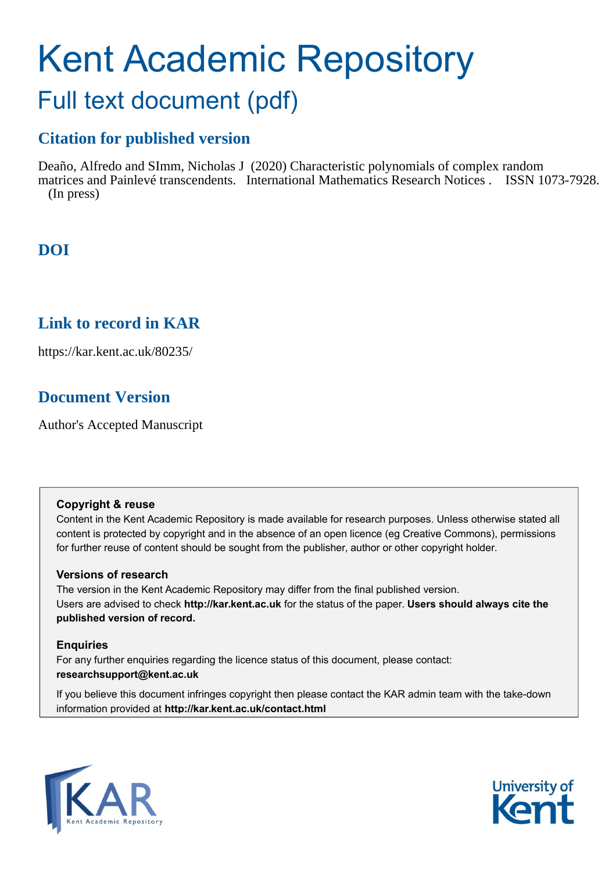# Kent Academic Repository

## Full text document (pdf)

### **Citation for published version**

Deaño, Alfredo and SImm, Nicholas J (2020) Characteristic polynomials of complex random matrices and Painlevé transcendents. International Mathematics Research Notices . ISSN 1073-7928. (In press)

## **DOI**

## **Link to record in KAR**

https://kar.kent.ac.uk/80235/

## **Document Version**

Author's Accepted Manuscript

#### **Copyright & reuse**

Content in the Kent Academic Repository is made available for research purposes. Unless otherwise stated all content is protected by copyright and in the absence of an open licence (eg Creative Commons), permissions for further reuse of content should be sought from the publisher, author or other copyright holder.

#### **Versions of research**

The version in the Kent Academic Repository may differ from the final published version. Users are advised to check **http://kar.kent.ac.uk** for the status of the paper. **Users should always cite the published version of record.**

#### **Enquiries**

For any further enquiries regarding the licence status of this document, please contact: **researchsupport@kent.ac.uk**

If you believe this document infringes copyright then please contact the KAR admin team with the take-down information provided at **http://kar.kent.ac.uk/contact.html**



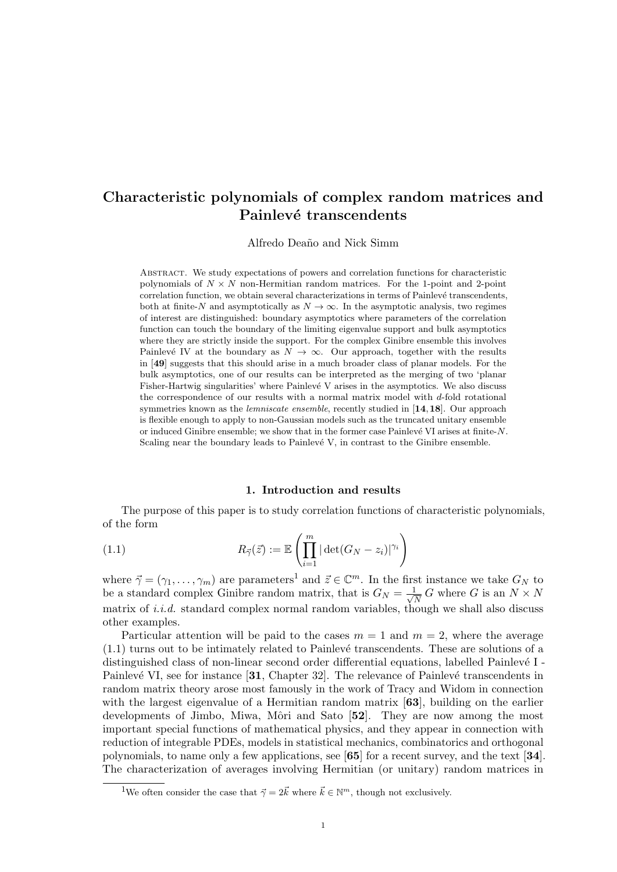#### Characteristic polynomials of complex random matrices and Painlevé transcendents

Alfredo Deaño and Nick Simm

Abstract. We study expectations of powers and correlation functions for characteristic polynomials of  $N \times N$  non-Hermitian random matrices. For the 1-point and 2-point correlation function, we obtain several characterizations in terms of Painlevé transcendents, both at finite-N and asymptotically as  $N \to \infty$ . In the asymptotic analysis, two regimes of interest are distinguished: boundary asymptotics where parameters of the correlation function can touch the boundary of the limiting eigenvalue support and bulk asymptotics where they are strictly inside the support. For the complex Ginibre ensemble this involves Painlevé IV at the boundary as  $N \to \infty$ . Our approach, together with the results in [49] suggests that this should arise in a much broader class of planar models. For the bulk asymptotics, one of our results can be interpreted as the merging of two 'planar Fisher-Hartwig singularities' where  $\text{Painlev\'e}$  V arises in the asymptotics. We also discuss the correspondence of our results with a normal matrix model with  $d$ -fold rotational symmetries known as the *lemniscate ensemble*, recently studied in  $[14, 18]$ . Our approach is flexible enough to apply to non-Gaussian models such as the truncated unitary ensemble or induced Ginibre ensemble; we show that in the former case Painlevé VI arises at finite- $N$ . Scaling near the boundary leads to Painlevé  $V$ , in contrast to the Ginibre ensemble.

#### 1. Introduction and results

The purpose of this paper is to study correlation functions of characteristic polynomials, of the form

(1.1) 
$$
R_{\vec{\gamma}}(\vec{z}) := \mathbb{E}\left(\prod_{i=1}^{m} |\det(G_N - z_i)|^{\gamma_i}\right)
$$

where  $\vec{\gamma} = (\gamma_1, \dots, \gamma_m)$  are parameters<sup>1</sup> and  $\vec{z} \in \mathbb{C}^m$ . In the first instance we take  $G_N$  to be a standard complex Ginibre random matrix, that is  $G_N = \frac{1}{\sqrt{N}}$  $\frac{1}{N} G$  where G is an  $N \times N$ matrix of *i.i.d.* standard complex normal random variables, though we shall also discuss other examples.

Particular attention will be paid to the cases  $m = 1$  and  $m = 2$ , where the average  $(1.1)$  turns out to be intimately related to Painlevé transcendents. These are solutions of a distinguished class of non-linear second order differential equations, labelled Painlevé I -Painlevé VI, see for instance  $[31,$  Chapter 32. The relevance of Painlevé transcendents in random matrix theory arose most famously in the work of Tracy and Widom in connection with the largest eigenvalue of a Hermitian random matrix [63], building on the earlier developments of Jimbo, Miwa, Môri and Sato [52]. They are now among the most important special functions of mathematical physics, and they appear in connection with reduction of integrable PDEs, models in statistical mechanics, combinatorics and orthogonal polynomials, to name only a few applications, see [65] for a recent survey, and the text [34]. The characterization of averages involving Hermitian (or unitary) random matrices in

<sup>&</sup>lt;sup>1</sup>We often consider the case that  $\vec{\gamma} = 2\vec{k}$  where  $\vec{k} \in \mathbb{N}^m$ , though not exclusively.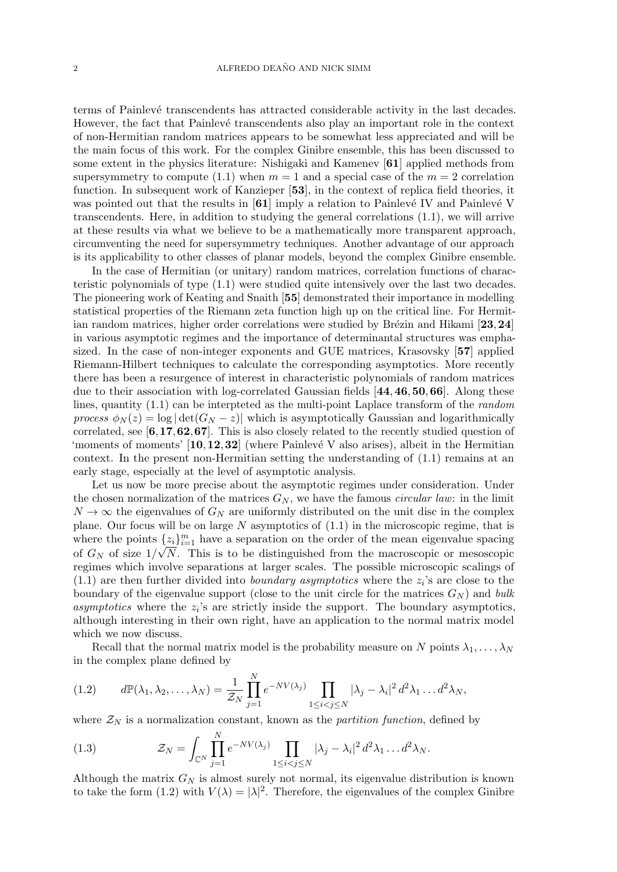terms of Painlev´e transcendents has attracted considerable activity in the last decades. However, the fact that Painlevé transcendents also play an important role in the context of non-Hermitian random matrices appears to be somewhat less appreciated and will be the main focus of this work. For the complex Ginibre ensemble, this has been discussed to some extent in the physics literature: Nishigaki and Kamenev [61] applied methods from supersymmetry to compute (1.1) when  $m = 1$  and a special case of the  $m = 2$  correlation function. In subsequent work of Kanzieper [53], in the context of replica field theories, it was pointed out that the results in  $[61]$  imply a relation to Painlevé IV and Painlevé V transcendents. Here, in addition to studying the general correlations (1.1), we will arrive at these results via what we believe to be a mathematically more transparent approach, circumventing the need for supersymmetry techniques. Another advantage of our approach is its applicability to other classes of planar models, beyond the complex Ginibre ensemble.

In the case of Hermitian (or unitary) random matrices, correlation functions of characteristic polynomials of type (1.1) were studied quite intensively over the last two decades. The pioneering work of Keating and Snaith [55] demonstrated their importance in modelling statistical properties of the Riemann zeta function high up on the critical line. For Hermitian random matrices, higher order correlations were studied by Brézin and Hikami  $[23,24]$ in various asymptotic regimes and the importance of determinantal structures was emphasized. In the case of non-integer exponents and GUE matrices, Krasovsky [57] applied Riemann-Hilbert techniques to calculate the corresponding asymptotics. More recently there has been a resurgence of interest in characteristic polynomials of random matrices due to their association with log-correlated Gaussian fields [44,46,50,66]. Along these lines, quantity (1.1) can be interpteted as the multi-point Laplace transform of the random process  $\phi_N(z) = \log |\det(G_N - z)|$  which is asymptotically Gaussian and logarithmically correlated, see [6,17,62,67]. This is also closely related to the recently studied question of 'moments of moments'  $[10, 12, 32]$  (where Painlevé V also arises), albeit in the Hermitian context. In the present non-Hermitian setting the understanding of (1.1) remains at an early stage, especially at the level of asymptotic analysis.

Let us now be more precise about the asymptotic regimes under consideration. Under the chosen normalization of the matrices  $G_N$ , we have the famous *circular law*: in the limit  $N \to \infty$  the eigenvalues of  $G_N$  are uniformly distributed on the unit disc in the complex plane. Our focus will be on large  $N$  asymptotics of  $(1.1)$  in the microscopic regime, that is where the points  $\{z_i\}_{i=1}^m$  have a separation on the order of the mean eigenvalue spacing of  $G_N$  of size  $1/\sqrt{N}$ . This is to be distinguished from the macroscopic or mesoscopic regimes which involve separations at larger scales. The possible microscopic scalings of  $(1.1)$  are then further divided into *boundary asymptotics* where the  $z_i$ 's are close to the boundary of the eigenvalue support (close to the unit circle for the matrices  $G_N$ ) and bulk asymptotics where the  $z_i$ 's are strictly inside the support. The boundary asymptotics, although interesting in their own right, have an application to the normal matrix model which we now discuss.

Recall that the normal matrix model is the probability measure on N points  $\lambda_1, \ldots, \lambda_N$ in the complex plane defined by

$$
(1.2) \t d\mathbb{P}(\lambda_1, \lambda_2, \dots, \lambda_N) = \frac{1}{\mathcal{Z}_N} \prod_{j=1}^N e^{-NV(\lambda_j)} \prod_{1 \leq i < j \leq N} |\lambda_j - \lambda_i|^2 d^2 \lambda_1 \dots d^2 \lambda_N,
$$

where  $\mathcal{Z}_N$  is a normalization constant, known as the *partition function*, defined by

(1.3) 
$$
\mathcal{Z}_N = \int_{\mathbb{C}^N} \prod_{j=1}^N e^{-NV(\lambda_j)} \prod_{1 \leq i < j \leq N} |\lambda_j - \lambda_i|^2 d^2 \lambda_1 \dots d^2 \lambda_N.
$$

Although the matrix  $G_N$  is almost surely not normal, its eigenvalue distribution is known to take the form (1.2) with  $V(\lambda) = |\lambda|^2$ . Therefore, the eigenvalues of the complex Ginibre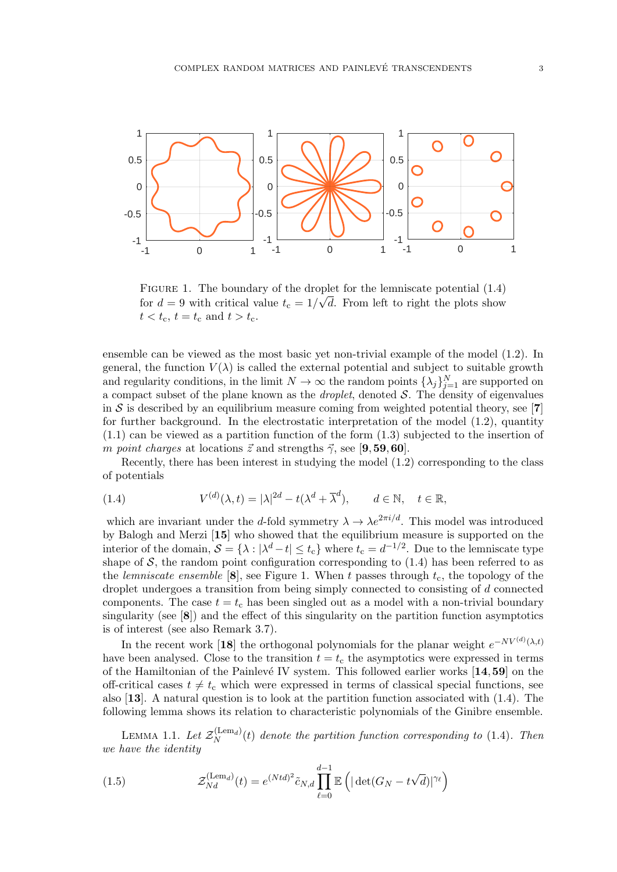

FIGURE 1. The boundary of the droplet for the lemniscate potential  $(1.4)$ for  $d = 9$  with critical value  $t_c = 1/\sqrt{d}$ . From left to right the plots show  $t < t_{\rm c}, t = t_{\rm c} \text{ and } t > t_{\rm c}.$ 

ensemble can be viewed as the most basic yet non-trivial example of the model (1.2). In general, the function  $V(\lambda)$  is called the external potential and subject to suitable growth and regularity conditions, in the limit  $N \to \infty$  the random points  $\{\lambda_j\}_{j=1}^N$  are supported on a compact subset of the plane known as the *droplet*, denoted  $S$ . The density of eigenvalues in S is described by an equilibrium measure coming from weighted potential theory, see [7] for further background. In the electrostatic interpretation of the model  $(1.2)$ , quantity (1.1) can be viewed as a partition function of the form (1.3) subjected to the insertion of m point charges at locations  $\vec{z}$  and strengths  $\vec{\gamma}$ , see [9,59,60].

Recently, there has been interest in studying the model (1.2) corresponding to the class of potentials

(1.4) 
$$
V^{(d)}(\lambda, t) = |\lambda|^{2d} - t(\lambda^d + \overline{\lambda}^d), \qquad d \in \mathbb{N}, \quad t \in \mathbb{R},
$$

which are invariant under the d-fold symmetry  $\lambda \to \lambda e^{2\pi i/d}$ . This model was introduced by Balogh and Merzi [15] who showed that the equilibrium measure is supported on the interior of the domain,  $S = \{\lambda : |\lambda^d - t| \le t_c\}$  where  $t_c = d^{-1/2}$ . Due to the lemniscate type shape of  $S$ , the random point configuration corresponding to  $(1.4)$  has been referred to as the lemniscate ensemble  $[8]$ , see Figure 1. When t passes through  $t_c$ , the topology of the droplet undergoes a transition from being simply connected to consisting of d connected components. The case  $t = t_c$  has been singled out as a model with a non-trivial boundary singularity (see  $[8]$ ) and the effect of this singularity on the partition function asymptotics is of interest (see also Remark 3.7).

In the recent work [18] the orthogonal polynomials for the planar weight  $e^{-NV^{(d)}(\lambda,t)}$ have been analysed. Close to the transition  $t = t<sub>c</sub>$  the asymptotics were expressed in terms of the Hamiltonian of the Painlevé IV system. This followed earlier works  $[14,59]$  on the off-critical cases  $t \neq t_c$  which were expressed in terms of classical special functions, see also [13]. A natural question is to look at the partition function associated with (1.4). The following lemma shows its relation to characteristic polynomials of the Ginibre ensemble.

LEMMA 1.1. Let  $\mathcal{Z}_N^{(\mathrm{Lem}_d)}$  $N<sub>N</sub>(temd)$  denote the partition function corresponding to (1.4). Then we have the identity

(1.5) 
$$
\mathcal{Z}_{Nd}^{(\text{Lem}_d)}(t) = e^{(Ntd)^2} \tilde{c}_{N,d} \prod_{\ell=0}^{d-1} \mathbb{E}\left( |\det(G_N - t\sqrt{d})|^{\gamma_{\ell}} \right)
$$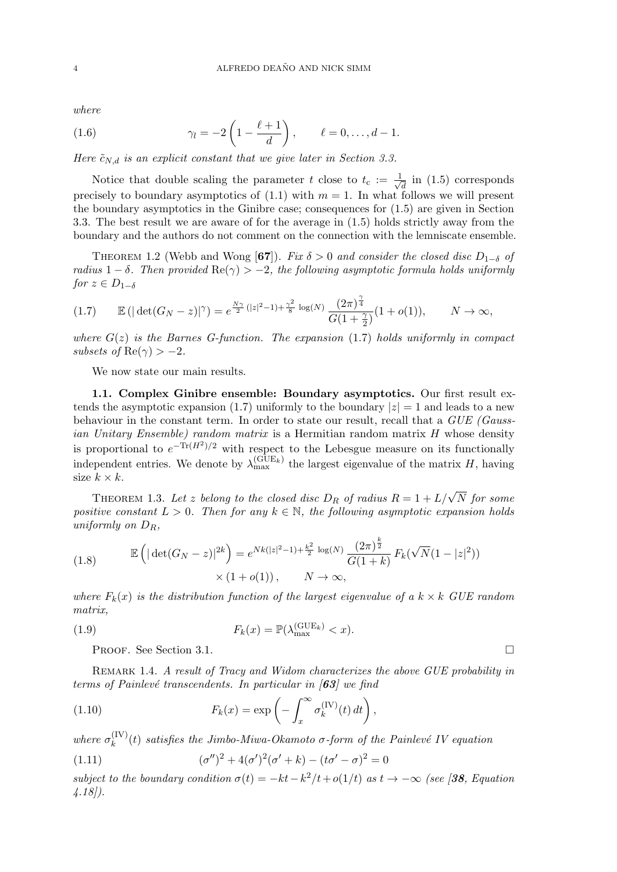where

(1.6) 
$$
\gamma_l = -2\left(1 - \frac{\ell+1}{d}\right), \qquad \ell = 0, \ldots, d-1.
$$

Here  $\tilde{c}_{N,d}$  is an explicit constant that we give later in Section 3.3.

Notice that double scaling the parameter t close to  $t_c := \frac{1}{\sqrt{2}}$  $\frac{1}{d}$  in (1.5) corresponds precisely to boundary asymptotics of  $(1.1)$  with  $m = 1$ . In what follows we will present the boundary asymptotics in the Ginibre case; consequences for (1.5) are given in Section 3.3. The best result we are aware of for the average in (1.5) holds strictly away from the boundary and the authors do not comment on the connection with the lemniscate ensemble.

THEOREM 1.2 (Webb and Wong [67]). Fix  $\delta > 0$  and consider the closed disc  $D_{1-\delta}$  of radius 1 – δ. Then provided  $\text{Re}(\gamma) > -2$ , the following asymptotic formula holds uniformly for  $z \in D_{1-\delta}$ 

$$
(1.7) \qquad \mathbb{E}\left(\left|\det(G_N - z)\right|^{\gamma}\right) = e^{\frac{N\gamma}{2}\left(|z|^2 - 1\right) + \frac{\gamma^2}{8}\log(N)} \frac{(2\pi)^{\frac{\gamma}{4}}}{G(1 + \frac{\gamma}{2})} (1 + o(1)), \qquad N \to \infty,
$$

where  $G(z)$  is the Barnes G-function. The expansion (1.7) holds uniformly in compact subsets of  $\text{Re}(\gamma) > -2$ .

We now state our main results.

1.1. Complex Ginibre ensemble: Boundary asymptotics. Our first result extends the asymptotic expansion (1.7) uniformly to the boundary  $|z|=1$  and leads to a new behaviour in the constant term. In order to state our result, recall that a GUE (Gaussian Unitary Ensemble) random matrix is a Hermitian random matrix H whose density is proportional to  $e^{-\text{Tr}(H^2)/2}$  with respect to the Lebesgue measure on its functionally independent entries. We denote by  $\lambda_{\max}^{(\text{GUE}_k)}$  the largest eigenvalue of the matrix H, having size  $k \times k$ .

THEOREM 1.3. Let z belong to the closed disc  $D_R$  of radius  $R = 1 + L/\sqrt{N}$  for some positive constant  $L > 0$ . Then for any  $k \in \mathbb{N}$ , the following asymptotic expansion holds uniformly on  $D_R$ ,

(1.8) 
$$
\mathbb{E}\left(|\det(G_N - z)|^{2k}\right) = e^{Nk(|z|^2 - 1) + \frac{k^2}{2}\log(N)} \frac{(2\pi)^{\frac{k}{2}}}{G(1+k)} F_k(\sqrt{N}(1-|z|^2)) \times (1+o(1)), \qquad N \to \infty,
$$

where  $F_k(x)$  is the distribution function of the largest eigenvalue of a  $k \times k$  GUE random matrix,

(1.9) 
$$
F_k(x) = \mathbb{P}(\lambda_{\max}^{(\text{GUE}_k)} < x).
$$

PROOF. See Section 3.1.

REMARK 1.4. A result of Tracy and Widom characterizes the above GUE probability in terms of Painlevé transcendents. In particular in  $\vert 63 \vert$  we find

(1.10) 
$$
F_k(x) = \exp\left(-\int_x^{\infty} \sigma_k^{(IV)}(t) dt\right),
$$

where  $\sigma_k^{\text{(IV)}}$  $\binom{f^{(1)}(t)}{k}$  satisfies the Jimbo-Miwa-Okamoto  $\sigma$ -form of the Painlevé IV equation

(1.11) 
$$
(\sigma'')^2 + 4(\sigma')^2(\sigma' + k) - (t\sigma' - \sigma)^2 = 0
$$

subject to the boundary condition  $\sigma(t) = -kt - k^2/t + o(1/t)$  as  $t \to -\infty$  (see [38, Equation 4.18]).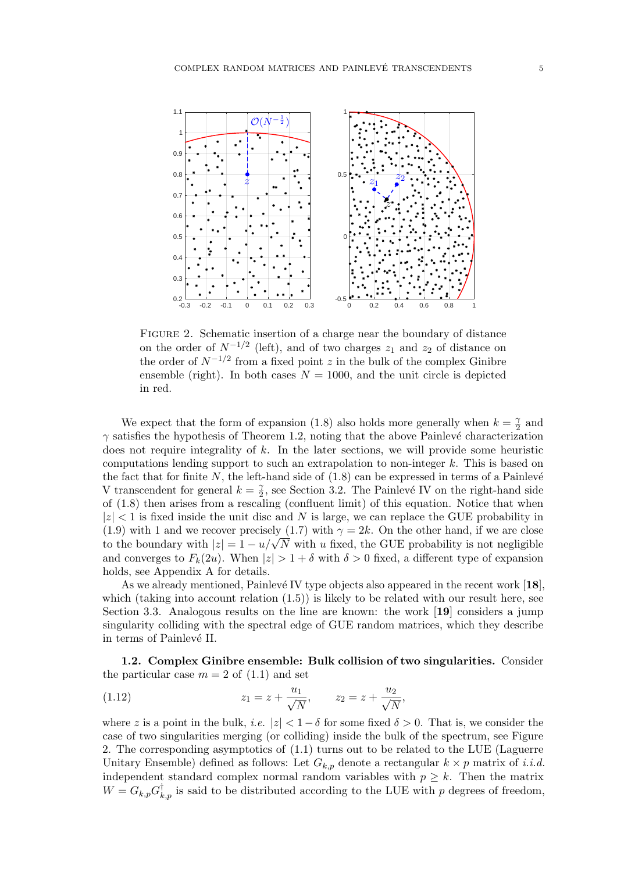

FIGURE 2. Schematic insertion of a charge near the boundary of distance on the order of  $N^{-1/2}$  (left), and of two charges  $z_1$  and  $z_2$  of distance on the order of  $N^{-1/2}$  from a fixed point z in the bulk of the complex Ginibre ensemble (right). In both cases  $N = 1000$ , and the unit circle is depicted in red.

We expect that the form of expansion (1.8) also holds more generally when  $k = \frac{\gamma}{2}$  $rac{\gamma}{2}$  and  $\gamma$  satisfies the hypothesis of Theorem 1.2, noting that the above Painlevé characterization does not require integrality of  $k$ . In the later sections, we will provide some heuristic computations lending support to such an extrapolation to non-integer  $k$ . This is based on the fact that for finite  $N$ , the left-hand side of  $(1.8)$  can be expressed in terms of a Painlevé V transcendent for general  $k=\frac{\gamma}{2}$  $\frac{\gamma}{2}$ , see Section 3.2. The Painlevé IV on the right-hand side of (1.8) then arises from a rescaling (confluent limit) of this equation. Notice that when  $|z| < 1$  is fixed inside the unit disc and N is large, we can replace the GUE probability in (1.9) with 1 and we recover precisely (1.7) with  $\gamma = 2k$ . On the other hand, if we are close (1.9) with 1 and we recover precisely (1.7) with  $\gamma = 2\kappa$ . On the other hand, if we are close<br>to the boundary with  $|z| = 1 - u/\sqrt{N}$  with u fixed, the GUE probability is not negligible and converges to  $F_k(2u)$ . When  $|z| > 1 + \delta$  with  $\delta > 0$  fixed, a different type of expansion holds, see Appendix A for details.

As we already mentioned, Painlevé IV type objects also appeared in the recent work  $[18]$ , which (taking into account relation  $(1.5)$ ) is likely to be related with our result here, see Section 3.3. Analogous results on the line are known: the work [19] considers a jump singularity colliding with the spectral edge of GUE random matrices, which they describe in terms of Painlevé II.

1.2. Complex Ginibre ensemble: Bulk collision of two singularities. Consider the particular case  $m = 2$  of  $(1.1)$  and set

(1.12) 
$$
z_1 = z + \frac{u_1}{\sqrt{N}}, \qquad z_2 = z + \frac{u_2}{\sqrt{N}},
$$

where z is a point in the bulk, i.e.  $|z| < 1-\delta$  for some fixed  $\delta > 0$ . That is, we consider the case of two singularities merging (or colliding) inside the bulk of the spectrum, see Figure 2. The corresponding asymptotics of (1.1) turns out to be related to the LUE (Laguerre Unitary Ensemble) defined as follows: Let  $G_{k,p}$  denote a rectangular  $k \times p$  matrix of *i.i.d.* independent standard complex normal random variables with  $p \geq k$ . Then the matrix  $W = G_{k,p} G_{k,p}^{\dagger}$  is said to be distributed according to the LUE with p degrees of freedom,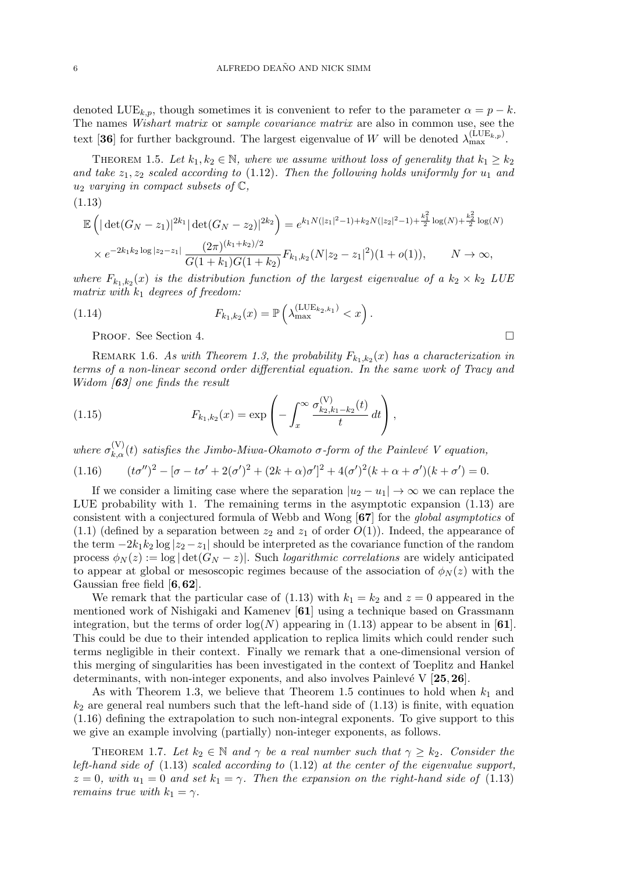denoted LUE<sub>k,p</sub>, though sometimes it is convenient to refer to the parameter  $\alpha = p - k$ . The names Wishart matrix or sample covariance matrix are also in common use, see the text [36] for further background. The largest eigenvalue of W will be denoted  $\lambda_{\max}^{(\text{LUE}_{k,p})}$ .

THEOREM 1.5. Let  $k_1, k_2 \in \mathbb{N}$ , where we assume without loss of generality that  $k_1 \geq k_2$ and take  $z_1, z_2$  scaled according to (1.12). Then the following holds uniformly for  $u_1$  and  $u_2$  varying in compact subsets of  $\mathbb{C}$ ,

$$
(1.13)
$$

$$
\mathbb{E}\left(|\det(G_N - z_1)|^{2k_1} |\det(G_N - z_2)|^{2k_2}\right) = e^{k_1 N(|z_1|^2 - 1) + k_2 N(|z_2|^2 - 1) + \frac{k_1^2}{2}\log(N) + \frac{k_2^2}{2}\log(N)}
$$
  
 
$$
\times e^{-2k_1 k_2 \log|z_2 - z_1|} \frac{(2\pi)^{(k_1 + k_2)/2}}{G(1 + k_1)G(1 + k_2)} F_{k_1, k_2}(N|z_2 - z_1|^2)(1 + o(1)), \qquad N \to \infty,
$$

where  $F_{k_1,k_2}(x)$  is the distribution function of the largest eigenvalue of a  $k_2 \times k_2$  LUE matrix with  $k_1$  degrees of freedom:

(1.14) 
$$
F_{k_1,k_2}(x) = \mathbb{P}\left(\lambda_{\max}^{(\text{LUE}_{k_2,k_1})} < x\right).
$$

Proof. See Section 4.

REMARK 1.6. As with Theorem 1.3, the probability  $F_{k_1,k_2}(x)$  has a characterization in terms of a non-linear second order differential equation. In the same work of Tracy and Widom [63] one finds the result

(1.15) 
$$
F_{k_1,k_2}(x) = \exp\left(-\int_x^\infty \frac{\sigma_{k_2,k_1-k_2}^{(V)}(t)}{t} dt\right),
$$

where  $\sigma_{k,\alpha}^{(V)}(t)$  satisfies the Jimbo-Miwa-Okamoto  $\sigma$ -form of the Painlevé V equation,

(1.16) 
$$
(t\sigma'')^{2} - [\sigma - t\sigma' + 2(\sigma')^{2} + (2k + \alpha)\sigma']^{2} + 4(\sigma')^{2}(k + \alpha + \sigma')(k + \sigma') = 0.
$$

If we consider a limiting case where the separation  $|u_2 - u_1| \to \infty$  we can replace the LUE probability with 1. The remaining terms in the asymptotic expansion (1.13) are consistent with a conjectured formula of Webb and Wong [67] for the global asymptotics of  $(1.1)$  (defined by a separation between  $z_2$  and  $z_1$  of order  $O(1)$ ). Indeed, the appearance of the term  $-2k_1k_2 \log |z_2 - z_1|$  should be interpreted as the covariance function of the random process  $\phi_N(z) := \log |\det(G_N - z)|$ . Such *logarithmic correlations* are widely anticipated to appear at global or mesoscopic regimes because of the association of  $\phi_N(z)$  with the Gaussian free field  $[6,62]$ .

We remark that the particular case of  $(1.13)$  with  $k_1 = k_2$  and  $z = 0$  appeared in the mentioned work of Nishigaki and Kamenev [61] using a technique based on Grassmann integration, but the terms of order  $log(N)$  appearing in (1.13) appear to be absent in [61]. This could be due to their intended application to replica limits which could render such terms negligible in their context. Finally we remark that a one-dimensional version of this merging of singularities has been investigated in the context of Toeplitz and Hankel determinants, with non-integer exponents, and also involves Painlevé V  $[25,26]$ .

As with Theorem 1.3, we believe that Theorem 1.5 continues to hold when  $k_1$  and  $k_2$  are general real numbers such that the left-hand side of  $(1.13)$  is finite, with equation (1.16) defining the extrapolation to such non-integral exponents. To give support to this we give an example involving (partially) non-integer exponents, as follows.

THEOREM 1.7. Let  $k_2 \in \mathbb{N}$  and  $\gamma$  be a real number such that  $\gamma \geq k_2$ . Consider the left-hand side of (1.13) scaled according to (1.12) at the center of the eigenvalue support,  $z = 0$ , with  $u_1 = 0$  and set  $k_1 = \gamma$ . Then the expansion on the right-hand side of (1.13) *remains true with*  $k_1 = \gamma$ .

$$
\overline{\Box}
$$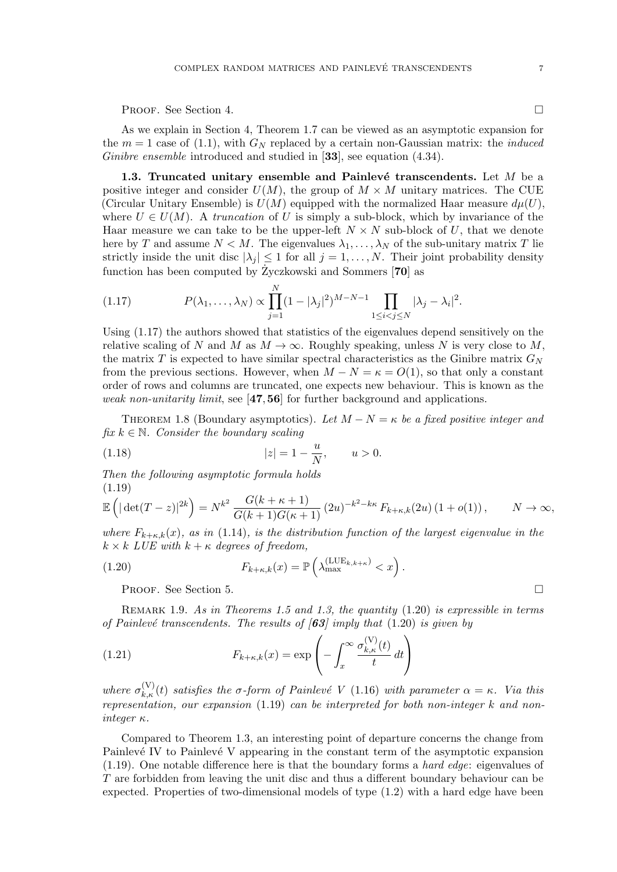Proof. See Section 4.

As we explain in Section 4, Theorem 1.7 can be viewed as an asymptotic expansion for the  $m = 1$  case of (1.1), with  $G_N$  replaced by a certain non-Gaussian matrix: the *induced* Ginibre ensemble introduced and studied in [33], see equation (4.34).

1.3. Truncated unitary ensemble and Painlevé transcendents. Let  $M$  be a positive integer and consider  $U(M)$ , the group of  $M \times M$  unitary matrices. The CUE (Circular Unitary Ensemble) is  $U(M)$  equipped with the normalized Haar measure  $d\mu(U)$ , where  $U \in U(M)$ . A truncation of U is simply a sub-block, which by invariance of the Haar measure we can take to be the upper-left  $N \times N$  sub-block of U, that we denote here by T and assume  $N < M$ . The eigenvalues  $\lambda_1, \ldots, \lambda_N$  of the sub-unitary matrix T lie strictly inside the unit disc  $|\lambda_j| \leq 1$  for all  $j = 1, ..., N$ . Their joint probability density function has been computed by  $\dot{Z}$ yczkowski and Sommers [70] as

(1.17) 
$$
P(\lambda_1, ..., \lambda_N) \propto \prod_{j=1}^N (1 - |\lambda_j|^2)^{M - N - 1} \prod_{1 \leq i < j \leq N} |\lambda_j - \lambda_i|^2.
$$

Using (1.17) the authors showed that statistics of the eigenvalues depend sensitively on the relative scaling of N and M as  $M \to \infty$ . Roughly speaking, unless N is very close to M, the matrix T is expected to have similar spectral characteristics as the Ginibre matrix  $G_N$ from the previous sections. However, when  $M - N = \kappa = O(1)$ , so that only a constant order of rows and columns are truncated, one expects new behaviour. This is known as the weak non-unitarity limit, see [47,56] for further background and applications.

THEOREM 1.8 (Boundary asymptotics). Let  $M - N = \kappa$  be a fixed positive integer and fix  $k \in \mathbb{N}$ . Consider the boundary scaling

(1.18) 
$$
|z| = 1 - \frac{u}{N}, \qquad u > 0.
$$

Then the following asymptotic formula holds (1.19)

$$
\mathbb{E}\left(|\det(T-z)|^{2k}\right) = N^{k^2} \frac{G(k+\kappa+1)}{G(k+1)G(\kappa+1)} (2u)^{-k^2 - k\kappa} F_{k+\kappa,k}(2u) (1+o(1)), \qquad N \to \infty,
$$

where  $F_{k+\kappa,k}(x)$ , as in (1.14), is the distribution function of the largest eigenvalue in the  $k \times k$  LUE with  $k + \kappa$  degrees of freedom,

(1.20) 
$$
F_{k+\kappa,k}(x) = \mathbb{P}\left(\lambda_{\max}^{(\text{LUE}_{k,k+\kappa})} < x\right).
$$

PROOF. See Section 5.

REMARK 1.9. As in Theorems 1.5 and 1.3, the quantity  $(1.20)$  is expressible in terms of Painlevé transcendents. The results of  $\vert 63 \vert$  imply that (1.20) is given by

(1.21) 
$$
F_{k+\kappa,k}(x) = \exp\left(-\int_x^\infty \frac{\sigma_{k,\kappa}^{(V)}(t)}{t} dt\right)
$$

where  $\sigma_{k,\kappa}^{(V)}(t)$  satisfies the  $\sigma$ -form of Painlevé V (1.16) with parameter  $\alpha = \kappa$ . Via this representation, our expansion (1.19) can be interpreted for both non-integer k and noninteger κ.

Compared to Theorem 1.3, an interesting point of departure concerns the change from Painlevé IV to Painlevé V appearing in the constant term of the asymptotic expansion (1.19). One notable difference here is that the boundary forms a hard edge: eigenvalues of T are forbidden from leaving the unit disc and thus a different boundary behaviour can be expected. Properties of two-dimensional models of type (1.2) with a hard edge have been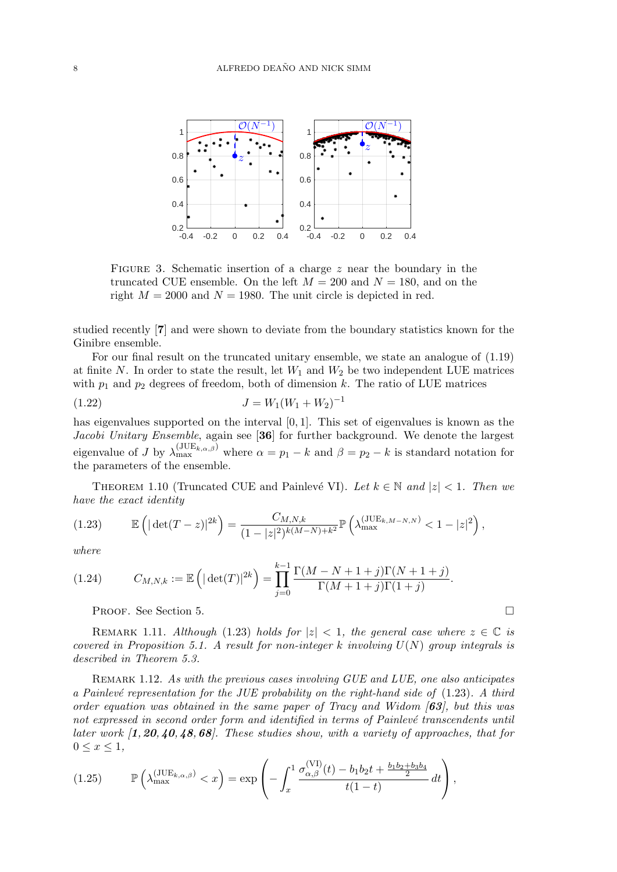

FIGURE 3. Schematic insertion of a charge  $z$  near the boundary in the truncated CUE ensemble. On the left  $M = 200$  and  $N = 180$ , and on the right  $M = 2000$  and  $N = 1980$ . The unit circle is depicted in red.

studied recently [7] and were shown to deviate from the boundary statistics known for the Ginibre ensemble.

For our final result on the truncated unitary ensemble, we state an analogue of (1.19) at finite N. In order to state the result, let  $W_1$  and  $W_2$  be two independent LUE matrices with  $p_1$  and  $p_2$  degrees of freedom, both of dimension k. The ratio of LUE matrices

$$
(1.22) \t\t J = W_1(W_1 + W_2)^{-1}
$$

has eigenvalues supported on the interval  $[0, 1]$ . This set of eigenvalues is known as the Jacobi Unitary Ensemble, again see [36] for further background. We denote the largest eigenvalue of J by  $\lambda_{\max}^{(JUE_{k,\alpha,\beta})}$  where  $\alpha = p_1 - k$  and  $\beta = p_2 - k$  is standard notation for the parameters of the ensemble.

THEOREM 1.10 (Truncated CUE and Painlevé VI). Let  $k \in \mathbb{N}$  and  $|z| < 1$ . Then we have the exact identity

$$
(1.23) \qquad \mathbb{E}\left(|\det(T-z)|^{2k}\right) = \frac{C_{M,N,k}}{(1-|z|^2)^{k(M-N)+k^2}} \mathbb{P}\left(\lambda_{\max}^{(\text{JUE}_{k,M-N,N})} < 1-|z|^2\right),
$$

where

(1.24) 
$$
C_{M,N,k} := \mathbb{E}\left(|\det(T)|^{2k}\right) = \prod_{j=0}^{k-1} \frac{\Gamma(M-N+1+j)\Gamma(N+1+j)}{\Gamma(M+1+j)\Gamma(1+j)}.
$$

Proof. See Section 5.

REMARK 1.11. Although (1.23) holds for  $|z| < 1$ , the general case where  $z \in \mathbb{C}$  is covered in Proposition 5.1. A result for non-integer k involving  $U(N)$  group integrals is described in Theorem 5.3.

REMARK 1.12. As with the previous cases involving GUE and LUE, one also anticipates a Painlevé representation for the JUE probability on the right-hand side of  $(1.23)$ . A third order equation was obtained in the same paper of Tracy and Widom  $[63]$ , but this was not expressed in second order form and identified in terms of Painlevé transcendents until later work  $\left[1,20,40,48,68\right]$ . These studies show, with a variety of approaches, that for  $0 \leq x \leq 1$ ,

$$
(1.25) \qquad \mathbb{P}\left(\lambda_{\max}^{(JUE_{k,\alpha,\beta})} < x\right) = \exp\left(-\int_x^1 \frac{\sigma_{\alpha,\beta}^{(VI)}(t) - b_1b_2t + \frac{b_1b_2 + b_3b_4}{2}}{t(1-t)}\,dt\right),
$$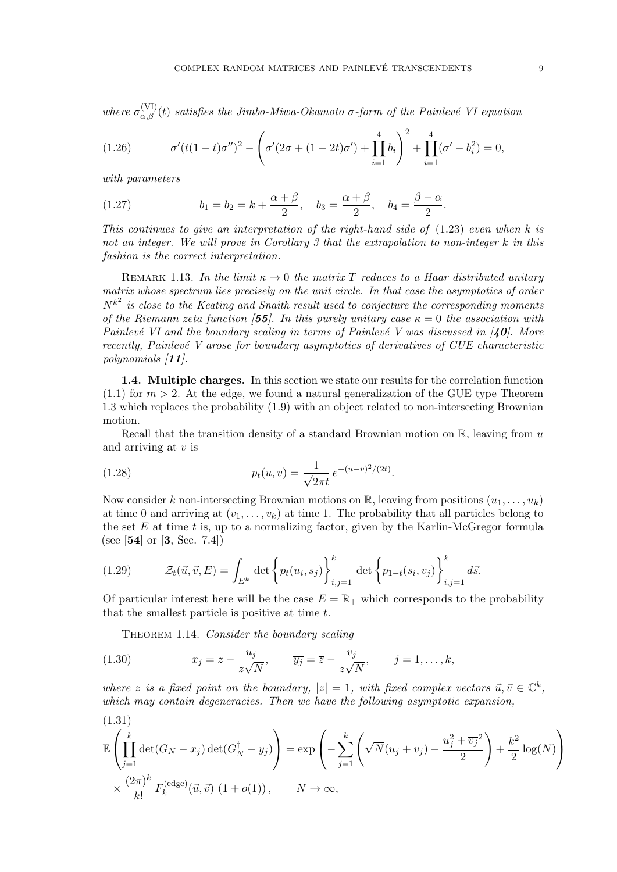where  $\sigma_{\alpha,\beta}^{(VI)}(t)$  satisfies the Jimbo-Miwa-Okamoto  $\sigma$ -form of the Painlevé VI equation

(1.26) 
$$
\sigma'(t(1-t)\sigma'')^2 - \left(\sigma'(2\sigma + (1-2t)\sigma') + \prod_{i=1}^4 b_i\right)^2 + \prod_{i=1}^4 (\sigma' - b_i^2) = 0,
$$

with parameters

(1.27) 
$$
b_1 = b_2 = k + \frac{\alpha + \beta}{2}, \quad b_3 = \frac{\alpha + \beta}{2}, \quad b_4 = \frac{\beta - \alpha}{2}.
$$

This continues to give an interpretation of the right-hand side of  $(1.23)$  even when k is not an integer. We will prove in Corollary 3 that the extrapolation to non-integer k in this fashion is the correct interpretation.

REMARK 1.13. In the limit  $\kappa \to 0$  the matrix T reduces to a Haar distributed unitary matrix whose spectrum lies precisely on the unit circle. In that case the asymptotics of order  $N^{k^2}$  is close to the Keating and Snaith result used to conjecture the corresponding moments of the Riemann zeta function [55]. In this purely unitary case  $\kappa = 0$  the association with Painlevé VI and the boundary scaling in terms of Painlevé V was discussed in  $\mathcal{I}$ 0. More recently, Painlevé V arose for boundary asymptotics of derivatives of  $CUE$  characteristic polynomials [11].

1.4. Multiple charges. In this section we state our results for the correlation function  $(1.1)$  for  $m > 2$ . At the edge, we found a natural generalization of the GUE type Theorem 1.3 which replaces the probability (1.9) with an object related to non-intersecting Brownian motion.

Recall that the transition density of a standard Brownian motion on  $\mathbb{R}$ , leaving from u and arriving at  $v$  is

(1.28) 
$$
p_t(u,v) = \frac{1}{\sqrt{2\pi t}} e^{-(u-v)^2/(2t)}.
$$

Now consider k non-intersecting Brownian motions on  $\mathbb{R}$ , leaving from positions  $(u_1, \ldots, u_k)$ at time 0 and arriving at  $(v_1, \ldots, v_k)$  at time 1. The probability that all particles belong to the set  $E$  at time  $t$  is, up to a normalizing factor, given by the Karlin-McGregor formula (see [54] or [3, Sec. 7.4])

(1.29) 
$$
\mathcal{Z}_{t}(\vec{u}, \vec{v}, E) = \int_{E^{k}} \det \left\{ p_{t}(u_{i}, s_{j}) \right\}_{i, j=1}^{k} \det \left\{ p_{1-t}(s_{i}, v_{j}) \right\}_{i, j=1}^{k} d\vec{s}.
$$

Of particular interest here will be the case  $E = \mathbb{R}_+$  which corresponds to the probability that the smallest particle is positive at time  $t$ .

THEOREM 1.14. Consider the boundary scaling

(1.30) 
$$
x_j = z - \frac{u_j}{\overline{z}\sqrt{N}}, \qquad \overline{y_j} = \overline{z} - \frac{\overline{v_j}}{z\sqrt{N}}, \qquad j = 1, \dots, k,
$$

where z is a fixed point on the boundary,  $|z|=1$ , with fixed complex vectors  $\vec{u}, \vec{v} \in \mathbb{C}^k$ , which may contain degeneracies. Then we have the following asymptotic expansion,

(1.31)  
\n
$$
\mathbb{E}\left(\prod_{j=1}^{k}\det(G_N - x_j)\det(G_N^{\dagger} - \overline{y_j})\right) = \exp\left(-\sum_{j=1}^{k}\left(\sqrt{N}(u_j + \overline{v_j}) - \frac{u_j^2 + \overline{v_j}^2}{2}\right) + \frac{k^2}{2}\log(N)\right)
$$
\n
$$
\times \frac{(2\pi)^k}{k!} F_k^{(\text{edge})}(\vec{u}, \vec{v}) (1 + o(1)), \qquad N \to \infty,
$$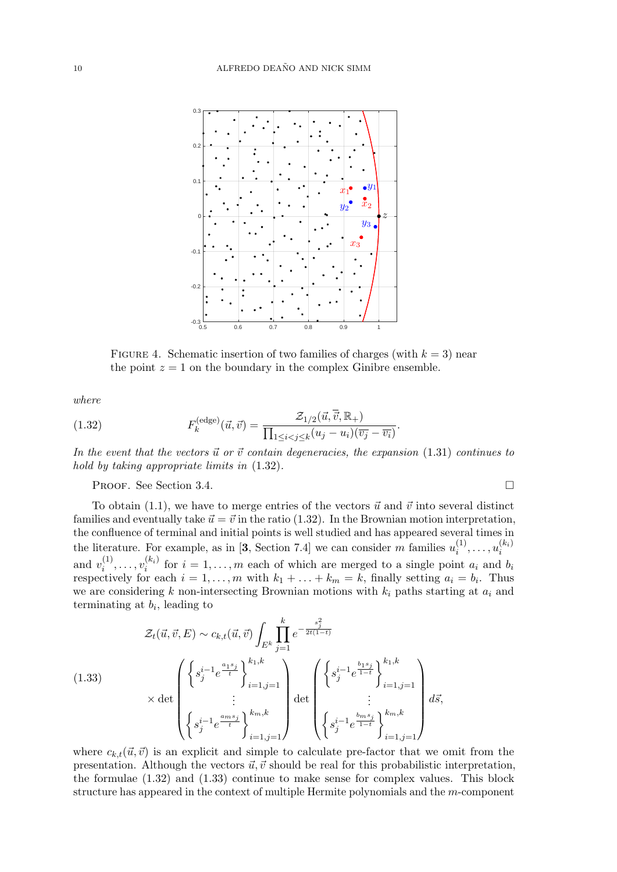

FIGURE 4. Schematic insertion of two families of charges (with  $k = 3$ ) near the point  $z = 1$  on the boundary in the complex Ginibre ensemble.

where

(1.32) 
$$
F_k^{(\text{edge})}(\vec{u}, \vec{v}) = \frac{\mathcal{Z}_{1/2}(\vec{u}, \overline{\vec{v}}, \mathbb{R}_+)}{\prod_{1 \leq i < j \leq k} (u_j - u_i)(\overline{v_j} - \overline{v_i})}.
$$

In the event that the vectors  $\vec{u}$  or  $\vec{v}$  contain degeneracies, the expansion (1.31) continues to hold by taking appropriate limits in (1.32).

#### PROOF. See Section 3.4.

To obtain (1.1), we have to merge entries of the vectors 
$$
\vec{u}
$$
 and  $\vec{v}$  into several distinct  
families and eventually take  $\vec{u} = \vec{v}$  in the ratio (1.32). In the Brownian motion interpretation,  
the confluence of terminal and initial points is well studied and has appeared several times in  
the literature. For example, as in [3, Section 7.4] we can consider m families  $u_i^{(1)}, \ldots, u_i^{(k_i)}$   
and  $v_i^{(1)}, \ldots, v_i^{(k_i)}$  for  $i = 1, \ldots, m$  each of which are merged to a single point  $a_i$  and  $b_i$   
respectively for each  $i = 1, \ldots, m$  with  $k_1 + \ldots + k_m = k$ , finally setting  $a_i = b_i$ . Thus  
we are considering k non-intersecting Brownian motions with  $k_i$  paths starting at  $a_i$  and  
terminating at  $b_i$ , leading to

(1.33)  

$$
\mathcal{Z}_{t}(\vec{u}, \vec{v}, E) \sim c_{k,t}(\vec{u}, \vec{v}) \int_{E^{k}} \prod_{j=1}^{k} e^{-\frac{s_{j}^{2}}{2t(1-t)}}
$$

$$
\times \det \begin{pmatrix} \left\{ s_{j}^{i-1} e^{\frac{a_{1}s_{j}}{t}} \right\}_{i=1, j=1}^{k_{1}, k} \\ \vdots \\ \left\{ s_{j}^{i-1} e^{\frac{a_{m}s_{j}}{t}} \right\}_{i=1, j=1}^{k_{m}, k} \end{pmatrix} \det \begin{pmatrix} \left\{ s_{j}^{i-1} e^{\frac{b_{1}s_{j}}{1-t}} \right\}_{i=1, j=1}^{k_{1}, k} \\ \vdots \\ \left\{ s_{j}^{i-1} e^{\frac{b_{m}s_{j}}{1-t}} \right\}_{i=1, j=1}^{k_{m}, k} \end{pmatrix} d\vec{s},
$$

where  $c_{k,t}(\vec{u}, \vec{v})$  is an explicit and simple to calculate pre-factor that we omit from the presentation. Although the vectors  $\vec{u}, \vec{v}$  should be real for this probabilistic interpretation, the formulae (1.32) and (1.33) continue to make sense for complex values. This block structure has appeared in the context of multiple Hermite polynomials and the m-component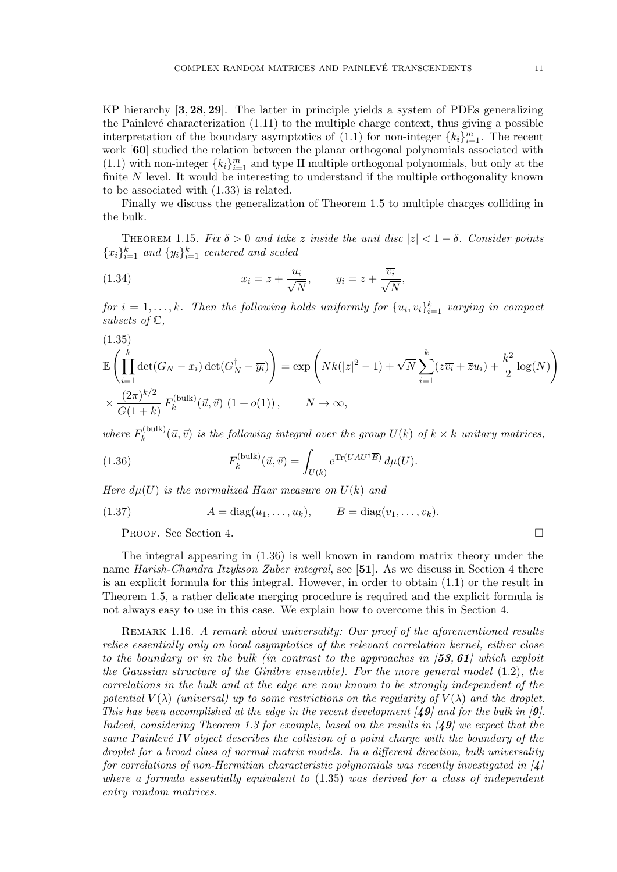KP hierarchy [3, 28, 29]. The latter in principle yields a system of PDEs generalizing the Painlevé characterization  $(1.11)$  to the multiple charge context, thus giving a possible interpretation of the boundary asymptotics of  $(1.1)$  for non-integer  ${k_i}_{i=1}^m$ . The recent work [60] studied the relation between the planar orthogonal polynomials associated with (1.1) with non-integer  ${k_i}_{i=1}^m$  and type II multiple orthogonal polynomials, but only at the finite  $N$  level. It would be interesting to understand if the multiple orthogonality known to be associated with (1.33) is related.

Finally we discuss the generalization of Theorem 1.5 to multiple charges colliding in the bulk.

THEOREM 1.15. Fix  $\delta > 0$  and take z inside the unit disc  $|z| < 1 - \delta$ . Consider points  ${x_i}_{i=1}^k$  and  ${y_i}_{i=1}^k$  centered and scaled

(1.34) 
$$
x_i = z + \frac{u_i}{\sqrt{N}}, \qquad \overline{y_i} = \overline{z} + \frac{\overline{v_i}}{\sqrt{N}},
$$

for  $i = 1, ..., k$ . Then the following holds uniformly for  $\{u_i, v_i\}_{i=1}^k$  varying in compact subsets of  $\mathbb{C},$ 

$$
(1.35)
$$
  
\n
$$
\mathbb{E}\left(\prod_{i=1}^{k} \det(G_N - x_i) \det(G_N^{\dagger} - \overline{y_i})\right) = \exp\left(Nk(|z|^2 - 1) + \sqrt{N} \sum_{i=1}^{k} (z\overline{v_i} + \overline{z}u_i) + \frac{k^2}{2} \log(N)\right)
$$
  
\n
$$
\times \frac{(2\pi)^{k/2}}{G(1+k)} F_k^{(\text{bulk})}(\vec{u}, \vec{v}) (1+o(1)), \qquad N \to \infty,
$$

where  $F_k^{(\text{bulk})}$  $\mathcal{U}_{k}^{(\text{bulk})}(\vec{u}, \vec{v})$  is the following integral over the group  $U(k)$  of  $k \times k$  unitary matrices,

(1.36) 
$$
F_k^{\text{(bulk)}}(\vec{u}, \vec{v}) = \int_{U(k)} e^{\text{Tr}(UAU^\dagger \overline{B})} d\mu(U).
$$

Here  $d\mu(U)$  is the normalized Haar measure on  $U(k)$  and

(1.37) 
$$
A = \text{diag}(u_1, \dots, u_k), \qquad \overline{B} = \text{diag}(\overline{v_1}, \dots, \overline{v_k}).
$$

PROOF. See Section 4.

The integral appearing in (1.36) is well known in random matrix theory under the name Harish-Chandra Itzykson Zuber integral, see [51]. As we discuss in Section 4 there is an explicit formula for this integral. However, in order to obtain (1.1) or the result in Theorem 1.5, a rather delicate merging procedure is required and the explicit formula is not always easy to use in this case. We explain how to overcome this in Section 4.

REMARK 1.16. A remark about universality: Our proof of the aforementioned results relies essentially only on local asymptotics of the relevant correlation kernel, either close to the boundary or in the bulk (in contrast to the approaches in  $\left[53, 61\right]$  which exploit the Gaussian structure of the Ginibre ensemble). For the more general model (1.2), the correlations in the bulk and at the edge are now known to be strongly independent of the potential  $V(\lambda)$  (universal) up to some restrictions on the regularity of  $V(\lambda)$  and the droplet. This has been accomplished at the edge in the recent development  $(49)$  and for the bulk in  $[9]$ . Indeed, considering Theorem 1.3 for example, based on the results in  $\mathcal{A}9$  we expect that the same Painlevé IV object describes the collision of a point charge with the boundary of the droplet for a broad class of normal matrix models. In a different direction, bulk universality for correlations of non-Hermitian characteristic polynomials was recently investigated in  $\vert 4 \vert$ where a formula essentially equivalent to  $(1.35)$  was derived for a class of independent entry random matrices.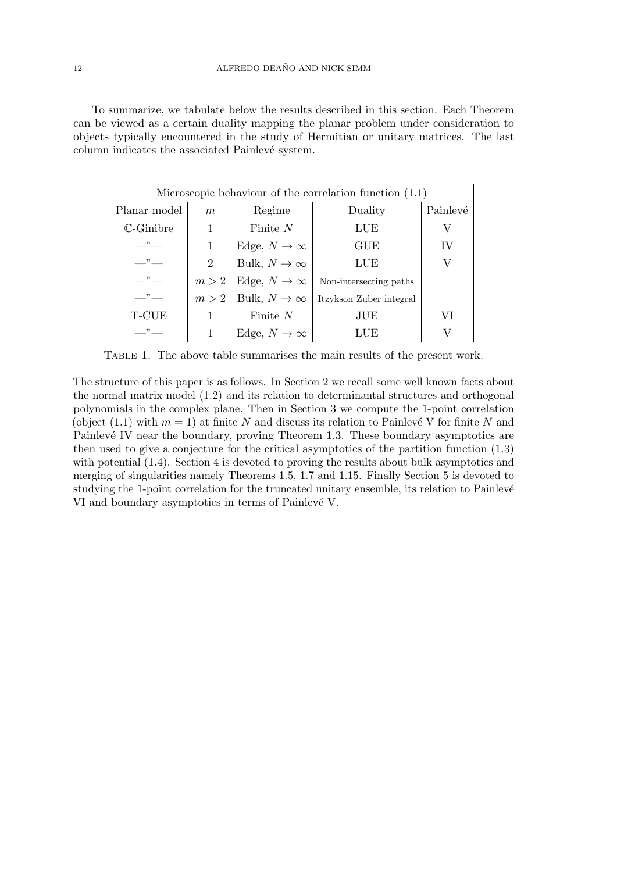To summarize, we tabulate below the results described in this section. Each Theorem can be viewed as a certain duality mapping the planar problem under consideration to objects typically encountered in the study of Hermitian or unitary matrices. The last column indicates the associated Painlevé system.

| Microscopic behaviour of the correlation function $(1.1)$ |                |                                |                         |          |
|-----------------------------------------------------------|----------------|--------------------------------|-------------------------|----------|
| Planar model                                              | m              | Regime                         | Duality                 | Painlevé |
| $\mathbb{C}\text{-Ginibre}$                               |                | Finite $N$                     | LUE                     | V        |
| $\rightarrow$                                             |                | Edge, $N \to \infty$           | GUE                     | IV       |
| , 22                                                      | $\overline{2}$ | Bulk, $N\to\infty$             | LUE                     | V        |
| $\cdots$                                                  |                | $m > 2$   Edge, $N \to \infty$ | Non-intersecting paths  |          |
| $\overline{\phantom{a}}$                                  |                | $m > 2$   Bulk, $N \to \infty$ | Itzykson Zuber integral |          |
| T-CUE                                                     |                | Finite $N$                     | JUE                     | VI       |
| , 22                                                      |                | Edge, $N \to \infty$           | LUE                     | V        |

Table 1. The above table summarises the main results of the present work.

The structure of this paper is as follows. In Section 2 we recall some well known facts about the normal matrix model (1.2) and its relation to determinantal structures and orthogonal polynomials in the complex plane. Then in Section 3 we compute the 1-point correlation (object (1.1) with  $m = 1$ ) at finite N and discuss its relation to Painlevé V for finite N and Painlevé IV near the boundary, proving Theorem 1.3. These boundary asymptotics are then used to give a conjecture for the critical asymptotics of the partition function (1.3) with potential (1.4). Section 4 is devoted to proving the results about bulk asymptotics and merging of singularities namely Theorems 1.5, 1.7 and 1.15. Finally Section 5 is devoted to studying the 1-point correlation for the truncated unitary ensemble, its relation to Painlevé VI and boundary asymptotics in terms of Painlevé V.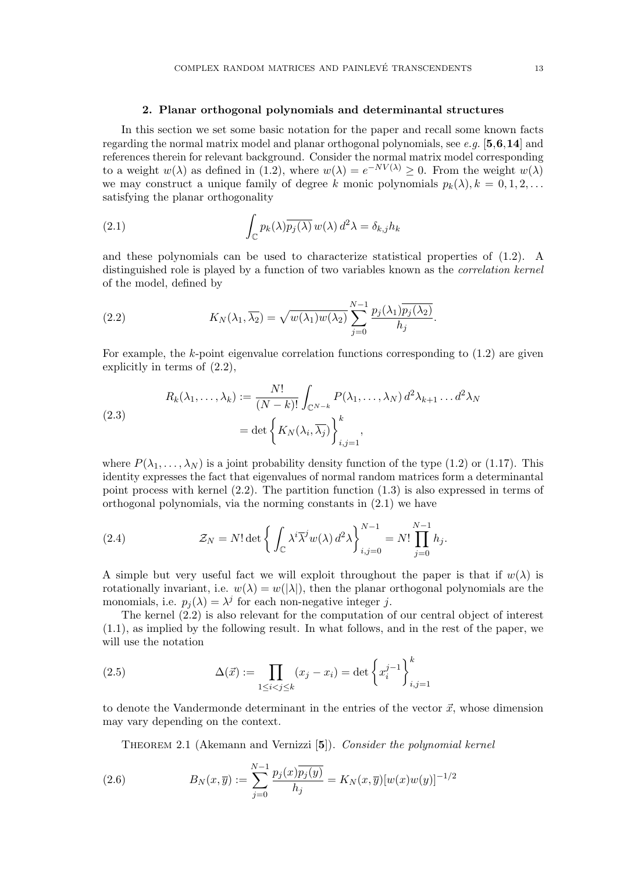#### 2. Planar orthogonal polynomials and determinantal structures

In this section we set some basic notation for the paper and recall some known facts regarding the normal matrix model and planar orthogonal polynomials, see e.g.  $[5,6,14]$  and references therein for relevant background. Consider the normal matrix model corresponding to a weight  $w(\lambda)$  as defined in (1.2), where  $w(\lambda) = e^{-NV(\lambda)} \geq 0$ . From the weight  $w(\lambda)$ we may construct a unique family of degree k monic polynomials  $p_k(\lambda), k = 0, 1, 2, \ldots$ satisfying the planar orthogonality

(2.1) 
$$
\int_{\mathbb{C}} p_k(\lambda) \overline{p_j(\lambda)} w(\lambda) d^2 \lambda = \delta_{k,j} h_k
$$

and these polynomials can be used to characterize statistical properties of (1.2). A distinguished role is played by a function of two variables known as the correlation kernel of the model, defined by

(2.2) 
$$
K_N(\lambda_1, \overline{\lambda_2}) = \sqrt{w(\lambda_1)w(\lambda_2)} \sum_{j=0}^{N-1} \frac{p_j(\lambda_1)\overline{p_j(\lambda_2)}}{h_j}.
$$

For example, the k-point eigenvalue correlation functions corresponding to  $(1.2)$  are given explicitly in terms of (2.2),

(2.3)  

$$
R_k(\lambda_1, ..., \lambda_k) := \frac{N!}{(N-k)!} \int_{\mathbb{C}^{N-k}} P(\lambda_1, ..., \lambda_N) d^2 \lambda_{k+1} ... d^2 \lambda_N
$$

$$
= \det \left\{ K_N(\lambda_i, \overline{\lambda_j}) \right\}_{i,j=1}^k,
$$

where  $P(\lambda_1, \ldots, \lambda_N)$  is a joint probability density function of the type (1.2) or (1.17). This identity expresses the fact that eigenvalues of normal random matrices form a determinantal point process with kernel  $(2.2)$ . The partition function  $(1.3)$  is also expressed in terms of orthogonal polynomials, via the norming constants in (2.1) we have

(2.4) 
$$
\mathcal{Z}_N = N! \det \left\{ \int_{\mathbb{C}} \lambda^i \overline{\lambda}^j w(\lambda) d^2 \lambda \right\}_{i,j=0}^{N-1} = N! \prod_{j=0}^{N-1} h_j.
$$

A simple but very useful fact we will exploit throughout the paper is that if  $w(\lambda)$  is rotationally invariant, i.e.  $w(\lambda) = w(|\lambda|)$ , then the planar orthogonal polynomials are the monomials, i.e.  $p_j(\lambda) = \lambda^j$  for each non-negative integer j.

The kernel (2.2) is also relevant for the computation of our central object of interest (1.1), as implied by the following result. In what follows, and in the rest of the paper, we will use the notation

(2.5) 
$$
\Delta(\vec{x}) := \prod_{1 \le i < j \le k} (x_j - x_i) = \det \left\{ x_i^{j-1} \right\}_{i,j=1}^k
$$

to denote the Vandermonde determinant in the entries of the vector  $\vec{x}$ , whose dimension may vary depending on the context.

THEOREM 2.1 (Akemann and Vernizzi [5]). Consider the polynomial kernel

(2.6) 
$$
B_N(x,\overline{y}) := \sum_{j=0}^{N-1} \frac{p_j(x)\overline{p_j(y)}}{h_j} = K_N(x,\overline{y})[w(x)w(y)]^{-1/2}
$$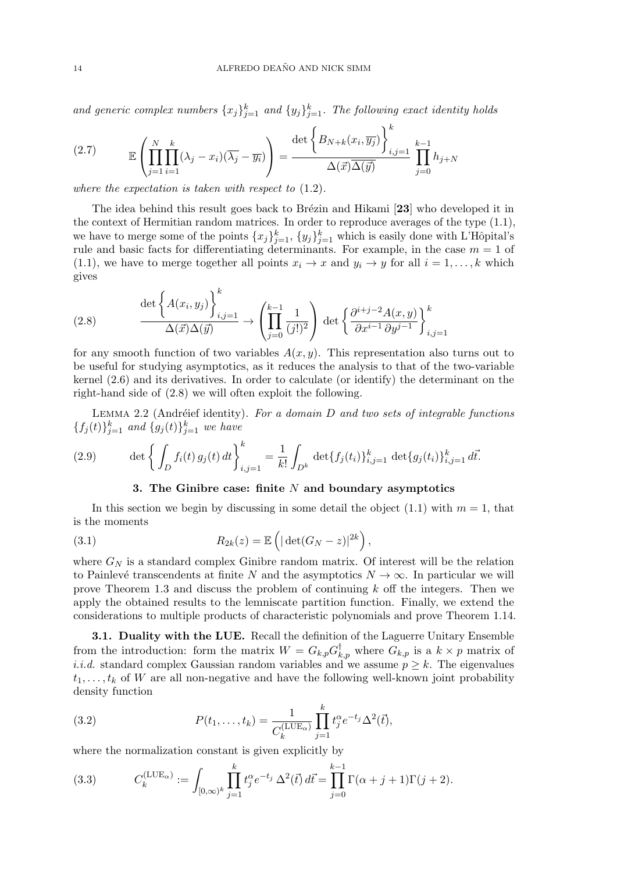and generic complex numbers  ${x_j}_{j=1}^k$  and  ${y_j}_{j=1}^k$ . The following exact identity holds

(2.7) 
$$
\mathbb{E}\left(\prod_{j=1}^N\prod_{i=1}^k(\lambda_j-x_i)(\overline{\lambda_j}-\overline{y_i})\right)=\frac{\det\left\{B_{N+k}(x_i,\overline{y_j})\right\}_{i,j=1}^k}{\Delta(\vec{x})\overline{\Delta(\vec{y})}}\prod_{j=0}^{k-1}h_{j+N}
$$

where the expectation is taken with respect to (1.2).

The idea behind this result goes back to Brézin and Hikami [23] who developed it in the context of Hermitian random matrices. In order to reproduce averages of the type (1.1), we have to merge some of the points  ${x_j}_{j=1}^k$ ,  ${y_j}_{j=1}^k$  which is easily done with L'Hôpital's rule and basic facts for differentiating determinants. For example, in the case  $m = 1$  of (1.1), we have to merge together all points  $x_i \to x$  and  $y_i \to y$  for all  $i = 1, \ldots, k$  which gives

(2.8) 
$$
\frac{\det\left\{A(x_i, y_j)\right\}_{i,j=1}^k}{\Delta(\vec{x})\Delta(\vec{y})} \to \left(\prod_{j=0}^{k-1} \frac{1}{(j!)^2}\right) \det\left\{\frac{\partial^{i+j-2}A(x, y)}{\partial x^{i-1}\partial y^{j-1}}\right\}_{i,j=1}^k
$$

for any smooth function of two variables  $A(x, y)$ . This representation also turns out to be useful for studying asymptotics, as it reduces the analysis to that of the two-variable kernel (2.6) and its derivatives. In order to calculate (or identify) the determinant on the right-hand side of (2.8) we will often exploit the following.

LEMMA 2.2 (Andréief identity). For a domain  $D$  and two sets of integrable functions  ${f_j(t)}_{j=1}^k$  and  ${g_j(t)}_{j=1}^k$  we have

(2.9) 
$$
\det \left\{ \int_D f_i(t) g_j(t) dt \right\}_{i,j=1}^k = \frac{1}{k!} \int_{D^k} \det \{ f_j(t_i) \}_{i,j=1}^k \det \{ g_j(t_i) \}_{i,j=1}^k d\vec{t}.
$$

#### 3. The Ginibre case: finite  $N$  and boundary asymptotics

In this section we begin by discussing in some detail the object  $(1.1)$  with  $m = 1$ , that is the moments

(3.1) 
$$
R_{2k}(z) = \mathbb{E}\left(|\det(G_N - z)|^{2k}\right),
$$

where  $G_N$  is a standard complex Ginibre random matrix. Of interest will be the relation to Painlevé transcendents at finite N and the asymptotics  $N \to \infty$ . In particular we will prove Theorem 1.3 and discuss the problem of continuing k off the integers. Then we apply the obtained results to the lemniscate partition function. Finally, we extend the considerations to multiple products of characteristic polynomials and prove Theorem 1.14.

3.1. Duality with the LUE. Recall the definition of the Laguerre Unitary Ensemble from the introduction: form the matrix  $W = G_{k,p} G_{k,p}^{\dagger}$  where  $G_{k,p}$  is a  $k \times p$  matrix of *i.i.d.* standard complex Gaussian random variables and we assume  $p \geq k$ . The eigenvalues  $t_1, \ldots, t_k$  of W are all non-negative and have the following well-known joint probability density function

(3.2) 
$$
P(t_1, ..., t_k) = \frac{1}{C_k^{(\text{LUE}_{\alpha})}} \prod_{j=1}^k t_j^{\alpha} e^{-t_j} \Delta^2(\vec{t}),
$$

where the normalization constant is given explicitly by

(3.3) 
$$
C_k^{(\text{LUE}_{\alpha})} := \int_{[0,\infty)^k} \prod_{j=1}^k t_j^{\alpha} e^{-t_j} \Delta^2(\vec{t}) d\vec{t} = \prod_{j=0}^{k-1} \Gamma(\alpha+j+1) \Gamma(j+2).
$$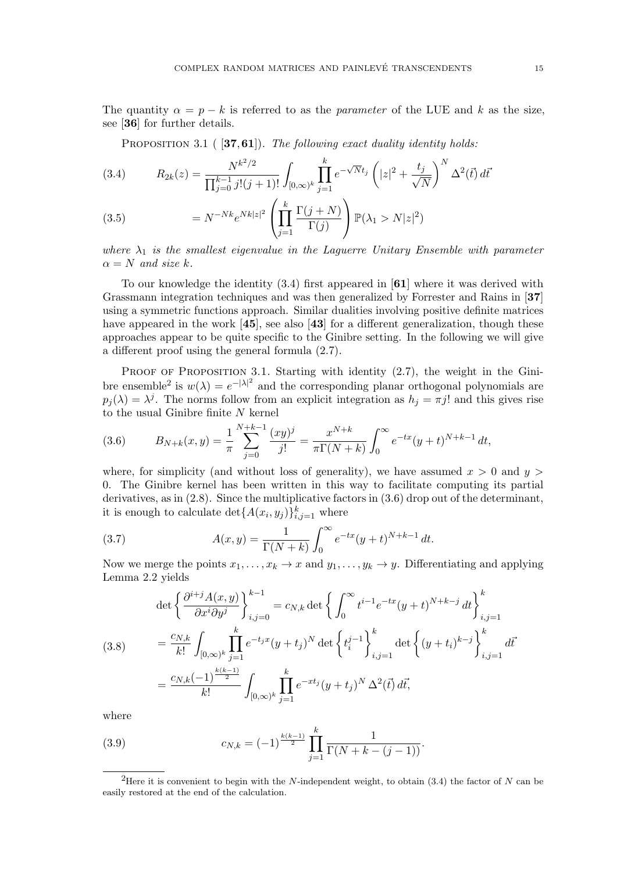PROPOSITION 3.1 (  $[37,61]$ ). The following exact duality identity holds:

(3.4) 
$$
R_{2k}(z) = \frac{N^{k^2/2}}{\prod_{j=0}^{k-1} j!(j+1)!} \int_{[0,\infty)^k} \prod_{j=1}^k e^{-\sqrt{N}t_j} \left( |z|^2 + \frac{t_j}{\sqrt{N}} \right)^N \Delta^2(\vec{t}) d\vec{t}
$$

(3.5) 
$$
= N^{-Nk} e^{Nk|z|^2} \left( \prod_{j=1}^k \frac{\Gamma(j+N)}{\Gamma(j)} \right) \mathbb{P}(\lambda_1 > N|z|^2)
$$

where  $\lambda_1$  is the smallest eigenvalue in the Laguerre Unitary Ensemble with parameter  $\alpha = N$  and size k.

To our knowledge the identity (3.4) first appeared in [61] where it was derived with Grassmann integration techniques and was then generalized by Forrester and Rains in [37] using a symmetric functions approach. Similar dualities involving positive definite matrices have appeared in the work [45], see also [43] for a different generalization, though these approaches appear to be quite specific to the Ginibre setting. In the following we will give a different proof using the general formula (2.7).

PROOF OF PROPOSITION 3.1. Starting with identity (2.7), the weight in the Ginibre ensemble<sup>2</sup> is  $w(\lambda) = e^{-|\lambda|^2}$  and the corresponding planar orthogonal polynomials are  $p_j(\lambda) = \lambda^j$ . The norms follow from an explicit integration as  $h_j = \pi j!$  and this gives rise to the usual Ginibre finite N kernel

(3.6) 
$$
B_{N+k}(x,y) = \frac{1}{\pi} \sum_{j=0}^{N+k-1} \frac{(xy)^j}{j!} = \frac{x^{N+k}}{\pi \Gamma(N+k)} \int_0^\infty e^{-tx} (y+t)^{N+k-1} dt,
$$

where, for simplicity (and without loss of generality), we have assumed  $x > 0$  and  $y >$ 0. The Ginibre kernel has been written in this way to facilitate computing its partial derivatives, as in (2.8). Since the multiplicative factors in (3.6) drop out of the determinant, it is enough to calculate  $\det\{A(x_i, y_j)\}_{i,j=1}^k$  where

(3.7) 
$$
A(x,y) = \frac{1}{\Gamma(N+k)} \int_0^\infty e^{-tx} (y+t)^{N+k-1} dt.
$$

Now we merge the points  $x_1, \ldots, x_k \to x$  and  $y_1, \ldots, y_k \to y$ . Differentiating and applying Lemma 2.2 yields

(3.8) 
$$
\det \left\{ \frac{\partial^{i+j} A(x,y)}{\partial x^i \partial y^j} \right\}_{i,j=0}^{k-1} = c_{N,k} \det \left\{ \int_0^\infty t^{i-1} e^{-tx} (y+t)^{N+k-j} dt \right\}_{i,j=1}^k
$$

$$
= \frac{c_{N,k}}{k!} \int_{[0,\infty)^k} \prod_{j=1}^k e^{-t_j x} (y+t_j)^N \det \left\{ t_i^{j-1} \right\}_{i,j=1}^k \det \left\{ (y+t_i)^{k-j} \right\}_{i,j=1}^k d\vec{t}
$$

$$
= \frac{c_{N,k} (-1)^{\frac{k(k-1)}{2}}}{k!} \int_{[0,\infty)^k} \prod_{j=1}^k e^{-xt_j} (y+t_j)^N \Delta^2(\vec{t}) d\vec{t},
$$

where

(3.9) 
$$
c_{N,k} = (-1)^{\frac{k(k-1)}{2}} \prod_{j=1}^k \frac{1}{\Gamma(N+k-(j-1))}.
$$

<sup>&</sup>lt;sup>2</sup>Here it is convenient to begin with the N-independent weight, to obtain  $(3.4)$  the factor of N can be easily restored at the end of the calculation.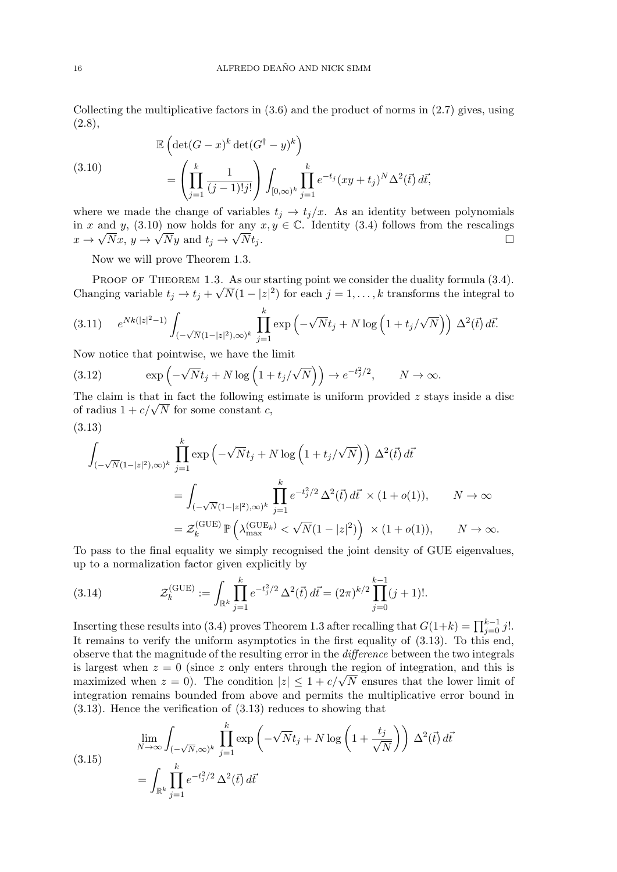Collecting the multiplicative factors in  $(3.6)$  and the product of norms in  $(2.7)$  gives, using  $(2.8),$ 

(3.10)  
\n
$$
\mathbb{E}\left(\det(G-x)^k \det(G^{\dagger}-y)^k\right)
$$
\n
$$
= \left(\prod_{j=1}^k \frac{1}{(j-1)!j!}\right) \int_{[0,\infty)^k} \prod_{j=1}^k e^{-t_j} (xy+t_j)^N \Delta^2(\vec{t}) d\vec{t},
$$

where we made the change of variables  $t_j \rightarrow t_j/x$ . As an identity between polynomials in x and y, (3.10) now holds for any  $x, y \in \mathbb{C}$ . Identity (3.4) follows from the rescalings  $x \to \sqrt{Nx}$ ,  $y \to \sqrt{Ny}$  and  $t_j \to$  $\overline{N}t_j$ .

Now we will prove Theorem 1.3.

PROOF OF THEOREM 1.3. As our starting point we consider the duality formula  $(3.4)$ . Changing variable  $t_j \to t_j + \sqrt{N}(1 - |z|^2)$  for each  $j = 1, ..., k$  transforms the integral to

$$
(3.11) \quad e^{Nk(|z|^2-1)} \int_{(-\sqrt{N}(1-|z|^2),\infty)^k} \prod_{j=1}^k \exp\left(-\sqrt{N}t_j + N \log\left(1 + t_j/\sqrt{N}\right)\right) \Delta^2(\vec{t}) d\vec{t}.
$$

Now notice that pointwise, we have the limit

(3.12) 
$$
\exp\left(-\sqrt{N}t_j + N\log\left(1 + t_j/\sqrt{N}\right)\right) \to e^{-t_j^2/2}, \qquad N \to \infty.
$$

The claim is that in fact the following estimate is uniform provided  $z$  stays inside a disc The claim is that in fact the following e<br>of radius  $1 + c/\sqrt{N}$  for some constant c,

$$
(3.13)
$$

$$
\int_{(-\sqrt{N}(1-|z|^2),\infty)^k} \prod_{j=1}^k \exp\left(-\sqrt{N}t_j + N \log\left(1 + t_j/\sqrt{N}\right)\right) \Delta^2(\vec{t}) d\vec{t}
$$
\n
$$
= \int_{(-\sqrt{N}(1-|z|^2),\infty)^k} \prod_{j=1}^k e^{-t_j^2/2} \Delta^2(\vec{t}) d\vec{t} \times (1+o(1)), \qquad N \to \infty
$$
\n
$$
= \mathcal{Z}_k^{(\text{GUE})} \mathbb{P}\left(\lambda_{\text{max}}^{(\text{GUE}_k)} < \sqrt{N}(1-|z|^2)\right) \times (1+o(1)), \qquad N \to \infty.
$$

To pass to the final equality we simply recognised the joint density of GUE eigenvalues, up to a normalization factor given explicitly by

(3.14) 
$$
\mathcal{Z}_k^{(\text{GUE})} := \int_{\mathbb{R}^k} \prod_{j=1}^k e^{-t_j^2/2} \Delta^2(\vec{t}) d\vec{t} = (2\pi)^{k/2} \prod_{j=0}^{k-1} (j+1)!.
$$

Inserting these results into (3.4) proves Theorem 1.3 after recalling that  $G(1+k) = \prod_{j=0}^{k-1} j!$ . It remains to verify the uniform asymptotics in the first equality of (3.13). To this end, observe that the magnitude of the resulting error in the difference between the two integrals is largest when  $z = 0$  (since z only enters through the region of integration, and this is is iargest when  $z = 0$  (since z only enters through the region of integration, and this is<br>maximized when  $z = 0$ ). The condition  $|z| \leq 1 + c/\sqrt{N}$  ensures that the lower limit of integration remains bounded from above and permits the multiplicative error bound in (3.13). Hence the verification of (3.13) reduces to showing that

(3.15)  

$$
\lim_{N \to \infty} \int_{(-\sqrt{N}, \infty)^k} \prod_{j=1}^k \exp\left(-\sqrt{N}t_j + N \log\left(1 + \frac{t_j}{\sqrt{N}}\right)\right) \Delta^2(\vec{t}) d\vec{t}
$$

$$
= \int_{\mathbb{R}^k} \prod_{j=1}^k e^{-t_j^2/2} \Delta^2(\vec{t}) d\vec{t}
$$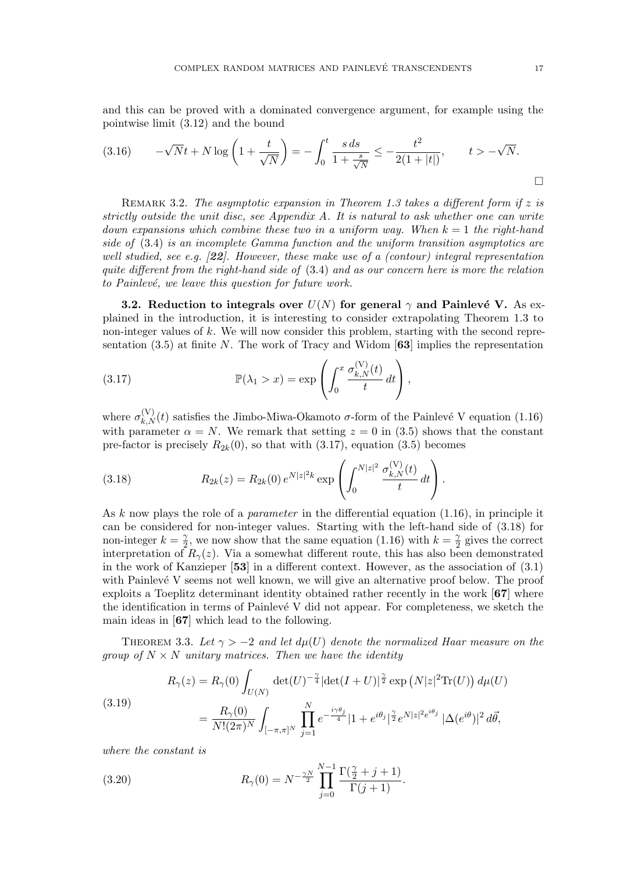and this can be proved with a dominated convergence argument, for example using the pointwise limit (3.12) and the bound

$$
(3.16) \qquad -\sqrt{N}t + N\log\left(1 + \frac{t}{\sqrt{N}}\right) = -\int_0^t \frac{s \, ds}{1 + \frac{s}{\sqrt{N}}} \le -\frac{t^2}{2(1 + |t|)}, \qquad t > -\sqrt{N}.
$$

REMARK 3.2. The asymptotic expansion in Theorem 1.3 takes a different form if  $z$  is strictly outside the unit disc, see Appendix A. It is natural to ask whether one can write down expansions which combine these two in a uniform way. When  $k = 1$  the right-hand side of (3.4) is an incomplete Gamma function and the uniform transition asymptotics are well studied, see e.g.  $[22]$ . However, these make use of a (contour) integral representation quite different from the right-hand side of (3.4) and as our concern here is more the relation to Painlevé, we leave this question for future work.

**3.2.** Reduction to integrals over  $U(N)$  for general  $\gamma$  and Painlevé V. As explained in the introduction, it is interesting to consider extrapolating Theorem 1.3 to non-integer values of k. We will now consider this problem, starting with the second representation (3.5) at finite N. The work of Tracy and Widom  $\lceil 63 \rceil$  implies the representation

(3.17) 
$$
\mathbb{P}(\lambda_1 > x) = \exp\left(\int_0^x \frac{\sigma_{k,N}^{(V)}(t)}{t} dt\right),
$$

where  $\sigma_{k,N}^{(V)}(t)$  satisfies the Jimbo-Miwa-Okamoto  $\sigma$ -form of the Painlevé V equation (1.16) with parameter  $\alpha = N$ . We remark that setting  $z = 0$  in (3.5) shows that the constant pre-factor is precisely  $R_{2k}(0)$ , so that with  $(3.17)$ , equation  $(3.5)$  becomes

(3.18) 
$$
R_{2k}(z) = R_{2k}(0) e^{N|z|^2 k} \exp\left(\int_0^{N|z|^2} \frac{\sigma_{k,N}^{(V)}(t)}{t} dt\right).
$$

As k now plays the role of a *parameter* in the differential equation  $(1.16)$ , in principle it can be considered for non-integer values. Starting with the left-hand side of (3.18) for non-integer  $k = \frac{\gamma}{2}$  $\frac{\gamma}{2}$ , we now show that the same equation (1.16) with  $k=\frac{\gamma}{2}$  $\frac{\gamma}{2}$  gives the correct interpretation of  $R_{\gamma}(z)$ . Via a somewhat different route, this has also been demonstrated in the work of Kanzieper [53] in a different context. However, as the association of (3.1) with Painlevé V seems not well known, we will give an alternative proof below. The proof exploits a Toeplitz determinant identity obtained rather recently in the work [67] where the identification in terms of Painlevé V did not appear. For completeness, we sketch the main ideas in [67] which lead to the following.

THEOREM 3.3. Let  $\gamma > -2$  and let  $d\mu(U)$  denote the normalized Haar measure on the group of  $N \times N$  unitary matrices. Then we have the identity

(3.19)  

$$
R_{\gamma}(z) = R_{\gamma}(0) \int_{U(N)} \det(U)^{-\frac{\gamma}{4}} |\det(I+U)|^{\frac{\gamma}{2}} \exp(N|z|^{2} \text{Tr}(U)) d\mu(U)
$$

$$
= \frac{R_{\gamma}(0)}{N!(2\pi)^{N}} \int_{[-\pi,\pi]^{N}} \prod_{j=1}^{N} e^{-\frac{i\gamma \theta_{j}}{4}} |1+e^{i\theta_{j}}|^{\frac{\gamma}{2}} e^{N|z|^{2}e^{i\theta_{j}}} |\Delta(e^{i\theta})|^{2} d\vec{\theta},
$$

where the constant is

(3.20) 
$$
R_{\gamma}(0) = N^{-\frac{\gamma N}{2}} \prod_{j=0}^{N-1} \frac{\Gamma(\frac{\gamma}{2} + j + 1)}{\Gamma(j+1)}.
$$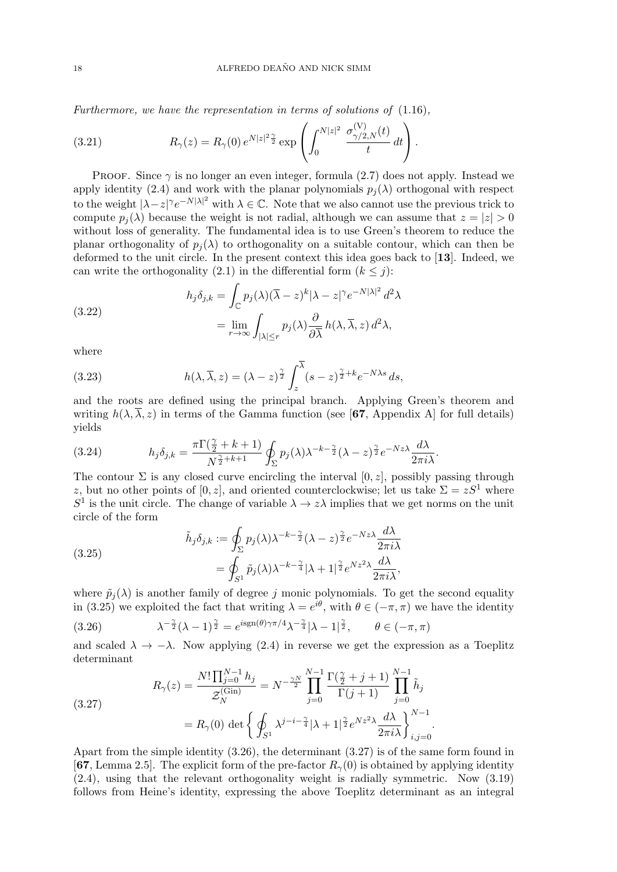Furthermore, we have the representation in terms of solutions of (1.16),

(3.21) 
$$
R_{\gamma}(z) = R_{\gamma}(0) e^{N|z|^2 \frac{\gamma}{2}} \exp\left(\int_0^{N|z|^2} \frac{\sigma_{\gamma/2,N}^{(V)}(t)}{t} dt\right).
$$

PROOF. Since  $\gamma$  is no longer an even integer, formula (2.7) does not apply. Instead we apply identity (2.4) and work with the planar polynomials  $p_i(\lambda)$  orthogonal with respect to the weight  $|\lambda - z|^\gamma e^{-N|\lambda|^2}$  with  $\lambda \in \mathbb{C}$ . Note that we also cannot use the previous trick to compute  $p_i(\lambda)$  because the weight is not radial, although we can assume that  $z = |z| > 0$ without loss of generality. The fundamental idea is to use Green's theorem to reduce the planar orthogonality of  $p_i(\lambda)$  to orthogonality on a suitable contour, which can then be deformed to the unit circle. In the present context this idea goes back to [13]. Indeed, we can write the orthogonality (2.1) in the differential form  $(k \leq j)$ :

(3.22)  

$$
h_j \delta_{j,k} = \int_{\mathbb{C}} p_j(\lambda) (\overline{\lambda} - z)^k |\lambda - z|^\gamma e^{-N|\lambda|^2} d^2 \lambda
$$

$$
= \lim_{r \to \infty} \int_{|\lambda| \le r} p_j(\lambda) \frac{\partial}{\partial \overline{\lambda}} h(\lambda, \overline{\lambda}, z) d^2 \lambda,
$$

where

(3.23) 
$$
h(\lambda, \overline{\lambda}, z) = (\lambda - z)^{\frac{\gamma}{2}} \int_{z}^{\lambda} (s - z)^{\frac{\gamma}{2} + k} e^{-N\lambda s} ds,
$$

and the roots are defined using the principal branch. Applying Green's theorem and writing  $h(\lambda, \overline{\lambda}, z)$  in terms of the Gamma function (see [67, Appendix A] for full details) yields

(3.24) 
$$
h_j \delta_{j,k} = \frac{\pi \Gamma(\frac{\gamma}{2} + k + 1)}{N^{\frac{\gamma}{2} + k + 1}} \oint_{\Sigma} p_j(\lambda) \lambda^{-k - \frac{\gamma}{2}} (\lambda - z)^{\frac{\gamma}{2}} e^{-Nz \lambda} \frac{d\lambda}{2\pi i \lambda}.
$$

The contour  $\Sigma$  is any closed curve encircling the interval [0, z], possibly passing through z, but no other points of [0, z], and oriented counterclockwise; let us take  $\Sigma = zS^1$  where  $S^1$  is the unit circle. The change of variable  $\lambda \to z\lambda$  implies that we get norms on the unit circle of the form

(3.25)  

$$
\tilde{h}_j \delta_{j,k} := \oint_{\Sigma} p_j(\lambda) \lambda^{-k - \frac{\gamma}{2}} (\lambda - z)^{\frac{\gamma}{2}} e^{-Nz\lambda} \frac{d\lambda}{2\pi i \lambda}
$$

$$
= \oint_{S^1} \tilde{p}_j(\lambda) \lambda^{-k - \frac{\gamma}{4}} |\lambda + 1|^{\frac{\gamma}{2}} e^{Nz^2\lambda} \frac{d\lambda}{2\pi i \lambda},
$$

where  $\tilde{p}_i(\lambda)$  is another family of degree j monic polynomials. To get the second equality in (3.25) we exploited the fact that writing  $\lambda = e^{i\theta}$ , with  $\theta \in (-\pi, \pi)$  we have the identity

(3.26) 
$$
\lambda^{-\frac{\gamma}{2}}(\lambda - 1)^{\frac{\gamma}{2}} = e^{i \operatorname{sgn}(\theta)\gamma \pi/4} \lambda^{-\frac{\gamma}{4}} |\lambda - 1|^{\frac{\gamma}{2}}, \quad \theta \in (-\pi, \pi)
$$

and scaled  $\lambda \to -\lambda$ . Now applying (2.4) in reverse we get the expression as a Toeplitz determinant

(3.27)  

$$
R_{\gamma}(z) = \frac{N! \prod_{j=0}^{N-1} h_j}{\mathcal{Z}_N^{(\text{Gin})}} = N^{-\frac{\gamma N}{2}} \prod_{j=0}^{N-1} \frac{\Gamma(\frac{\gamma}{2} + j + 1)}{\Gamma(j+1)} \prod_{j=0}^{N-1} \tilde{h}_j
$$

$$
= R_{\gamma}(0) \det \left\{ \oint_{S^1} \lambda^{j-i-\frac{\gamma}{4}} |\lambda+1|^{\frac{\gamma}{2}} e^{Nz^2 \lambda} \frac{d\lambda}{2\pi i \lambda} \right\}_{i,j=0}^{N-1}.
$$

Apart from the simple identity (3.26), the determinant (3.27) is of the same form found in [67, Lemma 2.5]. The explicit form of the pre-factor  $R_{\gamma}(0)$  is obtained by applying identity (2.4), using that the relevant orthogonality weight is radially symmetric. Now (3.19) follows from Heine's identity, expressing the above Toeplitz determinant as an integral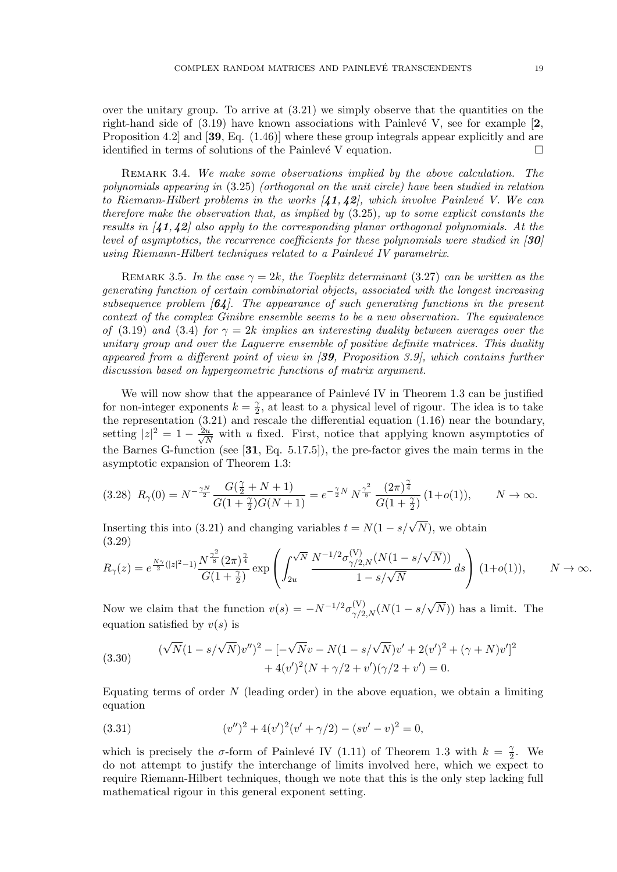over the unitary group. To arrive at  $(3.21)$  we simply observe that the quantities on the right-hand side of  $(3.19)$  have known associations with Painlevé V, see for example  $[2, 1]$ Proposition 4.2] and [39, Eq. (1.46)] where these group integrals appear explicitly and are identified in terms of solutions of the Painlevé V equation.  $\Box$ 

REMARK 3.4. We make some observations implied by the above calculation. The polynomials appearing in (3.25) (orthogonal on the unit circle) have been studied in relation to Riemann-Hilbert problems in the works  $(41, 42)$ , which involve Painlevé V. We can therefore make the observation that, as implied by (3.25), up to some explicit constants the results in  $\langle 41, 42 \rangle$  also apply to the corresponding planar orthogonal polynomials. At the level of asymptotics, the recurrence coefficients for these polynomials were studied in [30] using Riemann-Hilbert techniques related to a Painlevé IV parametrix.

REMARK 3.5. In the case  $\gamma = 2k$ , the Toeplitz determinant (3.27) can be written as the generating function of certain combinatorial objects, associated with the longest increasing subsequence problem  $\lceil 64 \rceil$ . The appearance of such generating functions in the present context of the complex Ginibre ensemble seems to be a new observation. The equivalence of (3.19) and (3.4) for  $\gamma = 2k$  implies an interesting duality between averages over the unitary group and over the Laguerre ensemble of positive definite matrices. This duality appeared from a different point of view in  $(39,$  Proposition 3.9, which contains further discussion based on hypergeometric functions of matrix argument.

We will now show that the appearance of Painlevé IV in Theorem 1.3 can be justified for non-integer exponents  $k = \frac{\gamma}{2}$  $\frac{\gamma}{2}$ , at least to a physical level of rigour. The idea is to take the representation (3.21) and rescale the differential equation (1.16) near the boundary, setting  $|z|^2 = 1 - \frac{2u}{\sqrt{\lambda}}$  $\frac{u}{N}$  with u fixed. First, notice that applying known asymptotics of the Barnes G-function (see [31, Eq. 5.17.5]), the pre-factor gives the main terms in the asymptotic expansion of Theorem 1.3:

$$
(3.28)\ \ R_{\gamma}(0) = N^{-\frac{\gamma N}{2}} \frac{G(\frac{\gamma}{2} + N + 1)}{G(1 + \frac{\gamma}{2})G(N + 1)} = e^{-\frac{\gamma}{2}N} \ N^{\frac{\gamma^2}{8}} \frac{(2\pi)^{\frac{\gamma}{4}}}{G(1 + \frac{\gamma}{2})} \ (1 + o(1)), \qquad N \to \infty.
$$

Inserting this into (3.21) and changing variables  $t = N(1 - s/\sqrt{N})$ , we obtain (3.29)

$$
R_{\gamma}(z) = e^{\frac{N\gamma}{2}(|z|^2 - 1)} \frac{N^{\frac{\gamma^2}{8}} (2\pi)^{\frac{\gamma}{4}}}{G(1 + \frac{\gamma}{2})} \exp\left(\int_{2u}^{\sqrt{N}} \frac{N^{-1/2} \sigma_{\gamma/2,N}^{(V)} (N(1 - s/\sqrt{N}))}{1 - s/\sqrt{N}} ds\right) (1 + o(1)), \qquad N \to \infty.
$$

Now we claim that the function  $v(s) = -N^{-1/2} \sigma_{\gamma/2,N}^{(V)}(N(1-s/\sqrt{N}))$  has a limit. The equation satisfied by  $v(s)$  is

(3.30) 
$$
(\sqrt{N}(1-s/\sqrt{N})v'')^{2} - [-\sqrt{N}v - N(1-s/\sqrt{N})v' + 2(v')^{2} + (\gamma+N)v']^{2} + 4(v')^{2}(N+\gamma/2+v')(\gamma/2+v') = 0.
$$

Equating terms of order  $N$  (leading order) in the above equation, we obtain a limiting equation

(3.31) 
$$
(v'')^{2} + 4(v')^{2}(v' + \gamma/2) - (sv' - v)^{2} = 0,
$$

which is precisely the  $\sigma$ -form of Painlevé IV (1.11) of Theorem 1.3 with  $k = \frac{\gamma}{2}$  $\frac{\gamma}{2}$ . We do not attempt to justify the interchange of limits involved here, which we expect to require Riemann-Hilbert techniques, though we note that this is the only step lacking full mathematical rigour in this general exponent setting.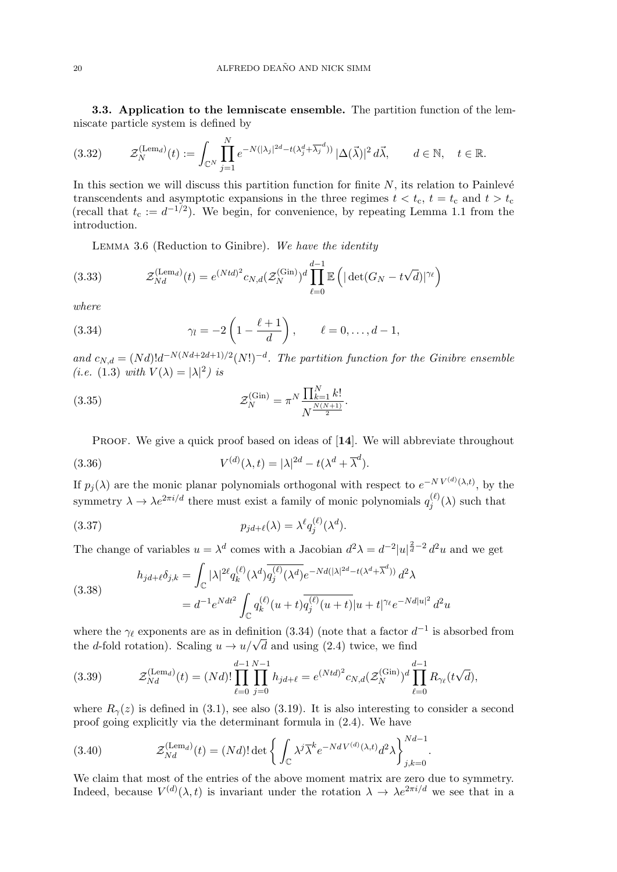3.3. Application to the lemniscate ensemble. The partition function of the lemniscate particle system is defined by

$$
(3.32) \qquad \mathcal{Z}_N^{(\text{Lem}_d)}(t) := \int_{\mathbb{C}^N} \prod_{j=1}^N e^{-N(|\lambda_j|^{2d} - t(\lambda_j^d + \overline{\lambda_j}^d))} |\Delta(\vec{\lambda})|^2 d\vec{\lambda}, \qquad d \in \mathbb{N}, \quad t \in \mathbb{R}.
$$

In this section we will discuss this partition function for finite  $N$ , its relation to Painlevé transcendents and asymptotic expansions in the three regimes  $t < t_c$ ,  $t = t_c$  and  $t > t_c$ (recall that  $t_c := d^{-1/2}$ ). We begin, for convenience, by repeating Lemma 1.1 from the introduction.

Lemma 3.6 (Reduction to Ginibre). We have the identity

(3.33) 
$$
\mathcal{Z}_{Nd}^{(\text{Lem}_d)}(t) = e^{(Ntd)^2} c_{N,d} (\mathcal{Z}_N^{(\text{Gin})})^d \prod_{\ell=0}^{d-1} \mathbb{E} \left( |\det(G_N - t\sqrt{d})|^{\gamma_\ell} \right)
$$

where

(3.34) 
$$
\gamma_l = -2\left(1 - \frac{\ell+1}{d}\right), \qquad \ell = 0, ..., d-1,
$$

and  $c_{N,d} = (Nd)!d^{-N(Nd+2d+1)/2}(N!)^{-d}$ . The partition function for the Ginibre ensemble (*i.e.* (1.3) with  $V(\lambda) = |\lambda|^2$ ) is

(3.35) 
$$
\mathcal{Z}_N^{(\text{Gin})} = \pi^N \frac{\prod_{k=1}^N k!}{N^{\frac{N(N+1)}{2}}}.
$$

PROOF. We give a quick proof based on ideas of [14]. We will abbreviate throughout

(3.36) 
$$
V^{(d)}(\lambda, t) = |\lambda|^{2d} - t(\lambda^d + \overline{\lambda}^d).
$$

If  $p_j(\lambda)$  are the monic planar polynomials orthogonal with respect to  $e^{-NV^{(d)}(\lambda,t)}$ , by the symmetry  $\lambda \to \lambda e^{2\pi i/d}$  there must exist a family of monic polynomials  $q_i^{(\ell)}$  $j^{(\ell)}(\lambda)$  such that

(3.37) 
$$
p_{jd+\ell}(\lambda) = \lambda^{\ell} q_j^{(\ell)}(\lambda^d).
$$

The change of variables  $u = \lambda^d$  comes with a Jacobian  $d^2\lambda = d^{-2}|u|^{\frac{2}{d}-2}d^2u$  and we get

(3.38)  

$$
h_{jd+\ell}\delta_{j,k} = \int_{\mathbb{C}} |\lambda|^{2\ell} q_k^{(\ell)}(\lambda^d) \overline{q_j^{(\ell)}(\lambda^d)} e^{-Nd(|\lambda|^{2d} - t(\lambda^d + \overline{\lambda}^d))} d^2\lambda
$$

$$
= d^{-1} e^{Ndt^2} \int_{\mathbb{C}} q_k^{(\ell)} (u+t) \overline{q_j^{(\ell)}(u+t)} |u+t|^{\gamma_{\ell}} e^{-Nd|u|^2} d^2u
$$

where the  $\gamma_{\ell}$  exponents are as in definition (3.34) (note that a factor  $d^{-1}$  is absorbed from where the  $\gamma_{\ell}$  exponents are as in definition (3.34) (note that a factor d<br>the d-fold rotation). Scaling  $u \to u/\sqrt{d}$  and using (2.4) twice, we find

(3.39) 
$$
\mathcal{Z}_{Nd}^{(\text{Lem}_d)}(t) = (Nd)! \prod_{\ell=0}^{d-1} \prod_{j=0}^{N-1} h_{jd+\ell} = e^{(Ntd)^2} c_{N,d} (\mathcal{Z}_N^{(\text{Gin})})^d \prod_{\ell=0}^{d-1} R_{\gamma_\ell}(t\sqrt{d}),
$$

where  $R_{\gamma}(z)$  is defined in (3.1), see also (3.19). It is also interesting to consider a second proof going explicitly via the determinant formula in (2.4). We have

(3.40) 
$$
\mathcal{Z}_{Nd}^{(\text{Lem}_d)}(t) = (Nd)!\det\left\{\int_{\mathbb{C}} \lambda^j \overline{\lambda}^k e^{-NdV^{(d)}(\lambda,t)} d^2\lambda\right\}_{j,k=0}^{Nd-1}
$$

We claim that most of the entries of the above moment matrix are zero due to symmetry. Indeed, because  $V^{(d)}(\lambda, t)$  is invariant under the rotation  $\lambda \to \lambda e^{2\pi i/d}$  we see that in a

.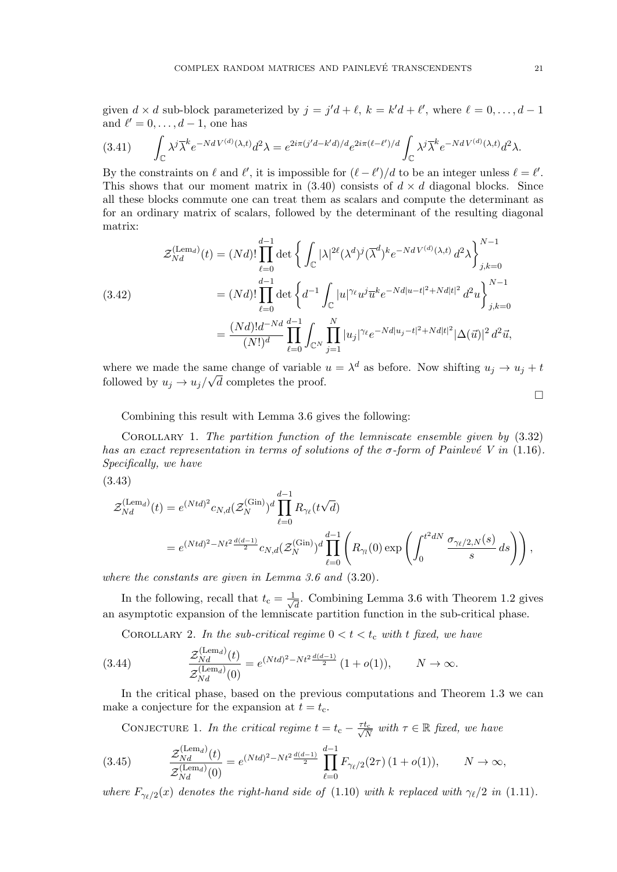given  $d \times d$  sub-block parameterized by  $j = j'd + \ell$ ,  $k = k'd + \ell'$ , where  $\ell = 0, \ldots, d - 1$ and  $\ell' = 0, \ldots, d - 1$ , one has

$$
(3.41) \qquad \int_{\mathbb{C}} \lambda^j \overline{\lambda}^k e^{-N dV^{(d)}(\lambda, t)} d^2 \lambda = e^{2i\pi (j'd - k'd)/d} e^{2i\pi (\ell - \ell')/d} \int_{\mathbb{C}} \lambda^j \overline{\lambda}^k e^{-N dV^{(d)}(\lambda, t)} d^2 \lambda.
$$

By the constraints on  $\ell$  and  $\ell'$ , it is impossible for  $(\ell - \ell')/d$  to be an integer unless  $\ell = \ell'$ . This shows that our moment matrix in  $(3.40)$  consists of  $d \times d$  diagonal blocks. Since all these blocks commute one can treat them as scalars and compute the determinant as for an ordinary matrix of scalars, followed by the determinant of the resulting diagonal matrix:

$$
\mathcal{Z}_{Nd}^{(\text{Lem}_d)}(t) = (Nd)! \prod_{\ell=0}^{d-1} \det \left\{ \int_{\mathbb{C}} |\lambda|^{2\ell} (\lambda^d)^j (\overline{\lambda}^d)^k e^{-NdV^{(d)}(\lambda, t)} d^2 \lambda \right\}_{j,k=0}^{N-1}
$$
  
\n(3.42)  
\n
$$
= (Nd)! \prod_{\ell=0}^{d-1} \det \left\{ d^{-1} \int_{\mathbb{C}} |u|^{\gamma_\ell} u^j \overline{u}^k e^{-Nd|u-t|^2 + Nd|t|^2} d^2 u \right\}_{j,k=0}^{N-1}
$$
  
\n
$$
= \frac{(Nd)! d^{-Nd}}{(N!)^d} \prod_{\ell=0}^{d-1} \int_{\mathbb{C}^N} \prod_{j=1}^N |u_j|^{\gamma_\ell} e^{-Nd|u_j-t|^2 + Nd|t|^2} |\Delta(\vec{u})|^2 d^2 \vec{u},
$$

where we made the same change of variable  $u = \lambda^d$  as before. Now shifting  $u_j \to u_j + t$ followed by  $u_j \to u_j/\sqrt{d}$  completes the proof.

 $\Box$ 

Combining this result with Lemma 3.6 gives the following:

Corollary 1. The partition function of the lemniscate ensemble given by (3.32) has an exact representation in terms of solutions of the  $\sigma$ -form of Painlevé V in (1.16). Specifically, we have

$$
(3.43)
$$

$$
\mathcal{Z}_{Nd}^{(\text{Lem}_d)}(t) = e^{(Ntd)^2} c_{N,d} (\mathcal{Z}_N^{(\text{Gin})})^d \prod_{\ell=0}^{d-1} R_{\gamma_{\ell}} (t \sqrt{d})
$$
  
=  $e^{(Ntd)^2 - Nt^2 \frac{d(d-1)}{2}} c_{N,d} (\mathcal{Z}_N^{(\text{Gin})})^d \prod_{\ell=0}^{d-1} \left( R_{\gamma_{\ell}}(0) \exp \left( \int_0^{t^2 dN} \frac{\sigma_{\gamma_{\ell}/2,N}(s)}{s} ds \right) \right),$ 

where the constants are given in Lemma 3.6 and (3.20).

In the following, recall that  $t_c = \frac{1}{\sqrt{2}}$  $\overline{\overline{d}}$ . Combining Lemma 3.6 with Theorem 1.2 gives an asymptotic expansion of the lemniscate partition function in the sub-critical phase.

COROLLARY 2. In the sub-critical regime  $0 < t < t_c$  with t fixed, we have

(3.44) 
$$
\frac{\mathcal{Z}_{Nd}^{(\text{Lem}_d)}(t)}{\mathcal{Z}_{Nd}^{(\text{Lem}_d)}(0)} = e^{(Ntd)^2 - Nt^2 \frac{d(d-1)}{2}} (1 + o(1)), \qquad N \to \infty.
$$

In the critical phase, based on the previous computations and Theorem 1.3 we can make a conjecture for the expansion at  $t = t_c$ .

CONJECTURE 1. In the critical regime  $t = t_c - \frac{\tau t_c}{\sqrt{\lambda}}$  $\frac{t_c}{N}$  with  $\tau \in \mathbb{R}$  fixed, we have

(3.45) 
$$
\frac{\mathcal{Z}_{Nd}^{(\text{Lem}_d)}(t)}{\mathcal{Z}_{Nd}^{(\text{Lem}_d)}(0)} = e^{(Ntd)^2 - Nt^2 \frac{d(d-1)}{2}} \prod_{\ell=0}^{d-1} F_{\gamma_{\ell}/2}(2\tau) (1 + o(1)), \qquad N \to \infty,
$$

where  $F_{\gamma_{\ell}/2}(x)$  denotes the right-hand side of (1.10) with k replaced with  $\gamma_{\ell}/2$  in (1.11).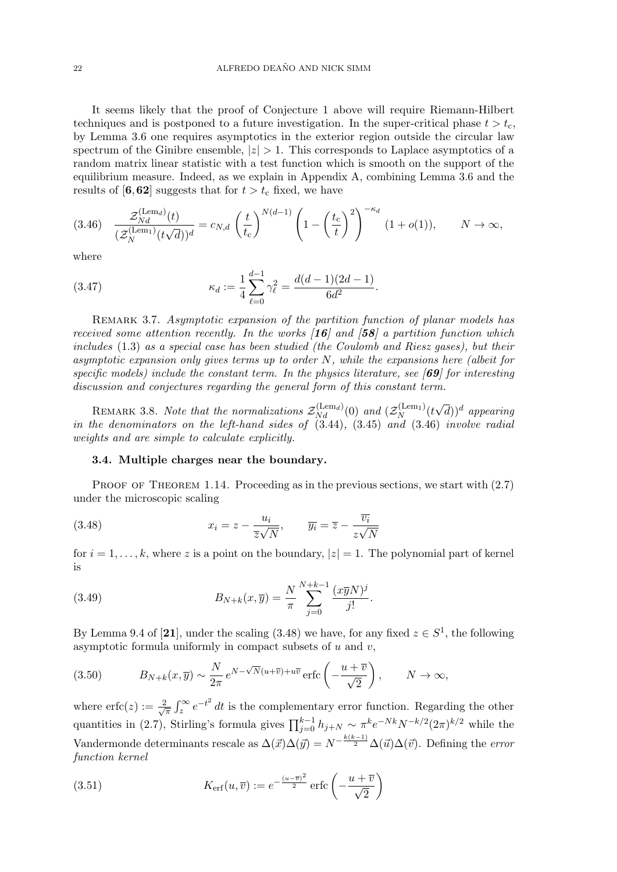It seems likely that the proof of Conjecture 1 above will require Riemann-Hilbert techniques and is postponed to a future investigation. In the super-critical phase  $t > t_c$ , by Lemma 3.6 one requires asymptotics in the exterior region outside the circular law spectrum of the Ginibre ensemble,  $|z| > 1$ . This corresponds to Laplace asymptotics of a random matrix linear statistic with a test function which is smooth on the support of the equilibrium measure. Indeed, as we explain in Appendix A, combining Lemma 3.6 and the results of [6,62] suggests that for  $t > t_c$  fixed, we have

$$
(3.46)\quad \frac{\mathcal{Z}_{Nd}^{(\text{Lem}_d)}(t)}{(\mathcal{Z}_N^{(\text{Lem}_1)}(t\sqrt{d}))^d} = c_{N,d} \left(\frac{t}{t_c}\right)^{N(d-1)} \left(1 - \left(\frac{t_c}{t}\right)^2\right)^{-\kappa_d} (1 + o(1)), \qquad N \to \infty,
$$

where

(3.47) 
$$
\kappa_d := \frac{1}{4} \sum_{\ell=0}^{d-1} \gamma_\ell^2 = \frac{d(d-1)(2d-1)}{6d^2}
$$

REMARK 3.7. Asymptotic expansion of the partition function of planar models has received some attention recently. In the works  $\vert 16 \vert$  and  $\vert 58 \vert$  a partition function which includes (1.3) as a special case has been studied (the Coulomb and Riesz gases), but their asymptotic expansion only gives terms up to order N, while the expansions here (albeit for specific models) include the constant term. In the physics literature, see  $[69]$  for interesting discussion and conjectures regarding the general form of this constant term.

.

REMARK 3.8. Note that the normalizations  $\mathcal{Z}_{Nd}^{(\text{Lem}_d)}(0)$  and  $(\mathcal{Z}_{N}^{(\text{Lem}_1)})$  $\stackrel{\cdot(\text{Lemma})}{N}(t)$  $\sqrt{d}$ )<sup>d</sup> appearing in the denominators on the left-hand sides of (3.44), (3.45) and (3.46) involve radial weights and are simple to calculate explicitly.

#### 3.4. Multiple charges near the boundary.

PROOF OF THEOREM 1.14. Proceeding as in the previous sections, we start with  $(2.7)$ under the microscopic scaling

(3.48) 
$$
x_i = z - \frac{u_i}{\overline{z}\sqrt{N}}, \qquad \overline{y_i} = \overline{z} - \frac{\overline{v_i}}{z\sqrt{N}}
$$

for  $i = 1, \ldots, k$ , where z is a point on the boundary,  $|z| = 1$ . The polynomial part of kernel is

(3.49) 
$$
B_{N+k}(x,\overline{y}) = \frac{N}{\pi} \sum_{j=0}^{N+k-1} \frac{(x\overline{y}N)^j}{j!}.
$$

By Lemma 9.4 of [21], under the scaling (3.48) we have, for any fixed  $z \in S^1$ , the following asymptotic formula uniformly in compact subsets of  $u$  and  $v$ ,

(3.50) 
$$
B_{N+k}(x,\overline{y}) \sim \frac{N}{2\pi} e^{N-\sqrt{N}(u+\overline{v})+u\overline{v}} \operatorname{erfc}\left(-\frac{u+\overline{v}}{\sqrt{2}}\right), \qquad N \to \infty,
$$

where  $erfc(z) := \frac{2}{\sqrt{2}}$  $\frac{d}{dx} \int_{z}^{\infty} e^{-t^2} dt$  is the complementary error function. Regarding the other quantities in (2.7), Stirling's formula gives  $\prod_{j=0}^{k-1} h_{j+N} \sim \pi^k e^{-Nk} N^{-k/2} (2\pi)^{k/2}$  while the Vandermonde determinants rescale as  $\Delta(\vec{x})\Delta(\vec{y}) = N^{-\frac{k(k-1)}{2}}\Delta(\vec{u})\Delta(\vec{v})$ . Defining the *error* function kernel

(3.51) 
$$
K_{\text{erf}}(u,\overline{v}) := e^{-\frac{(u-\overline{v})^2}{2}} \operatorname{erfc}\left(-\frac{u+\overline{v}}{\sqrt{2}}\right)
$$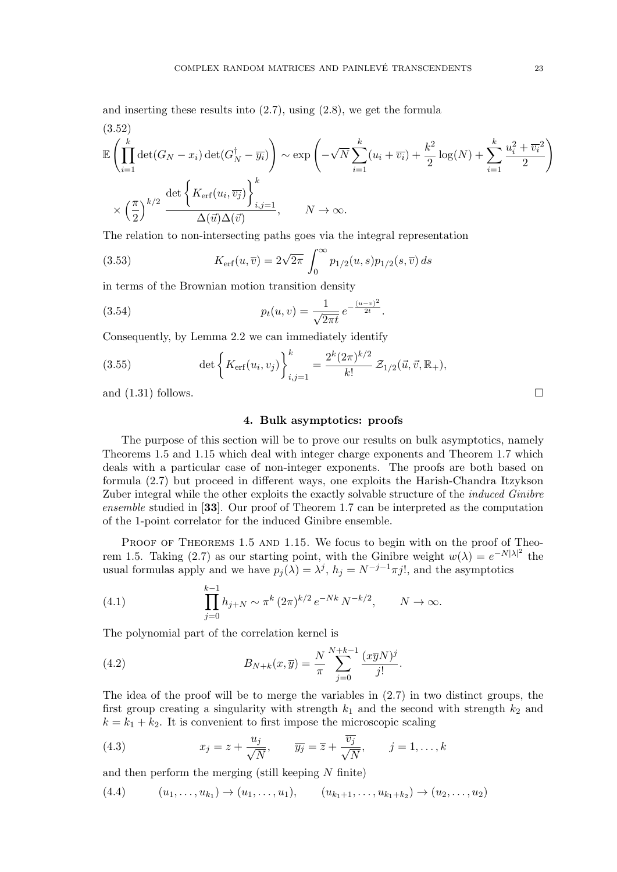and inserting these results into (2.7), using (2.8), we get the formula

$$
(3.52)
$$
  
\n
$$
\mathbb{E}\left(\prod_{i=1}^{k}\det(G_N - x_i)\det(G_N^{\dagger} - \overline{y_i})\right) \sim \exp\left(-\sqrt{N}\sum_{i=1}^{k}(u_i + \overline{v_i}) + \frac{k^2}{2}\log(N) + \sum_{i=1}^{k}\frac{u_i^2 + \overline{v_i}^2}{2}\right)
$$
  
\n
$$
\times \left(\frac{\pi}{2}\right)^{k/2} \frac{\det\left\{K_{\text{erf}}(u_i, \overline{v_j})\right\}_{i,j=1}^{k}}{\Delta(\overrightarrow{u})\Delta(\overrightarrow{v})}, \qquad N \to \infty.
$$

The relation to non-intersecting paths goes via the integral representation

(3.53) 
$$
K_{\text{erf}}(u,\overline{v}) = 2\sqrt{2\pi} \int_0^\infty p_{1/2}(u,s) p_{1/2}(s,\overline{v}) ds
$$

in terms of the Brownian motion transition density

(3.54) 
$$
p_t(u,v) = \frac{1}{\sqrt{2\pi t}} e^{-\frac{(u-v)^2}{2t}}.
$$

Consequently, by Lemma 2.2 we can immediately identify

(3.55) 
$$
\det \left\{ K_{\text{erf}}(u_i, v_j) \right\}_{i,j=1}^k = \frac{2^k (2\pi)^{k/2}}{k!} \mathcal{Z}_{1/2}(\vec{u}, \vec{v}, \mathbb{R}_+),
$$

and  $(1.31)$  follows.

#### 4. Bulk asymptotics: proofs

The purpose of this section will be to prove our results on bulk asymptotics, namely Theorems 1.5 and 1.15 which deal with integer charge exponents and Theorem 1.7 which deals with a particular case of non-integer exponents. The proofs are both based on formula (2.7) but proceed in different ways, one exploits the Harish-Chandra Itzykson Zuber integral while the other exploits the exactly solvable structure of the *induced Ginibre* ensemble studied in [33]. Our proof of Theorem 1.7 can be interpreted as the computation of the 1-point correlator for the induced Ginibre ensemble.

PROOF OF THEOREMS 1.5 AND 1.15. We focus to begin with on the proof of Theorem 1.5. Taking (2.7) as our starting point, with the Ginibre weight  $w(\lambda) = e^{-N|\lambda|^2}$  the usual formulas apply and we have  $p_j(\lambda) = \lambda^j$ ,  $h_j = N^{-j-1}\pi j!$ , and the asymptotics

(4.1) 
$$
\prod_{j=0}^{k-1} h_{j+N} \sim \pi^k (2\pi)^{k/2} e^{-Nk} N^{-k/2}, \qquad N \to \infty.
$$

The polynomial part of the correlation kernel is

(4.2) 
$$
B_{N+k}(x,\overline{y}) = \frac{N}{\pi} \sum_{j=0}^{N+k-1} \frac{(x\overline{y}N)^j}{j!}.
$$

The idea of the proof will be to merge the variables in (2.7) in two distinct groups, the first group creating a singularity with strength  $k_1$  and the second with strength  $k_2$  and  $k = k_1 + k_2$ . It is convenient to first impose the microscopic scaling

(4.3) 
$$
x_j = z + \frac{u_j}{\sqrt{N}}, \qquad \overline{y_j} = \overline{z} + \frac{\overline{v_j}}{\sqrt{N}}, \qquad j = 1, ..., k
$$

and then perform the merging (still keeping  $N$  finite)

$$
(4.4) \qquad (u_1, \ldots, u_{k_1}) \to (u_1, \ldots, u_1), \qquad (u_{k_1+1}, \ldots, u_{k_1+k_2}) \to (u_2, \ldots, u_2)
$$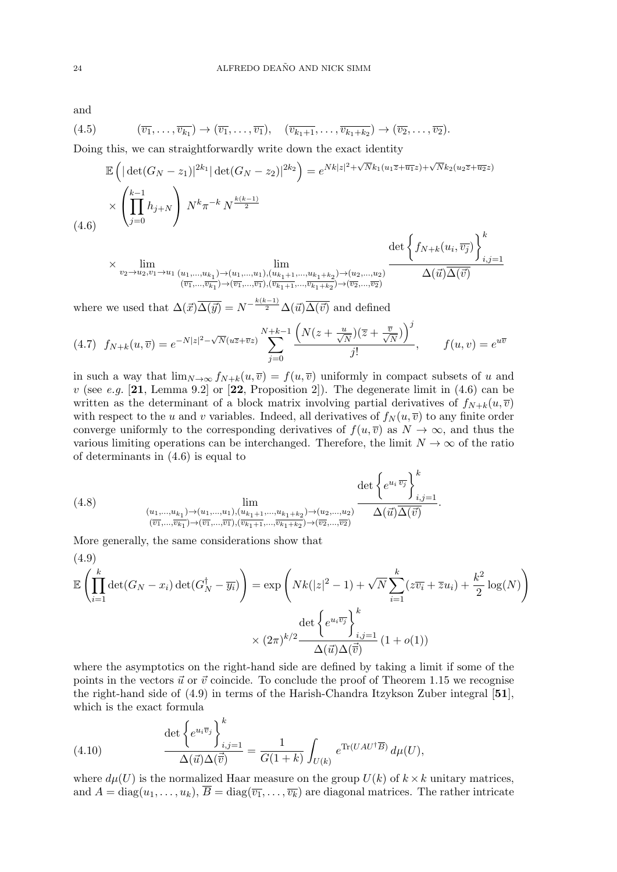and

$$
(4.5) \qquad (\overline{v_1},\ldots,\overline{v_{k_1}}) \to (\overline{v_1},\ldots,\overline{v_1}), \quad (\overline{v_{k_1+1}},\ldots,\overline{v_{k_1+k_2}}) \to (\overline{v_2},\ldots,\overline{v_2}).
$$

Doing this, we can straightforwardly write down the exact identity

$$
\mathbb{E}\left(|\det(G_N - z_1)|^{2k_1} |\det(G_N - z_2)|^{2k_2}\right) = e^{Nk|z|^2 + \sqrt{N}k_1(u_1\overline{z} + \overline{u_1}z) + \sqrt{N}k_2(u_2\overline{z} + \overline{u_2}z)}
$$
\n
$$
\times \left(\prod_{j=0}^{k-1} h_{j+N}\right) N^k \pi^{-k} N^{\frac{k(k-1)}{2}}
$$
\n(4.6)

$$
\times \lim_{v_2 \to u_2, v_1 \to u_1} \lim_{\substack{(u_1, \ldots, u_{k_1}) \to (u_1, \ldots, u_1), (u_{k_1+1}, \ldots, u_{k_1+k_2}) \to (u_2, \ldots, u_2) \\ (\overline{v_1}, \ldots, \overline{v_{k_1}}) \to (\overline{v_1}, \ldots, \overline{v_1}), (\overline{v_{k_1+1}}, \ldots, \overline{v_{k_1+k_2}}) \to (\overline{v_2}, \ldots, \overline{v_2})} \frac{\det \left\{ f_{N+k}(u_i, \overline{v_j}) \right\}}{\Delta(\vec{u}) \overline{\Delta(\vec{v})}}_{i,j=1}
$$

where we used that  $\Delta(\vec{x})\overline{\Delta(\vec{y})} = N^{-\frac{k(k-1)}{2}}\Delta(\vec{u})\overline{\Delta(\vec{v})}$  and defined

$$
(4.7) \ f_{N+k}(u,\overline{v}) = e^{-N|z|^2 - \sqrt{N}(u\overline{z} + \overline{v}z)} \sum_{j=0}^{N+k-1} \frac{\left(N(z + \frac{u}{\sqrt{N}})(\overline{z} + \frac{\overline{v}}{\sqrt{N}})\right)^j}{j!}, \qquad f(u,v) = e^{u\overline{v}}
$$

in such a way that  $\lim_{N\to\infty} f_{N+k}(u,\overline{v}) = f(u,\overline{v})$  uniformly in compact subsets of u and v (see e.g.  $[21, \text{Lemma } 9.2]$  or  $[22, \text{Proposition } 2]$ ). The degenerate limit in  $(4.6)$  can be written as the determinant of a block matrix involving partial derivatives of  $f_{N+k}(u, \overline{v})$ with respect to the u and v variables. Indeed, all derivatives of  $f_N(u, \overline{v})$  to any finite order converge uniformly to the corresponding derivatives of  $f(u, \overline{v})$  as  $N \to \infty$ , and thus the various limiting operations can be interchanged. Therefore, the limit  $N \to \infty$  of the ratio of determinants in (4.6) is equal to

(4.8) 
$$
\lim_{\substack{(u_1,\ldots,u_{k_1})\to(u_1,\ldots,u_1),(u_{k_1+1},\ldots,u_{k_1+k_2})\to(u_2,\ldots,u_2)\\(\overline{v_1},\ldots,\overline{v_{k_1}})\to(\overline{v_1},\ldots,\overline{v_1}),(\overline{v_{k_1+1}},\ldots,\overline{v_{k_1+k_2}})\to(\overline{v_2},\ldots,\overline{v_2})}} \frac{\det\left\{e^{u_i\,\overline{v_j}}\right\}_{i,j=1}^k}{\Delta(\vec{u})\Delta(\vec{v})}.
$$

More generally, the same considerations show that

$$
(4.9)
$$
\n
$$
\mathbb{E}\left(\prod_{i=1}^{k}\det(G_N - x_i)\det(G_N^{\dagger} - \overline{y_i})\right) = \exp\left(Nk(|z|^2 - 1) + \sqrt{N}\sum_{i=1}^{k}(z\overline{v_i} + \overline{z}u_i) + \frac{k^2}{2}\log(N)\right)
$$
\n
$$
\times (2\pi)^{k/2} \frac{\det\left\{e^{u_i\overline{v_j}}\right\}_{i,j=1}^{k}}{\Delta(\overrightarrow{u})\Delta(\overrightarrow{v})} (1 + o(1))
$$

where the asymptotics on the right-hand side are defined by taking a limit if some of the points in the vectors  $\vec{u}$  or  $\vec{v}$  coincide. To conclude the proof of Theorem 1.15 we recognise the right-hand side of (4.9) in terms of the Harish-Chandra Itzykson Zuber integral [51], which is the exact formula

(4.10) 
$$
\frac{\det \left\{ e^{u_i \overline{v}_j} \right\}_{i,j=1}^k}{\Delta(\vec{u}) \Delta(\vec{\vec{v}})} = \frac{1}{G(1+k)} \int_{U(k)} e^{\text{Tr}(UAU^{\dagger} \overline{B})} d\mu(U),
$$

where  $d\mu(U)$  is the normalized Haar measure on the group  $U(k)$  of  $k \times k$  unitary matrices, and  $A = diag(u_1, \ldots, u_k), \overline{B} = diag(\overline{v_1}, \ldots, \overline{v_k})$  are diagonal matrices. The rather intricate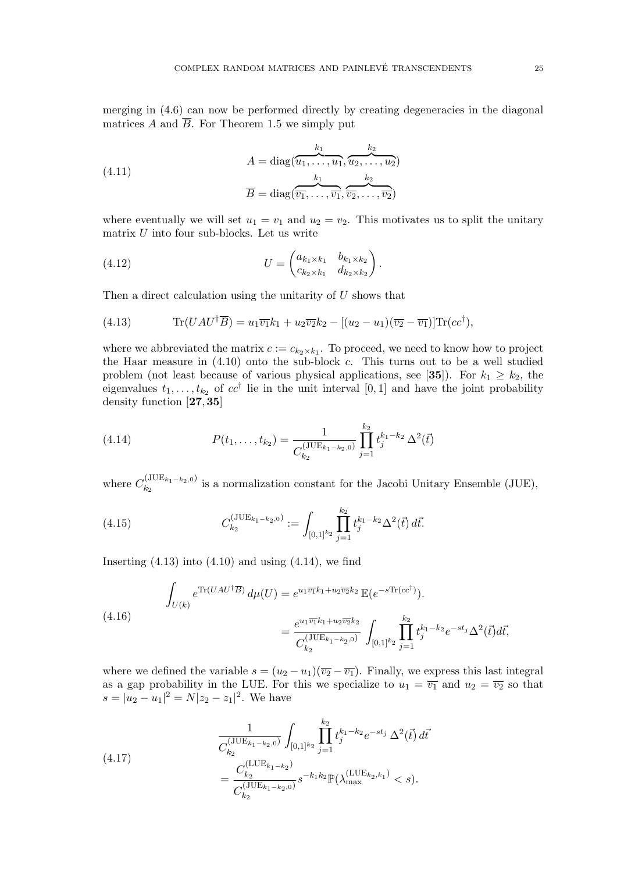merging in (4.6) can now be performed directly by creating degeneracies in the diagonal matrices A and  $\overline{B}$ . For Theorem 1.5 we simply put

(4.11)  

$$
A = \text{diag}(\overbrace{u_1, \dots, u_1}^{k_1}, \overbrace{u_2, \dots, u_2}^{k_2})
$$

$$
\overline{B} = \text{diag}(\overbrace{\overline{v_1}, \dots, \overline{v_1}}^{k_1}, \overbrace{\overline{v_2}, \dots, \overline{v_2}}^{k_2})
$$

where eventually we will set  $u_1 = v_1$  and  $u_2 = v_2$ . This motivates us to split the unitary matrix  $U$  into four sub-blocks. Let us write

(4.12) 
$$
U = \begin{pmatrix} a_{k_1 \times k_1} & b_{k_1 \times k_2} \\ c_{k_2 \times k_1} & d_{k_2 \times k_2} \end{pmatrix}.
$$

Then a direct calculation using the unitarity of U shows that

(4.13) 
$$
\text{Tr}(UAU^{\dagger}\overline{B}) = u_1\overline{v_1}k_1 + u_2\overline{v_2}k_2 - [(u_2 - u_1)(\overline{v_2} - \overline{v_1})]\text{Tr}(cc^{\dagger}),
$$

where we abbreviated the matrix  $c := c_{k_2 \times k_1}$ . To proceed, we need to know how to project the Haar measure in  $(4.10)$  onto the sub-block c. This turns out to be a well studied problem (not least because of various physical applications, see [35]). For  $k_1 \geq k_2$ , the eigenvalues  $t_1, \ldots, t_{k_2}$  of  $cc^{\dagger}$  lie in the unit interval [0, 1] and have the joint probability density function [27,35]

(4.14) 
$$
P(t_1,\ldots,t_{k_2}) = \frac{1}{C_{k_2}^{(\text{JUE}_{k_1-k_2,0})}} \prod_{j=1}^{k_2} t_j^{k_1-k_2} \Delta^2(\vec{t})
$$

where  $C_{k_2}^{(\text{JUE}_{k_1-k_2,0})}$  $\sum_{k_2}^{(0,0.2L_{k_1}-k_2,0)}$  is a normalization constant for the Jacobi Unitary Ensemble (JUE),

(4.15) 
$$
C_{k_2}^{(\text{JUE}_{k_1-k_2,0})} := \int_{[0,1]^{k_2}} \prod_{j=1}^{k_2} t_j^{k_1-k_2} \Delta^2(\vec{t}) d\vec{t}.
$$

Inserting  $(4.13)$  into  $(4.10)$  and using  $(4.14)$ , we find

(4.16) 
$$
\int_{U(k)} e^{\text{Tr}(UAU^{\dagger}\overline{B})} d\mu(U) = e^{u_1 \overline{v_1}k_1 + u_2 \overline{v_2}k_2} \mathbb{E}(e^{-s\text{Tr}(cc^{\dagger})}).
$$

$$
= \frac{e^{u_1 \overline{v_1}k_1 + u_2 \overline{v_2}k_2}}{C_{k_2}^{(\text{JUE}_{k_1 - k_2, 0})}} \int_{[0,1]^{k_2}} \prod_{j=1}^{k_2} t_j^{k_1 - k_2} e^{-st_j} \Delta^2(\vec{t}) d\vec{t},
$$

where we defined the variable  $s = (u_2 - u_1)(\overline{v_2} - \overline{v_1})$ . Finally, we express this last integral as a gap probability in the LUE. For this we specialize to  $u_1 = \overline{v_1}$  and  $u_2 = \overline{v_2}$  so that  $s = |u_2 - u_1|^2 = N|z_2 - z_1|^2$ . We have

(4.17) 
$$
\frac{1}{C_{k_2}^{(\text{JUE}_{k_1-k_2,0})}} \int_{[0,1]^{k_2}} \prod_{j=1}^{k_2} t_j^{k_1-k_2} e^{-st_j} \Delta^2(\vec{t}) d\vec{t}
$$

$$
= \frac{C_{k_2}^{(\text{LUE}_{k_1-k_2})}}{C_{k_2}^{(\text{JUE}_{k_1-k_2,0})}} s^{-k_1 k_2} \mathbb{P}(\lambda_{\text{max}}^{(\text{LUE}_{k_2,k_1})} < s).
$$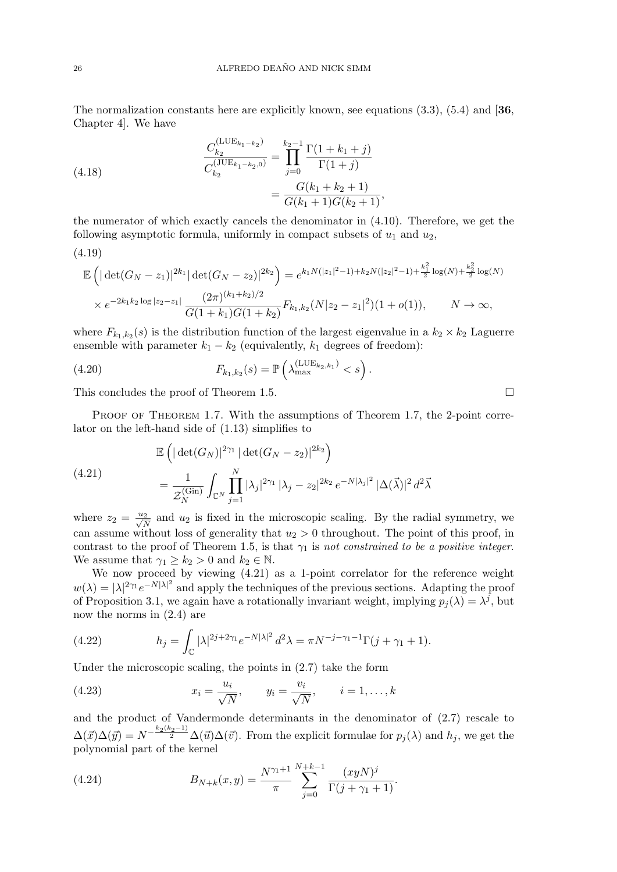The normalization constants here are explicitly known, see equations  $(3.3)$ ,  $(5.4)$  and  $[36]$ . Chapter 4]. We have

(4.18) 
$$
\frac{C_{k_2}^{(\text{LUE}_{k_1-k_2})}}{C_{k_2}^{(\text{JUE}_{k_1-k_2,0})}} = \prod_{j=0}^{k_2-1} \frac{\Gamma(1+k_1+j)}{\Gamma(1+j)} \\
= \frac{G(k_1+k_2+1)}{G(k_1+1)G(k_2+1)},
$$

the numerator of which exactly cancels the denominator in (4.10). Therefore, we get the following asymptotic formula, uniformly in compact subsets of  $u_1$  and  $u_2$ ,

$$
(4.19)
$$

$$
\mathbb{E}\left(|\det(G_N - z_1)|^{2k_1} |\det(G_N - z_2)|^{2k_2}\right) = e^{k_1 N(|z_1|^2 - 1) + k_2 N(|z_2|^2 - 1) + \frac{k_1^2}{2}\log(N) + \frac{k_2^2}{2}\log(N)}
$$
  
 
$$
\times e^{-2k_1 k_2 \log|z_2 - z_1|} \frac{(2\pi)^{(k_1 + k_2)/2}}{G(1 + k_1)G(1 + k_2)} F_{k_1, k_2}(N|z_2 - z_1|^2)(1 + o(1)), \qquad N \to \infty,
$$

where  $F_{k_1,k_2}(s)$  is the distribution function of the largest eigenvalue in a  $k_2 \times k_2$  Laguerre ensemble with parameter  $k_1 - k_2$  (equivalently,  $k_1$  degrees of freedom):

(4.20) 
$$
F_{k_1,k_2}(s) = \mathbb{P}\left(\lambda_{\max}^{(\text{LUE}_{k_2,k_1})} < s\right).
$$

This concludes the proof of Theorem 1.5.

PROOF OF THEOREM 1.7. With the assumptions of Theorem 1.7, the 2-point correlator on the left-hand side of (1.13) simplifies to

(4.21) 
$$
\mathbb{E}\left(|\det(G_N)|^{2\gamma_1} |\det(G_N - z_2)|^{2k_2}\right) = \frac{1}{\mathcal{Z}_N^{(\text{Gin})}} \int_{\mathbb{C}^N} \prod_{j=1}^N |\lambda_j|^{2\gamma_1} |\lambda_j - z_2|^{2k_2} e^{-N|\lambda_j|^2} |\Delta(\vec{\lambda})|^2 d^2\vec{\lambda}
$$

where  $z_2 = \frac{u_2}{\sqrt{N}}$  and  $u_2$  is fixed in the microscopic scaling. By the radial symmetry, we can assume without loss of generality that  $u_2 > 0$  throughout. The point of this proof, in contrast to the proof of Theorem 1.5, is that  $\gamma_1$  is not constrained to be a positive integer. We assume that  $\gamma_1 \geq k_2 > 0$  and  $k_2 \in \mathbb{N}$ .

We now proceed by viewing (4.21) as a 1-point correlator for the reference weight  $w(\lambda) = |\lambda|^{2\gamma_1} e^{-N|\lambda|^2}$  and apply the techniques of the previous sections. Adapting the proof of Proposition 3.1, we again have a rotationally invariant weight, implying  $p_j(\lambda) = \lambda^j$ , but now the norms in (2.4) are

(4.22) 
$$
h_j = \int_{\mathbb{C}} |\lambda|^{2j+2\gamma_1} e^{-N|\lambda|^2} d^2\lambda = \pi N^{-j-\gamma_1-1} \Gamma(j+\gamma_1+1).
$$

Under the microscopic scaling, the points in (2.7) take the form

(4.23) 
$$
x_i = \frac{u_i}{\sqrt{N}}, \qquad y_i = \frac{v_i}{\sqrt{N}}, \qquad i = 1, ..., k
$$

and the product of Vandermonde determinants in the denominator of (2.7) rescale to  $\Delta(\vec{x})\Delta(\vec{y}) = N^{-\frac{k_2(k_2-1)}{2}}\Delta(\vec{u})\Delta(\vec{v})$ . From the explicit formulae for  $p_j(\lambda)$  and  $h_j$ , we get the polynomial part of the kernel

(4.24) 
$$
B_{N+k}(x,y) = \frac{N^{\gamma_1+1}}{\pi} \sum_{j=0}^{N+k-1} \frac{(xyN)^j}{\Gamma(j+\gamma_1+1)}.
$$

$$
\Box
$$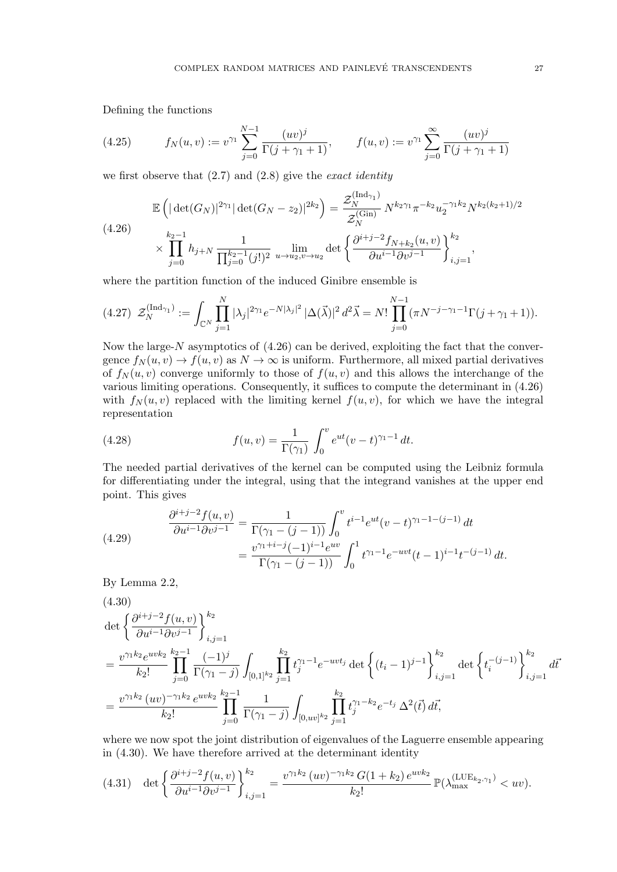Defining the functions

(4.25) 
$$
f_N(u,v) := v^{\gamma_1} \sum_{j=0}^{N-1} \frac{(uv)^j}{\Gamma(j+\gamma_1+1)}, \qquad f(u,v) := v^{\gamma_1} \sum_{j=0}^{\infty} \frac{(uv)^j}{\Gamma(j+\gamma_1+1)}
$$

we first observe that  $(2.7)$  and  $(2.8)$  give the *exact identity* 

$$
\mathbb{E}\left(|\det(G_N)|^{2\gamma_1}|\det(G_N - z_2)|^{2k_2}\right) = \frac{\mathcal{Z}_N^{\text{(Ind}_{\gamma_1})}}{\mathcal{Z}_N^{\text{(Gin)}}} N^{k_2\gamma_1} \pi^{-k_2} u_2^{-\gamma_1 k_2} N^{k_2(k_2+1)/2}
$$
\n
$$
\times \prod_{j=0}^{k_2-1} h_{j+N} \frac{1}{\prod_{j=0}^{k_2-1} (j!)^2} \lim_{u \to u_2, v \to u_2} \det\left\{\frac{\partial^{i+j-2} f_{N+k_2}(u,v)}{\partial u^{i-1} \partial v^{j-1}}\right\}_{i,j=1}^{k_2},
$$

where the partition function of the induced Ginibre ensemble is

$$
(4.27) \ \mathcal{Z}_N^{(\text{Ind}_{\gamma_1})} := \int_{\mathbb{C}^N} \prod_{j=1}^N |\lambda_j|^{2\gamma_1} e^{-N|\lambda_j|^2} |\Delta(\vec{\lambda})|^2 d^2\vec{\lambda} = N! \prod_{j=0}^{N-1} (\pi N^{-j-\gamma_1-1} \Gamma(j+\gamma_1+1)).
$$

Now the large- $N$  asymptotics of  $(4.26)$  can be derived, exploiting the fact that the convergence  $f_N(u, v) \to f(u, v)$  as  $N \to \infty$  is uniform. Furthermore, all mixed partial derivatives of  $f_N(u, v)$  converge uniformly to those of  $f(u, v)$  and this allows the interchange of the various limiting operations. Consequently, it suffices to compute the determinant in (4.26) with  $f_N(u, v)$  replaced with the limiting kernel  $f(u, v)$ , for which we have the integral representation

(4.28) 
$$
f(u,v) = \frac{1}{\Gamma(\gamma_1)} \int_0^v e^{ut} (v-t)^{\gamma_1-1} dt.
$$

The needed partial derivatives of the kernel can be computed using the Leibniz formula for differentiating under the integral, using that the integrand vanishes at the upper end point. This gives

(4.29) 
$$
\frac{\partial^{i+j-2} f(u,v)}{\partial u^{i-1} \partial v^{j-1}} = \frac{1}{\Gamma(\gamma_1 - (j-1))} \int_0^v t^{i-1} e^{ut} (v-t)^{\gamma_1 - 1 - (j-1)} dt
$$

$$
= \frac{v^{\gamma_1 + i - j} (-1)^{i-1} e^{uv}}{\Gamma(\gamma_1 - (j-1))} \int_0^1 t^{\gamma_1 - 1} e^{-uvt} (t-t)^{i-1} t^{-(j-1)} dt.
$$

By Lemma 2.2,

$$
(4.30)
$$
\n
$$
\det \left\{ \frac{\partial^{i+j-2} f(u,v)}{\partial u^{i-1} \partial v^{j-1}} \right\}_{i,j=1}^{k_2}
$$
\n
$$
= \frac{v^{\gamma_1 k_2} e^{uv k_2}}{k_2!} \prod_{j=0}^{k_2-1} \frac{(-1)^j}{\Gamma(\gamma_1 - j)} \int_{[0,1]^{k_2}} \prod_{j=1}^{k_2} t_j^{\gamma_1 - 1} e^{-uv t_j} \det \left\{ (t_i - 1)^{j-1} \right\}_{i,j=1}^{k_2} \det \left\{ t_i^{-(j-1)} \right\}_{i,j=1}^{k_2} d\vec{t}
$$
\n
$$
= \frac{v^{\gamma_1 k_2} (uv)^{-\gamma_1 k_2} e^{uv k_2}}{k_2!} \prod_{j=0}^{k_2-1} \frac{1}{\Gamma(\gamma_1 - j)} \int_{[0,uv]^{k_2}} \prod_{j=1}^{k_2} t_j^{\gamma_1 - k_2} e^{-t_j} \Delta^2(\vec{t}) d\vec{t},
$$

where we now spot the joint distribution of eigenvalues of the Laguerre ensemble appearing in (4.30). We have therefore arrived at the determinant identity

$$
(4.31) \quad \det\left\{\frac{\partial^{i+j-2}f(u,v)}{\partial u^{i-1}\partial v^{j-1}}\right\}_{i,j=1}^{k_2} = \frac{v^{\gamma_1 k_2} (uv)^{-\gamma_1 k_2} G(1+k_2) e^{uv k_2}}{k_2!} \mathbb{P}(\lambda_{\max}^{(\text{LUE}_{k_2},\gamma_1)} < uv).
$$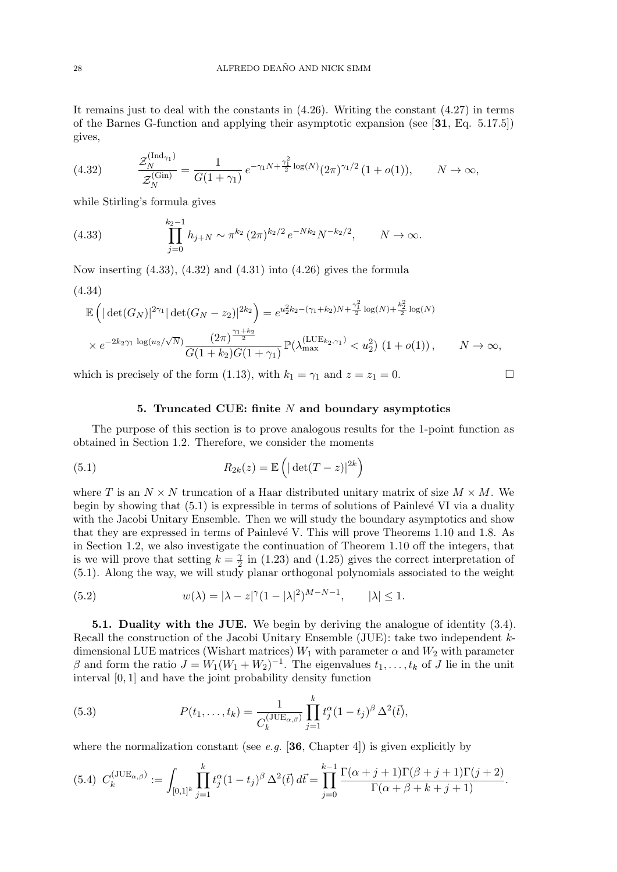It remains just to deal with the constants in  $(4.26)$ . Writing the constant  $(4.27)$  in terms of the Barnes G-function and applying their asymptotic expansion (see [31, Eq. 5.17.5]) gives,

(4.32) 
$$
\frac{\mathcal{Z}_N^{(\text{Ind}_{\gamma_1})}}{\mathcal{Z}_N^{(\text{Gin})}} = \frac{1}{G(1+\gamma_1)} e^{-\gamma_1 N + \frac{\gamma_1^2}{2} \log(N)} (2\pi)^{\gamma_1/2} (1+o(1)), \qquad N \to \infty,
$$

while Stirling's formula gives

(4.33) 
$$
\prod_{j=0}^{k_2-1} h_{j+N} \sim \pi^{k_2} (2\pi)^{k_2/2} e^{-Nk_2} N^{-k_2/2}, \qquad N \to \infty.
$$

Now inserting  $(4.33)$ ,  $(4.32)$  and  $(4.31)$  into  $(4.26)$  gives the formula

$$
(4.34)
$$

$$
\mathbb{E}\left(|\det(G_N)|^{2\gamma_1}|\det(G_N - z_2)|^{2k_2}\right) = e^{u_2^2 k_2 - (\gamma_1 + k_2)N + \frac{\gamma_1^2}{2}\log(N) + \frac{k_2^2}{2}\log(N)}
$$
  
 
$$
\times e^{-2k_2 \gamma_1 \log(u_2/\sqrt{N})} \frac{(2\pi)^{\frac{\gamma_1 + k_2}{2}}}{G(1 + k_2)G(1 + \gamma_1)} \mathbb{P}(\lambda_{\max}^{(\text{LUE}_{k_2}, \gamma_1)} < u_2^2) (1 + o(1)), \qquad N \to \infty,
$$

which is precisely of the form (1.13), with  $k_1 = \gamma_1$  and  $z = z_1 = 0$ .

#### 5. Truncated CUE: finite N and boundary asymptotics

The purpose of this section is to prove analogous results for the 1-point function as obtained in Section 1.2. Therefore, we consider the moments

(5.1) 
$$
R_{2k}(z) = \mathbb{E}\left(|\det(T-z)|^{2k}\right)
$$

where T is an  $N \times N$  truncation of a Haar distributed unitary matrix of size  $M \times M$ . We begin by showing that  $(5.1)$  is expressible in terms of solutions of Painlevé VI via a duality with the Jacobi Unitary Ensemble. Then we will study the boundary asymptotics and show that they are expressed in terms of Painlevé V. This will prove Theorems 1.10 and 1.8. As in Section 1.2, we also investigate the continuation of Theorem 1.10 off the integers, that is we will prove that setting  $k = \frac{1}{2}$  $\frac{\gamma}{2}$  in (1.23) and (1.25) gives the correct interpretation of (5.1). Along the way, we will study planar orthogonal polynomials associated to the weight

(5.2) 
$$
w(\lambda) = |\lambda - z|^{\gamma} (1 - |\lambda|^2)^{M - N - 1}, \qquad |\lambda| \le 1.
$$

5.1. Duality with the JUE. We begin by deriving the analogue of identity (3.4). Recall the construction of the Jacobi Unitary Ensemble (JUE): take two independent kdimensional LUE matrices (Wishart matrices)  $W_1$  with parameter  $\alpha$  and  $W_2$  with parameter  $\beta$  and form the ratio  $J = W_1(W_1 + W_2)^{-1}$ . The eigenvalues  $t_1, \ldots, t_k$  of J lie in the unit interval [0, 1] and have the joint probability density function

(5.3) 
$$
P(t_1, ..., t_k) = \frac{1}{C_k^{(\text{JUE}_{\alpha,\beta})}} \prod_{j=1}^k t_j^{\alpha} (1-t_j)^{\beta} \Delta^2(\vec{t}),
$$

where the normalization constant (see e.g. [36, Chapter 4]) is given explicitly by

$$
(5.4) \ \ C_k^{(JUE_{\alpha,\beta})} := \int_{[0,1]^k} \prod_{j=1}^k t_j^{\alpha} (1-t_j)^{\beta} \Delta^2(\vec{t}) \, d\vec{t} = \prod_{j=0}^{k-1} \frac{\Gamma(\alpha+j+1)\Gamma(\beta+j+1)\Gamma(j+2)}{\Gamma(\alpha+\beta+k+j+1)}.
$$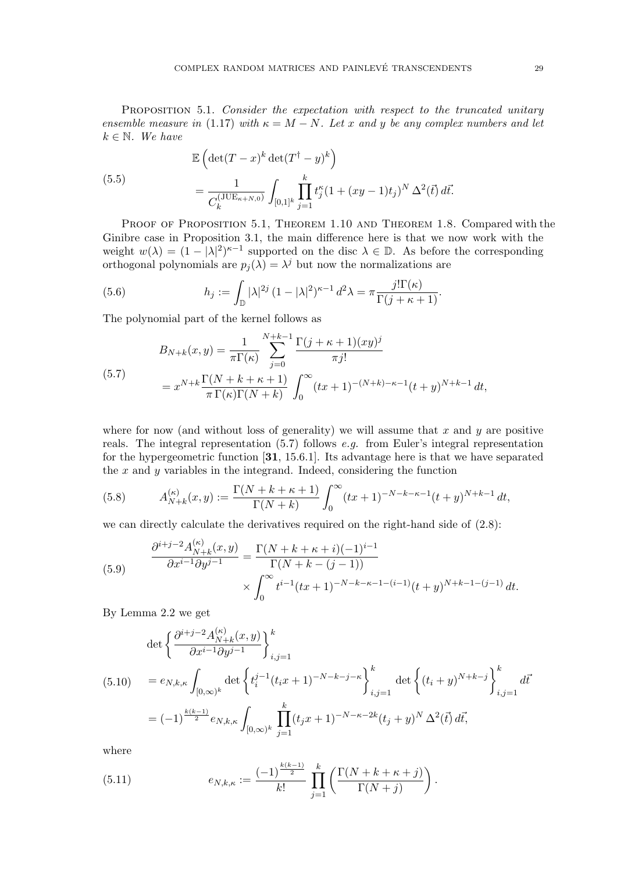PROPOSITION 5.1. Consider the expectation with respect to the truncated unitary ensemble measure in (1.17) with  $\kappa = M - N$ . Let x and y be any complex numbers and let  $k \in \mathbb{N}$ . We have

(5.5)  
\n
$$
\mathbb{E}\left(\det(T-x)^k \det(T^{\dagger}-y)^k\right)
$$
\n
$$
= \frac{1}{C_k^{(\text{JUE}_{\kappa+N,0})}} \int_{[0,1]^k} \prod_{j=1}^k t_j^{\kappa} (1+(xy-1)t_j)^N \Delta^2(\vec{t}) d\vec{t}.
$$

PROOF OF PROPOSITION 5.1, THEOREM 1.10 AND THEOREM 1.8. Compared with the Ginibre case in Proposition 3.1, the main difference here is that we now work with the weight  $w(\lambda) = (1 - |\lambda|^2)^{\kappa - 1}$  supported on the disc  $\lambda \in \mathbb{D}$ . As before the corresponding orthogonal polynomials are  $p_j(\lambda) = \lambda^j$  but now the normalizations are

(5.6) 
$$
h_j := \int_{\mathbb{D}} |\lambda|^{2j} (1 - |\lambda|^2)^{\kappa - 1} d^2 \lambda = \pi \frac{j! \Gamma(\kappa)}{\Gamma(j + \kappa + 1)}.
$$

The polynomial part of the kernel follows as

(5.7)  

$$
B_{N+k}(x,y) = \frac{1}{\pi \Gamma(\kappa)} \sum_{j=0}^{N+k-1} \frac{\Gamma(j+\kappa+1)(xy)^j}{\pi j!}
$$

$$
= x^{N+k} \frac{\Gamma(N+k+\kappa+1)}{\pi \Gamma(\kappa)\Gamma(N+k)} \int_0^\infty (tx+1)^{-(N+k)-\kappa-1}(t+y)^{N+k-1} dt,
$$

where for now (and without loss of generality) we will assume that  $x$  and  $y$  are positive reals. The integral representation (5.7) follows e.g. from Euler's integral representation for the hypergeometric function [31, 15.6.1]. Its advantage here is that we have separated the  $x$  and  $y$  variables in the integrand. Indeed, considering the function

(5.8) 
$$
A_{N+k}^{(\kappa)}(x,y) := \frac{\Gamma(N+k+\kappa+1)}{\Gamma(N+k)} \int_0^\infty (tx+1)^{-N-k-\kappa-1} (t+y)^{N+k-1} dt,
$$

we can directly calculate the derivatives required on the right-hand side of (2.8):

(5.9) 
$$
\frac{\partial^{i+j-2} A_{N+k}^{(\kappa)}(x,y)}{\partial x^{i-1} \partial y^{j-1}} = \frac{\Gamma(N+k+\kappa+i)(-1)^{i-1}}{\Gamma(N+k-(j-1))} \times \int_0^\infty t^{i-1} (tx+1)^{-N-k-\kappa-1-(i-1)} (t+y)^{N+k-1-(j-1)} dt.
$$

By Lemma 2.2 we get

$$
\det \left\{ \frac{\partial^{i+j-2} A_{N+k}^{(\kappa)}(x,y)}{\partial x^{i-1} \partial y^{j-1}} \right\}_{i,j=1}^k
$$
\n
$$
(5.10) \quad = e_{N,k,\kappa} \int_{[0,\infty)^k} \det \left\{ t_i^{j-1} (t_i x + 1)^{-N-k-j-\kappa} \right\}_{i,j=1}^k \det \left\{ (t_i + y)^{N+k-j} \right\}_{i,j=1}^k d\vec{t}
$$
\n
$$
= (-1)^{\frac{k(k-1)}{2}} e_{N,k,\kappa} \int_{[0,\infty)^k} \prod_{j=1}^k (t_j x + 1)^{-N-\kappa-2k} (t_j + y)^N \Delta^2(\vec{t}) d\vec{t},
$$

where

(5.11) 
$$
e_{N,k,\kappa} := \frac{(-1)^{\frac{k(k-1)}{2}}}{k!} \prod_{j=1}^k \left( \frac{\Gamma(N+k+\kappa+j)}{\Gamma(N+j)} \right).
$$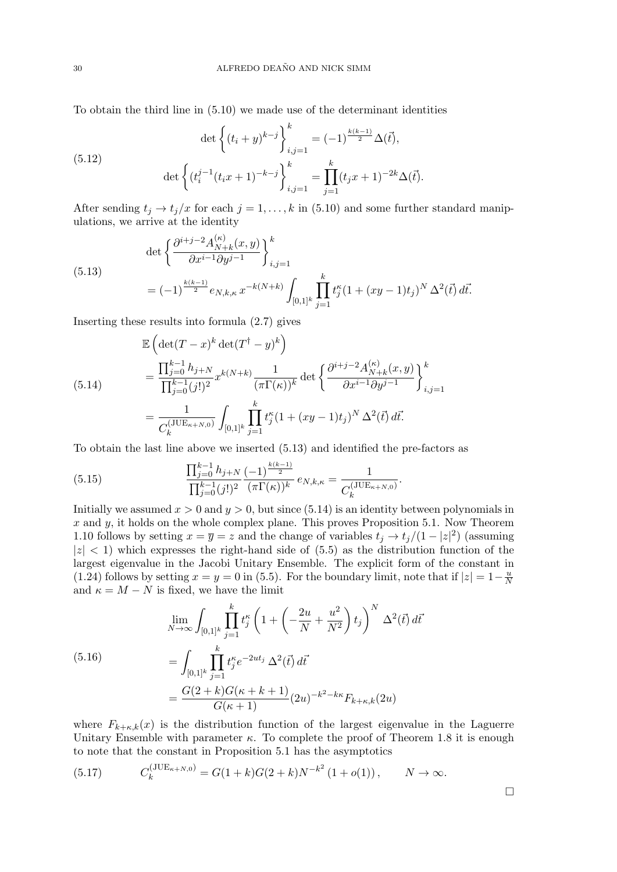To obtain the third line in (5.10) we made use of the determinant identities

(5.12) 
$$
\det \left\{ (t_i + y)^{k-j} \right\}_{i,j=1}^k = (-1)^{\frac{k(k-1)}{2}} \Delta(\vec{t}),
$$

$$
\det \left\{ (t_i^{j-1}(t_ix+1)^{-k-j} \right\}_{i,j=1}^k = \prod_{j=1}^k (t_jx+1)^{-2k} \Delta(\vec{t}).
$$

After sending  $t_j \rightarrow t_j/x$  for each  $j = 1, ..., k$  in (5.10) and some further standard manipulations, we arrive at the identity

(5.13)  
\n
$$
\det \left\{ \frac{\partial^{i+j-2} A_{N+k}^{(\kappa)}(x,y)}{\partial x^{i-1} \partial y^{j-1}} \right\}_{i,j=1}^k
$$
\n
$$
= (-1)^{\frac{k(k-1)}{2}} e_{N,k,\kappa} x^{-k(N+k)} \int_{[0,1]^k} \prod_{j=1}^k t_j^{\kappa} (1 + (xy - 1)t_j)^N \Delta^2(\vec{t}) d\vec{t}.
$$

Inserting these results into formula (2.7) gives

$$
\mathbb{E}\left(\det(T-x)^k \det(T^\dagger - y)^k\right)
$$
\n
$$
= \frac{\prod_{j=0}^{k-1} h_{j+N}}{\prod_{j=0}^{k-1} (j!)^2} x^{k(N+k)} \frac{1}{(\pi \Gamma(\kappa))^k} \det\left\{\frac{\partial^{i+j-2} A_{N+k}^{(\kappa)}(x,y)}{\partial x^{i-1} \partial y^{j-1}}\right\}_{i,j=1}^k
$$
\n
$$
= \frac{1}{C_k^{(\text{JUE}_{\kappa+N,0})}} \int_{[0,1]^k} \prod_{j=1}^k t_j^{\kappa} (1+(xy-1)t_j)^N \Delta^2(\vec{t}) d\vec{t}.
$$

To obtain the last line above we inserted (5.13) and identified the pre-factors as

(5.15) 
$$
\frac{\prod_{j=0}^{k-1} h_{j+N}}{\prod_{j=0}^{k-1} (j!)^2} \frac{(-1)^{\frac{k(k-1)}{2}}}{(\pi \Gamma(\kappa))^{k}} e_{N,k,\kappa} = \frac{1}{C_k^{(\text{JUE}_{\kappa+N,0})}}.
$$

Initially we assumed  $x > 0$  and  $y > 0$ , but since (5.14) is an identity between polynomials in  $x$  and  $y$ , it holds on the whole complex plane. This proves Proposition 5.1. Now Theorem 1.10 follows by setting  $x = \overline{y} = z$  and the change of variables  $t_j \rightarrow t_j/(1 - |z|^2)$  (assuming  $|z|$  < 1) which expresses the right-hand side of (5.5) as the distribution function of the largest eigenvalue in the Jacobi Unitary Ensemble. The explicit form of the constant in (1.24) follows by setting  $x = y = 0$  in (5.5). For the boundary limit, note that if  $|z| = 1 - \frac{u}{N}$ N and  $\kappa = M - N$  is fixed, we have the limit

(5.16)  
\n
$$
\lim_{N \to \infty} \int_{[0,1]^k} \prod_{j=1}^k t_j^{\kappa} \left( 1 + \left( -\frac{2u}{N} + \frac{u^2}{N^2} \right) t_j \right)^N \Delta^2(\vec{t}) d\vec{t}
$$
\n
$$
= \int_{[0,1]^k} \prod_{j=1}^k t_j^{\kappa} e^{-2ut_j} \Delta^2(\vec{t}) d\vec{t}
$$
\n
$$
= \frac{G(2+k)G(\kappa + k + 1)}{G(\kappa + 1)} (2u)^{-k^2 - k\kappa} F_{k+\kappa,k}(2u)
$$

where  $F_{k+\kappa,k}(x)$  is the distribution function of the largest eigenvalue in the Laguerre Unitary Ensemble with parameter  $\kappa$ . To complete the proof of Theorem 1.8 it is enough to note that the constant in Proposition 5.1 has the asymptotics

(5.17) 
$$
C_k^{(\text{JUE}_{\kappa+N,0})} = G(1+k)G(2+k)N^{-k^2}(1+o(1)), \qquad N \to \infty.
$$

 $\Box$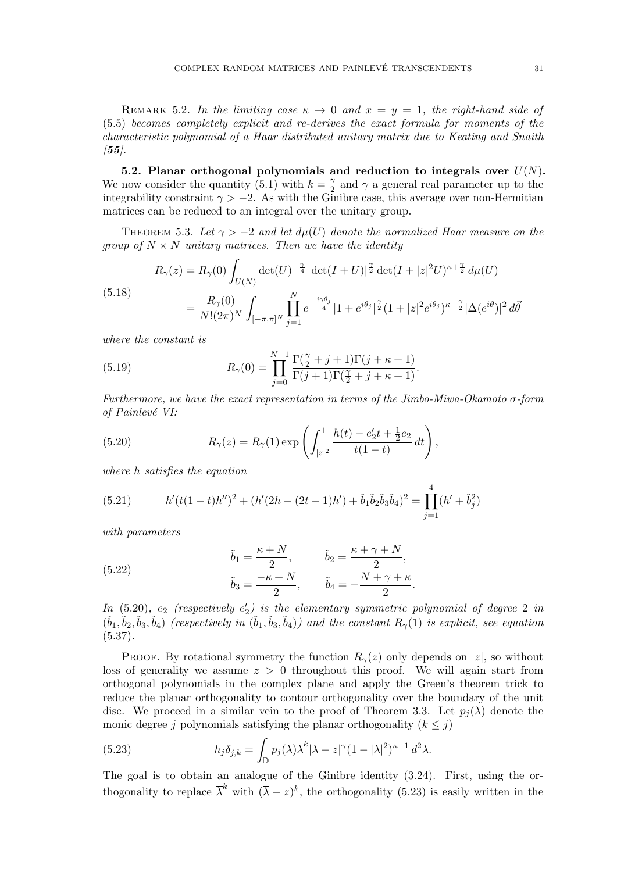REMARK 5.2. In the limiting case  $\kappa \to 0$  and  $x = y = 1$ , the right-hand side of (5.5) becomes completely explicit and re-derives the exact formula for moments of the characteristic polynomial of a Haar distributed unitary matrix due to Keating and Snaith  $(55)$ .

5.2. Planar orthogonal polynomials and reduction to integrals over  $U(N)$ . We now consider the quantity (5.1) with  $k=\frac{\gamma}{2}$  $\frac{\gamma}{2}$  and  $\gamma$  a general real parameter up to the integrability constraint  $\gamma > -2$ . As with the Ginibre case, this average over non-Hermitian matrices can be reduced to an integral over the unitary group.

THEOREM 5.3. Let  $\gamma > -2$  and let  $d\mu(U)$  denote the normalized Haar measure on the group of  $N \times N$  unitary matrices. Then we have the identity

$$
R_{\gamma}(z) = R_{\gamma}(0) \int_{U(N)} \det(U)^{-\frac{\gamma}{4}} |\det(I+U)|^{\frac{\gamma}{2}} \det(I+|z|^2 U)^{\kappa + \frac{\gamma}{2}} d\mu(U)
$$
  
(5.18)
$$
= \frac{R_{\gamma}(0)}{N!(2\pi)^N} \int_{[-\pi,\pi]^N} \prod_{j=1}^N e^{-\frac{i\gamma \theta_j}{4}} |1+e^{i\theta_j}|^{\frac{\gamma}{2}} (1+|z|^2 e^{i\theta_j})^{\kappa + \frac{\gamma}{2}} |\Delta(e^{i\theta})|^2 d\vec{\theta}
$$

where the constant is

(5.19) 
$$
R_{\gamma}(0) = \prod_{j=0}^{N-1} \frac{\Gamma(\frac{\gamma}{2}+j+1)\Gamma(j+\kappa+1)}{\Gamma(j+1)\Gamma(\frac{\gamma}{2}+j+\kappa+1)}.
$$

Furthermore, we have the exact representation in terms of the Jimbo-Miwa-Okamoto σ-form of Painlevé VI:

(5.20) 
$$
R_{\gamma}(z) = R_{\gamma}(1) \exp \left( \int_{|z|^2}^{1} \frac{h(t) - e_2' t + \frac{1}{2} e_2}{t(1-t)} dt \right),
$$

where h satisfies the equation

(5.21) 
$$
h'(t(1-t)h'')^{2} + (h'(2h - (2t-1)h') + \tilde{b}_{1}\tilde{b}_{2}\tilde{b}_{3}\tilde{b}_{4})^{2} = \prod_{j=1}^{4} (h' + \tilde{b}_{j}^{2})
$$

with parameters

(5.22) 
$$
\tilde{b}_1 = \frac{\kappa + N}{2}, \qquad \tilde{b}_2 = \frac{\kappa + \gamma + N}{2},
$$

$$
\tilde{b}_3 = \frac{-\kappa + N}{2}, \qquad \tilde{b}_4 = -\frac{N + \gamma + \kappa}{2}.
$$

 $In (5.20), e_2$  (respectively  $e'_2$ ) is the elementary symmetric polynomial of degree 2 in  $(\tilde{b}_1, \tilde{b}_2, \tilde{b}_3, \tilde{b}_4)$  (respectively in  $(\tilde{b}_1, \tilde{b}_3, \tilde{b}_4)$ ) and the constant  $R_\gamma(1)$  is explicit, see equation  $(5.37).$ 

PROOF. By rotational symmetry the function  $R_{\gamma}(z)$  only depends on  $|z|$ , so without loss of generality we assume  $z > 0$  throughout this proof. We will again start from orthogonal polynomials in the complex plane and apply the Green's theorem trick to reduce the planar orthogonality to contour orthogonality over the boundary of the unit disc. We proceed in a similar vein to the proof of Theorem 3.3. Let  $p_i(\lambda)$  denote the monic degree j polynomials satisfying the planar orthogonality  $(k \leq j)$ 

(5.23) 
$$
h_j \delta_{j,k} = \int_{\mathbb{D}} p_j(\lambda) \overline{\lambda}^k |\lambda - z|^\gamma (1 - |\lambda|^2)^{\kappa - 1} d^2 \lambda.
$$

The goal is to obtain an analogue of the Ginibre identity (3.24). First, using the orthogonality to replace  $\overline{\lambda}^k$  with  $(\overline{\lambda} - z)^k$ , the orthogonality (5.23) is easily written in the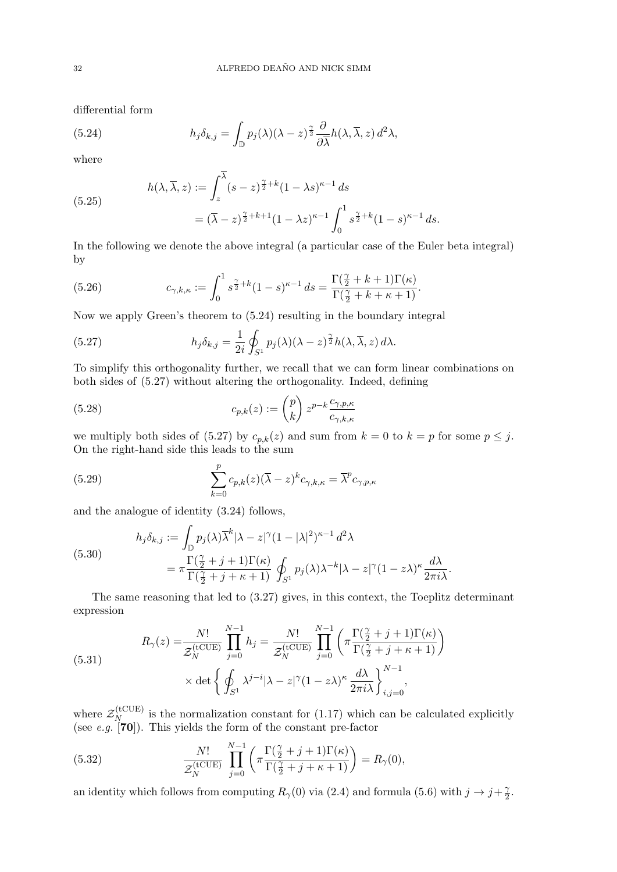differential form

(5.24) 
$$
h_j \delta_{k,j} = \int_{\mathbb{D}} p_j(\lambda) (\lambda - z)^{\frac{\gamma}{2}} \frac{\partial}{\partial \overline{\lambda}} h(\lambda, \overline{\lambda}, z) d^2 \lambda,
$$

where

(5.25)  

$$
h(\lambda, \overline{\lambda}, z) := \int_{z}^{\lambda} (s - z)^{\frac{\gamma}{2} + k} (1 - \lambda s)^{\kappa - 1} ds
$$

$$
= (\overline{\lambda} - z)^{\frac{\gamma}{2} + k + 1} (1 - \lambda z)^{\kappa - 1} \int_{0}^{1} s^{\frac{\gamma}{2} + k} (1 - s)^{\kappa - 1} ds.
$$

In the following we denote the above integral (a particular case of the Euler beta integral) by

(5.26) 
$$
c_{\gamma,k,\kappa} := \int_0^1 s^{\frac{\gamma}{2}+k} (1-s)^{\kappa-1} ds = \frac{\Gamma(\frac{\gamma}{2}+k+1)\Gamma(\kappa)}{\Gamma(\frac{\gamma}{2}+k+\kappa+1)}.
$$

Now we apply Green's theorem to (5.24) resulting in the boundary integral

(5.27) 
$$
h_j \delta_{k,j} = \frac{1}{2i} \oint_{S^1} p_j(\lambda) (\lambda - z)^{\frac{\gamma}{2}} h(\lambda, \overline{\lambda}, z) d\lambda.
$$

To simplify this orthogonality further, we recall that we can form linear combinations on both sides of (5.27) without altering the orthogonality. Indeed, defining

(5.28) 
$$
c_{p,k}(z) := \binom{p}{k} z^{p-k} \frac{c_{\gamma,p,\kappa}}{c_{\gamma,k,\kappa}}
$$

we multiply both sides of (5.27) by  $c_{p,k}(z)$  and sum from  $k = 0$  to  $k = p$  for some  $p \leq j$ . On the right-hand side this leads to the sum

(5.29) 
$$
\sum_{k=0}^{p} c_{p,k}(z) (\overline{\lambda} - z)^k c_{\gamma,k,\kappa} = \overline{\lambda}^p c_{\gamma,p,\kappa}
$$

and the analogue of identity (3.24) follows,

(5.30)  

$$
h_j \delta_{k,j} := \int_{\mathbb{D}} p_j(\lambda) \overline{\lambda}^k |\lambda - z|^\gamma (1 - |\lambda|^2)^{\kappa - 1} d^2 \lambda
$$

$$
= \pi \frac{\Gamma(\frac{\gamma}{2} + j + 1)\Gamma(\kappa)}{\Gamma(\frac{\gamma}{2} + j + \kappa + 1)} \oint_{S^1} p_j(\lambda) \lambda^{-k} |\lambda - z|^\gamma (1 - z\lambda)^\kappa \frac{d\lambda}{2\pi i \lambda}.
$$

The same reasoning that led to (3.27) gives, in this context, the Toeplitz determinant expression

(5.31) 
$$
R_{\gamma}(z) = \frac{N!}{\mathcal{Z}_{N}^{(\text{tCUE})}} \prod_{j=0}^{N-1} h_{j} = \frac{N!}{\mathcal{Z}_{N}^{(\text{tCUE})}} \prod_{j=0}^{N-1} \left( \pi \frac{\Gamma(\frac{\gamma}{2} + j + 1)\Gamma(\kappa)}{\Gamma(\frac{\gamma}{2} + j + \kappa + 1)} \right) \times \det \left\{ \oint_{S^{1}} \lambda^{j-i} |\lambda - z|^{\gamma} (1 - z\lambda)^{\kappa} \frac{d\lambda}{2\pi i\lambda} \right\}_{i,j=0}^{N-1},
$$

where  $\mathcal{Z}_N^{(\text{tCUE})}$  $N_{N}^{(\text{UCUE})}$  is the normalization constant for (1.17) which can be calculated explicitly (see e.g.  $[70]$ ). This yields the form of the constant pre-factor

(5.32) 
$$
\frac{N!}{\mathcal{Z}_N^{(\text{tCUE})}} \prod_{j=0}^{N-1} \left( \pi \frac{\Gamma(\frac{\gamma}{2} + j + 1)\Gamma(\kappa)}{\Gamma(\frac{\gamma}{2} + j + \kappa + 1)} \right) = R_{\gamma}(0),
$$

an identity which follows from computing  $R_{\gamma}(0)$  via (2.4) and formula (5.6) with  $j \to j+\frac{\gamma}{2}$  $\frac{\gamma}{2}.$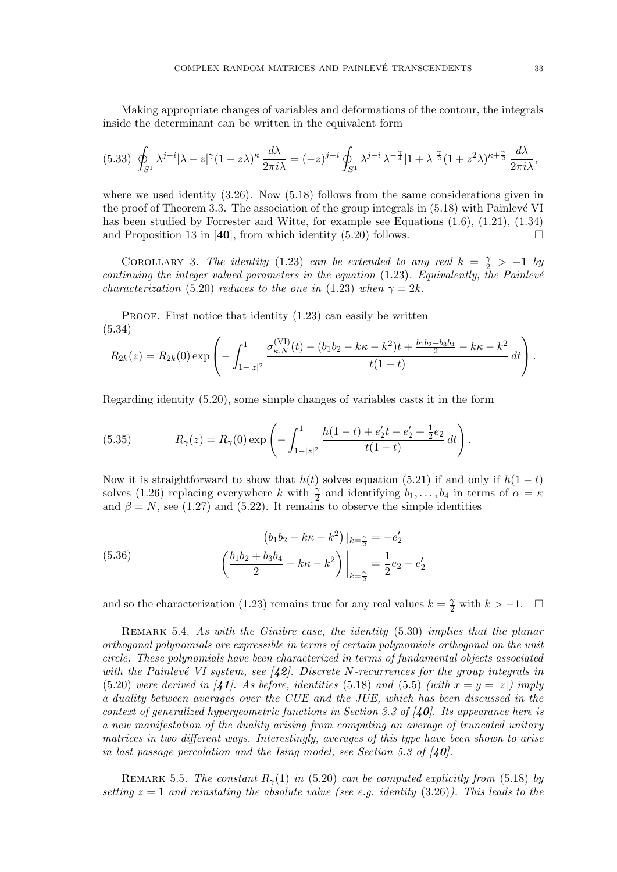Making appropriate changes of variables and deformations of the contour, the integrals inside the determinant can be written in the equivalent form

$$
(5.33)\ \oint_{S^1} \lambda^{j-i} |\lambda - z|^{\gamma} (1 - z\lambda)^{\kappa} \frac{d\lambda}{2\pi i\lambda} = (-z)^{j-i} \oint_{S^1} \lambda^{j-i} \lambda^{-\frac{\gamma}{4}} |1 + \lambda|^{\frac{\gamma}{2}} (1 + z^2\lambda)^{\kappa + \frac{\gamma}{2}} \frac{d\lambda}{2\pi i\lambda},
$$

where we used identity  $(3.26)$ . Now  $(5.18)$  follows from the same considerations given in the proof of Theorem 3.3. The association of the group integrals in  $(5.18)$  with Painlevé VI has been studied by Forrester and Witte, for example see Equations  $(1.6)$ ,  $(1.21)$ ,  $(1.34)$ and Proposition 13 in [40], from which identity (5.20) follows.  $\square$ 

COROLLARY 3. The identity (1.23) can be extended to any real  $k = \frac{\gamma}{2} > -1$  by continuing the integer valued parameters in the equation  $(1.23)$ . Equivalently, the Painlevé characterization (5.20) reduces to the one in (1.23) when  $\gamma = 2k$ .

PROOF. First notice that identity  $(1.23)$  can easily be written (5.34)

$$
R_{2k}(z) = R_{2k}(0) \exp\left(-\int_{1-|z|^2}^1 \frac{\sigma_{\kappa,N}^{(\mathrm{VI})}(t) - (b_1b_2 - k\kappa - k^2)t + \frac{b_1b_2 + b_3b_4}{2} - k\kappa - k^2}{t(1-t)} dt\right).
$$

Regarding identity (5.20), some simple changes of variables casts it in the form

(5.35) 
$$
R_{\gamma}(z) = R_{\gamma}(0) \exp \left(-\int_{1-|z|^2}^{1} \frac{h(1-t) + e_2' t - e_2' + \frac{1}{2} e_2}{t(1-t)} dt\right).
$$

Now it is straightforward to show that  $h(t)$  solves equation (5.21) if and only if  $h(1-t)$ solves (1.26) replacing everywhere k with  $\frac{\gamma}{2}$  and identifying  $b_1, \ldots, b_4$  in terms of  $\alpha = \kappa$ and  $\beta = N$ , see (1.27) and (5.22). It remains to observe the simple identities

(5.36) 
$$
(b_1b_2 - k\kappa - k^2)|_{k=\frac{\gamma}{2}} = -e'_2
$$

$$
\left(\frac{b_1b_2 + b_3b_4}{2} - k\kappa - k^2\right)\Big|_{k=\frac{\gamma}{2}} = \frac{1}{2}e_2 - e'_2
$$

and so the characterization (1.23) remains true for any real values  $k = \frac{\gamma}{2}$  with  $k > -1$ .  $\Box$ 

REMARK 5.4. As with the Ginibre case, the identity  $(5.30)$  implies that the planar orthogonal polynomials are expressible in terms of certain polynomials orthogonal on the unit circle. These polynomials have been characterized in terms of fundamental objects associated with the Painlevé VI system, see  $\langle 42 \rangle$ . Discrete N-recurrences for the group integrals in (5.20) were derived in [41]. As before, identities (5.18) and (5.5) (with  $x = y = |z|$ ) imply a duality between averages over the CUE and the JUE, which has been discussed in the context of generalized hypergeometric functions in Section 3.3 of  $\mathcal{A}0$ . Its appearance here is a new manifestation of the duality arising from computing an average of truncated unitary matrices in two different ways. Interestingly, averages of this type have been shown to arise in last passage percolation and the Ising model, see Section 5.3 of  $\mathcal{A}0$ .

REMARK 5.5. The constant  $R_{\gamma}(1)$  in (5.20) can be computed explicitly from (5.18) by setting  $z = 1$  and reinstating the absolute value (see e.g. identity (3.26)). This leads to the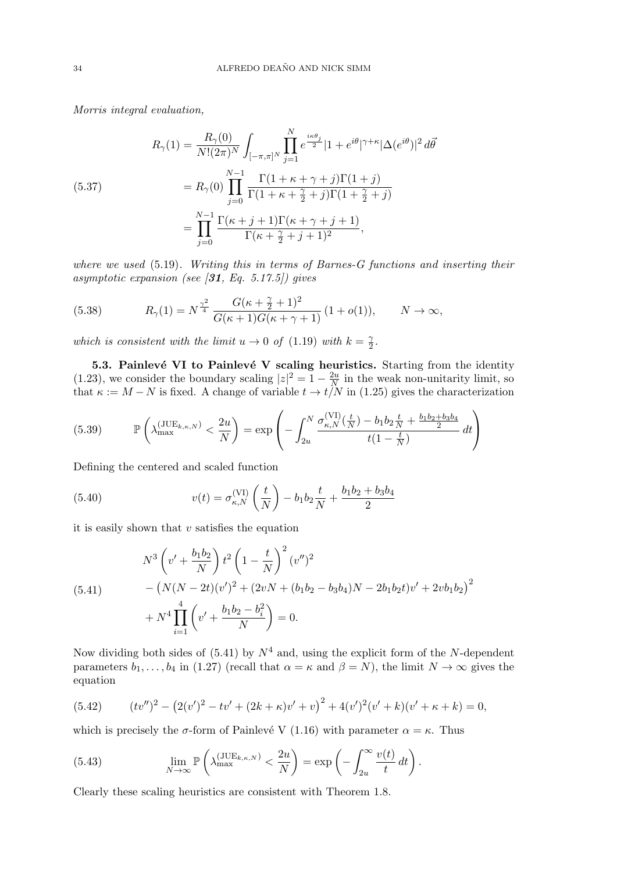Morris integral evaluation,

(5.37)  
\n
$$
R_{\gamma}(1) = \frac{R_{\gamma}(0)}{N!(2\pi)^N} \int_{[-\pi,\pi]^N} \prod_{j=1}^N e^{\frac{i\kappa\theta_j}{2}} |1 + e^{i\theta}|^{\gamma+\kappa} |\Delta(e^{i\theta})|^2 d\bar{\theta}
$$
\n
$$
= R_{\gamma}(0) \prod_{j=0}^{N-1} \frac{\Gamma(1+\kappa+\gamma+j)\Gamma(1+j)}{\Gamma(1+\kappa+\frac{\gamma}{2}+j)\Gamma(1+\frac{\gamma}{2}+j)}
$$
\n
$$
= \prod_{j=0}^{N-1} \frac{\Gamma(\kappa+j+1)\Gamma(\kappa+\gamma+j+1)}{\Gamma(\kappa+\frac{\gamma}{2}+j+1)^2},
$$

where we used (5.19). Writing this in terms of Barnes-G functions and inserting their asymptotic expansion (see  $\left(31, Eq. 5.17.5\right)$ ) gives

(5.38) 
$$
R_{\gamma}(1) = N^{\frac{\gamma^2}{4}} \frac{G(\kappa + \frac{\gamma}{2} + 1)^2}{G(\kappa + 1)G(\kappa + \gamma + 1)} (1 + o(1)), \qquad N \to \infty,
$$

which is consistent with the limit  $u \to 0$  of (1.19) with  $k = \frac{\gamma}{2}$  $\frac{\gamma}{2}$  .

5.3. Painlevé VI to Painlevé V scaling heuristics. Starting from the identity (1.23), we consider the boundary scaling  $|z|^2 = 1 - \frac{2u}{N}$  $\frac{2u}{N}$  in the weak non-unitarity limit, so that  $\kappa := M - N$  is fixed. A change of variable  $t \to t/N$  in (1.25) gives the characterization

$$
(5.39) \qquad \mathbb{P}\left(\lambda_{\max}^{(JUE_{k,\kappa,N})} < \frac{2u}{N}\right) = \exp\left(-\int_{2u}^{N} \frac{\sigma_{\kappa,N}^{(VI)}(\frac{t}{N}) - b_1 b_2 \frac{t}{N} + \frac{b_1 b_2 + b_3 b_4}{2}}{t(1 - \frac{t}{N})} dt\right)
$$

Defining the centered and scaled function

(5.40) 
$$
v(t) = \sigma_{\kappa,N}^{(\text{VI})} \left( \frac{t}{N} \right) - b_1 b_2 \frac{t}{N} + \frac{b_1 b_2 + b_3 b_4}{2}
$$

it is easily shown that  $v$  satisfies the equation

(5.41) 
$$
N^3 \left(v' + \frac{b_1 b_2}{N}\right) t^2 \left(1 - \frac{t}{N}\right)^2 (v'')^2 - \left(N(N - 2t)(v')^2 + (2vN + (b_1 b_2 - b_3 b_4)N - 2b_1 b_2 t)v' + 2v b_1 b_2\right)^2 + N^4 \prod_{i=1}^4 \left(v' + \frac{b_1 b_2 - b_i^2}{N}\right) = 0.
$$

Now dividing both sides of  $(5.41)$  by  $N^4$  and, using the explicit form of the N-dependent parameters  $b_1, \ldots, b_4$  in (1.27) (recall that  $\alpha = \kappa$  and  $\beta = N$ ), the limit  $N \to \infty$  gives the equation

(5.42) 
$$
(tv'')^{2} - (2(v')^{2} - tv' + (2k + \kappa)v' + v)^{2} + 4(v')^{2}(v' + k)(v' + \kappa + k) = 0,
$$

which is precisely the  $\sigma$ -form of Painlevé V (1.16) with parameter  $\alpha = \kappa$ . Thus

(5.43) 
$$
\lim_{N \to \infty} \mathbb{P}\left(\lambda_{\max}^{(\text{JUE}_{k,\kappa,N})} < \frac{2u}{N}\right) = \exp\left(-\int_{2u}^{\infty} \frac{v(t)}{t} dt\right).
$$

Clearly these scaling heuristics are consistent with Theorem 1.8.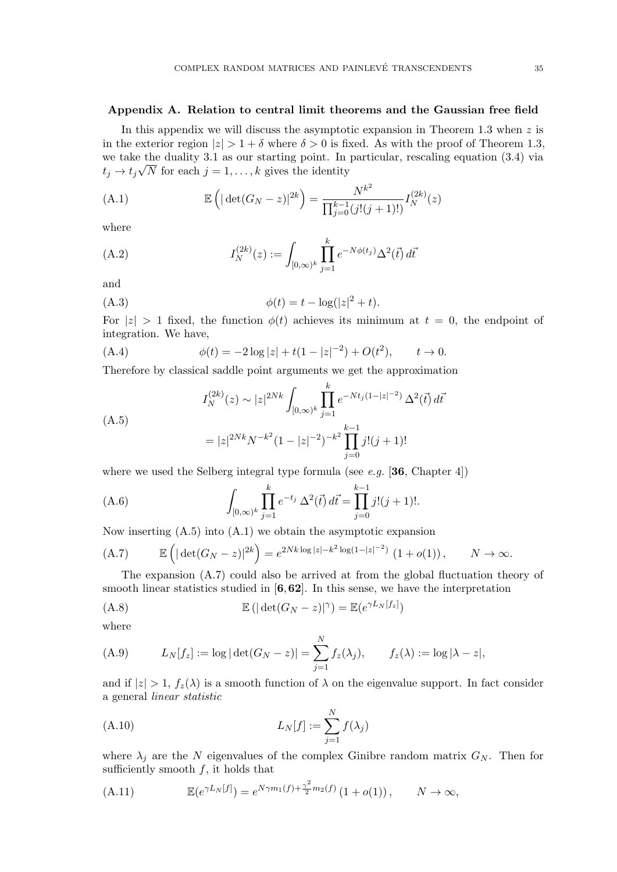#### Appendix A. Relation to central limit theorems and the Gaussian free field

In this appendix we will discuss the asymptotic expansion in Theorem 1.3 when  $z$  is in the exterior region  $|z| > 1 + \delta$  where  $\delta > 0$  is fixed. As with the proof of Theorem 1.3, we take the duality 3.1 as our starting point. In particular, rescaling equation  $(3.4)$  via  $t_j \to t_j \sqrt{N}$  for each  $j = 1, \ldots, k$  gives the identity

(A.1) 
$$
\mathbb{E}\left(|\det(G_N - z)|^{2k}\right) = \frac{N^{k^2}}{\prod_{j=0}^{k-1} (j!(j+1)!)} I_N^{(2k)}(z)
$$

where

(A.2) 
$$
I_N^{(2k)}(z) := \int_{[0,\infty)^k} \prod_{j=1}^k e^{-N\phi(t_j)} \Delta^2(\vec{t}) d\vec{t}
$$

and

(A.3) 
$$
\phi(t) = t - \log(|z|^2 + t).
$$

For  $|z| > 1$  fixed, the function  $\phi(t)$  achieves its minimum at  $t = 0$ , the endpoint of integration. We have,

(A.4) 
$$
\phi(t) = -2\log|z| + t(1-|z|^{-2}) + O(t^2), \qquad t \to 0.
$$

Therefore by classical saddle point arguments we get the approximation

$$
I_N^{(2k)}(z) \sim |z|^{2Nk} \int_{[0,\infty)^k} \prod_{j=1}^k e^{-Nt_j(1-|z|^{-2})} \Delta^2(\vec{t}) d\vec{t}
$$
  
(A.5)  

$$
= |z|^{2Nk} N^{-k^2} (1-|z|^{-2})^{-k^2} \prod_{j=0}^{k-1} j!(j+1)!
$$

where we used the Selberg integral type formula (see e.g.  $[36, Chapter 4]$ )

(A.6) 
$$
\int_{[0,\infty)^k} \prod_{j=1}^k e^{-t_j} \Delta^2(\vec{t}) d\vec{t} = \prod_{j=0}^{k-1} j!(j+1)!.
$$

Now inserting (A.5) into (A.1) we obtain the asymptotic expansion

(A.7) 
$$
\mathbb{E}\left(|\det(G_N - z)|^{2k}\right) = e^{2Nk\log|z| - k^2\log(1 - |z|^{-2})} (1 + o(1)), \qquad N \to \infty.
$$

The expansion (A.7) could also be arrived at from the global fluctuation theory of smooth linear statistics studied in  $[6,62]$ . In this sense, we have the interpretation

$$
(A.8) \t\t\t\t\mathbb{E}(|\det(G_N - z)|^{\gamma}) = \mathbb{E}(e^{\gamma L_N[f_z]})
$$

where

(A.9) 
$$
L_N[f_z] := \log |\det(G_N - z)| = \sum_{j=1}^N f_z(\lambda_j), \qquad f_z(\lambda) := \log |\lambda - z|,
$$

and if  $|z| > 1$ ,  $f_z(\lambda)$  is a smooth function of  $\lambda$  on the eigenvalue support. In fact consider a general linear statistic

(A.10) 
$$
L_N[f] := \sum_{j=1}^N f(\lambda_j)
$$

where  $\lambda_i$  are the N eigenvalues of the complex Ginibre random matrix  $G_N$ . Then for sufficiently smooth  $f$ , it holds that

(A.11) 
$$
\mathbb{E}(e^{\gamma L_N[f]}) = e^{N\gamma m_1(f) + \frac{\gamma^2}{2}m_2(f)} (1 + o(1)), \qquad N \to \infty,
$$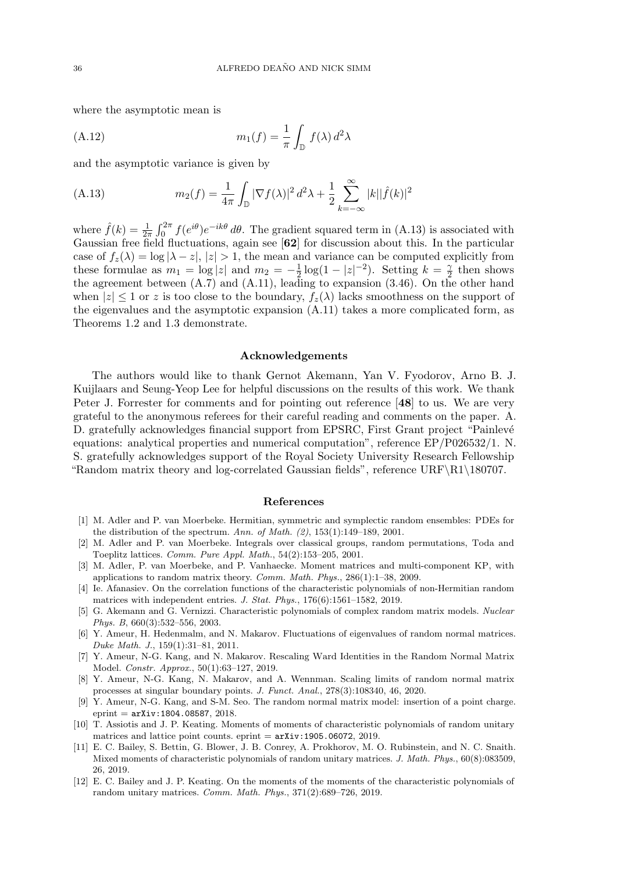where the asymptotic mean is

(A.12) 
$$
m_1(f) = \frac{1}{\pi} \int_{\mathbb{D}} f(\lambda) d^2 \lambda
$$

and the asymptotic variance is given by

(A.13) 
$$
m_2(f) = \frac{1}{4\pi} \int_{\mathbb{D}} |\nabla f(\lambda)|^2 d^2 \lambda + \frac{1}{2} \sum_{k=-\infty}^{\infty} |k||\hat{f}(k)|^2
$$

where  $\hat{f}(k) = \frac{1}{2\pi} \int_0^{2\pi} f(e^{i\theta}) e^{-ik\theta} d\theta$ . The gradient squared term in (A.13) is associated with Gaussian free field fluctuations, again see [62] for discussion about this. In the particular case of  $f_z(\lambda) = \log |\lambda - z|, |z| > 1$ , the mean and variance can be computed explicitly from these formulae as  $m_1 = \log |z|$  and  $m_2 = -\frac{1}{2}$  $\frac{1}{2}\log(1-|z|^{-2})$ . Setting  $k=\frac{\gamma}{2}$  $\frac{\gamma}{2}$  then shows the agreement between (A.7) and (A.11), leading to expansion (3.46). On the other hand when  $|z| \leq 1$  or z is too close to the boundary,  $f_z(\lambda)$  lacks smoothness on the support of the eigenvalues and the asymptotic expansion (A.11) takes a more complicated form, as Theorems 1.2 and 1.3 demonstrate.

#### Acknowledgements

The authors would like to thank Gernot Akemann, Yan V. Fyodorov, Arno B. J. Kuijlaars and Seung-Yeop Lee for helpful discussions on the results of this work. We thank Peter J. Forrester for comments and for pointing out reference [48] to us. We are very grateful to the anonymous referees for their careful reading and comments on the paper. A. D. gratefully acknowledges financial support from EPSRC, First Grant project "Painlevé equations: analytical properties and numerical computation", reference EP/P026532/1. N. S. gratefully acknowledges support of the Royal Society University Research Fellowship "Random matrix theory and log-correlated Gaussian fields", reference  $\text{URF}\R1\180707$ .

#### References

- [1] M. Adler and P. van Moerbeke. Hermitian, symmetric and symplectic random ensembles: PDEs for the distribution of the spectrum. Ann. of Math.  $(2)$ , 153(1):149-189, 2001.
- [2] M. Adler and P. van Moerbeke. Integrals over classical groups, random permutations, Toda and Toeplitz lattices. Comm. Pure Appl. Math., 54(2):153–205, 2001.
- [3] M. Adler, P. van Moerbeke, and P. Vanhaecke. Moment matrices and multi-component KP, with applications to random matrix theory. Comm. Math. Phys., 286(1):1–38, 2009.
- [4] Ie. Afanasiev. On the correlation functions of the characteristic polynomials of non-Hermitian random matrices with independent entries. J. Stat. Phys., 176(6):1561–1582, 2019.
- [5] G. Akemann and G. Vernizzi. Characteristic polynomials of complex random matrix models. Nuclear Phys. B, 660(3):532–556, 2003.
- [6] Y. Ameur, H. Hedenmalm, and N. Makarov. Fluctuations of eigenvalues of random normal matrices. Duke Math. J., 159(1):31–81, 2011.
- [7] Y. Ameur, N-G. Kang, and N. Makarov. Rescaling Ward Identities in the Random Normal Matrix Model. Constr. Approx., 50(1):63–127, 2019.
- [8] Y. Ameur, N-G. Kang, N. Makarov, and A. Wennman. Scaling limits of random normal matrix processes at singular boundary points. J. Funct. Anal., 278(3):108340, 46, 2020.
- [9] Y. Ameur, N-G. Kang, and S-M. Seo. The random normal matrix model: insertion of a point charge.  $eprint = arXiv:1804.08587, 2018.$
- [10] T. Assiotis and J. P. Keating. Moments of moments of characteristic polynomials of random unitary matrices and lattice point counts. eprint  $=$   $arXiv:1905.06072, 2019$ .
- [11] E. C. Bailey, S. Bettin, G. Blower, J. B. Conrey, A. Prokhorov, M. O. Rubinstein, and N. C. Snaith. Mixed moments of characteristic polynomials of random unitary matrices. J. Math. Phys., 60(8):083509, 26, 2019.
- [12] E. C. Bailey and J. P. Keating. On the moments of the moments of the characteristic polynomials of random unitary matrices. Comm. Math. Phys., 371(2):689–726, 2019.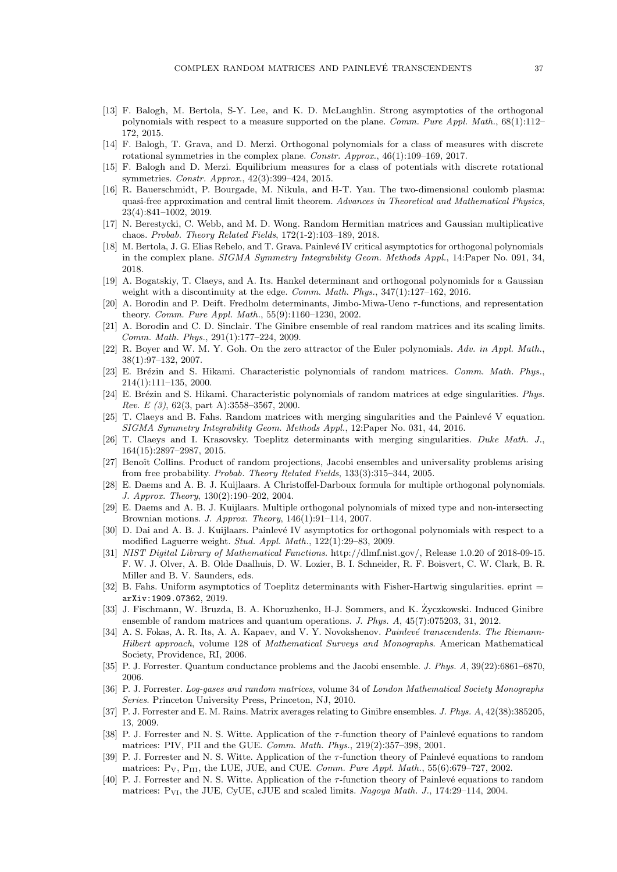- [13] F. Balogh, M. Bertola, S-Y. Lee, and K. D. McLaughlin. Strong asymptotics of the orthogonal polynomials with respect to a measure supported on the plane. Comm. Pure Appl. Math.,  $68(1):112-$ 172, 2015.
- [14] F. Balogh, T. Grava, and D. Merzi. Orthogonal polynomials for a class of measures with discrete rotational symmetries in the complex plane. Constr. Approx., 46(1):109–169, 2017.
- [15] F. Balogh and D. Merzi. Equilibrium measures for a class of potentials with discrete rotational symmetries. Constr. Approx., 42(3):399–424, 2015.
- [16] R. Bauerschmidt, P. Bourgade, M. Nikula, and H-T. Yau. The two-dimensional coulomb plasma: quasi-free approximation and central limit theorem. Advances in Theoretical and Mathematical Physics, 23(4):841–1002, 2019.
- [17] N. Berestycki, C. Webb, and M. D. Wong. Random Hermitian matrices and Gaussian multiplicative chaos. Probab. Theory Related Fields, 172(1-2):103–189, 2018.
- [18] M. Bertola, J. G. Elias Rebelo, and T. Grava. Painlevé IV critical asymptotics for orthogonal polynomials in the complex plane. SIGMA Symmetry Integrability Geom. Methods Appl., 14:Paper No. 091, 34, 2018.
- [19] A. Bogatskiy, T. Claeys, and A. Its. Hankel determinant and orthogonal polynomials for a Gaussian weight with a discontinuity at the edge. Comm. Math. Phys., 347(1):127-162, 2016.
- [20] A. Borodin and P. Deift. Fredholm determinants, Jimbo-Miwa-Ueno τ -functions, and representation theory. Comm. Pure Appl. Math., 55(9):1160–1230, 2002.
- [21] A. Borodin and C. D. Sinclair. The Ginibre ensemble of real random matrices and its scaling limits. Comm. Math. Phys., 291(1):177–224, 2009.
- [22] R. Boyer and W. M. Y. Goh. On the zero attractor of the Euler polynomials. Adv. in Appl. Math., 38(1):97–132, 2007.
- [23] E. Brézin and S. Hikami. Characteristic polynomials of random matrices. Comm. Math. Phys., 214(1):111–135, 2000.
- [24] E. Brézin and S. Hikami. Characteristic polynomials of random matrices at edge singularities. Phys. Rev. E  $(3)$ , 62 $(3,$  part A):3558-3567, 2000.
- [25] T. Claeys and B. Fahs. Random matrices with merging singularities and the Painlevé V equation. SIGMA Symmetry Integrability Geom. Methods Appl., 12:Paper No. 031, 44, 2016.
- [26] T. Claeys and I. Krasovsky. Toeplitz determinants with merging singularities. Duke Math. J., 164(15):2897–2987, 2015.
- [27] Benoît Collins. Product of random projections, Jacobi ensembles and universality problems arising from free probability. Probab. Theory Related Fields, 133(3):315–344, 2005.
- [28] E. Daems and A. B. J. Kuijlaars. A Christoffel-Darboux formula for multiple orthogonal polynomials. J. Approx. Theory, 130(2):190–202, 2004.
- [29] E. Daems and A. B. J. Kuijlaars. Multiple orthogonal polynomials of mixed type and non-intersecting Brownian motions. J. Approx. Theory, 146(1):91–114, 2007.
- [30] D. Dai and A. B. J. Kuijlaars. Painlevé IV asymptotics for orthogonal polynomials with respect to a modified Laguerre weight. Stud. Appl. Math., 122(1):29–83, 2009.
- [31] NIST Digital Library of Mathematical Functions. http://dlmf.nist.gov/, Release 1.0.20 of 2018-09-15. F. W. J. Olver, A. B. Olde Daalhuis, D. W. Lozier, B. I. Schneider, R. F. Boisvert, C. W. Clark, B. R. Miller and B. V. Saunders, eds.
- [32] B. Fahs. Uniform asymptotics of Toeplitz determinants with Fisher-Hartwig singularities. eprint = arXiv:1909.07362, 2019.
- [33] J. Fischmann, W. Bruzda, B. A. Khoruzhenko, H-J. Sommers, and K. Zyczkowski. Induced Ginibre ensemble of random matrices and quantum operations. J. Phys. A, 45(7):075203, 31, 2012.
- [34] A. S. Fokas, A. R. Its, A. A. Kapaev, and V. Y. Novokshenov. Painlevé transcendents. The Riemann-Hilbert approach, volume 128 of Mathematical Surveys and Monographs. American Mathematical Society, Providence, RI, 2006.
- [35] P. J. Forrester. Quantum conductance problems and the Jacobi ensemble. J. Phys. A, 39(22):6861–6870, 2006.
- [36] P. J. Forrester. Log-gases and random matrices, volume 34 of London Mathematical Society Monographs Series. Princeton University Press, Princeton, NJ, 2010.
- [37] P. J. Forrester and E. M. Rains. Matrix averages relating to Ginibre ensembles. J. Phys. A, 42(38):385205, 13, 2009.
- [38] P. J. Forrester and N. S. Witte. Application of the  $\tau$ -function theory of Painlevé equations to random matrices: PIV, PII and the GUE. Comm. Math. Phys., 219(2):357–398, 2001.
- [39] P. J. Forrester and N. S. Witte. Application of the  $\tau$ -function theory of Painlevé equations to random matrices:  $P_V$ ,  $P_{III}$ , the LUE, JUE, and CUE. *Comm. Pure Appl. Math.*, 55(6):679–727, 2002.
- [40] P. J. Forrester and N. S. Witte. Application of the  $\tau$ -function theory of Painlevé equations to random matrices:  $P_{VI}$ , the JUE, CyUE, cJUE and scaled limits. Nagoya Math. J., 174:29–114, 2004.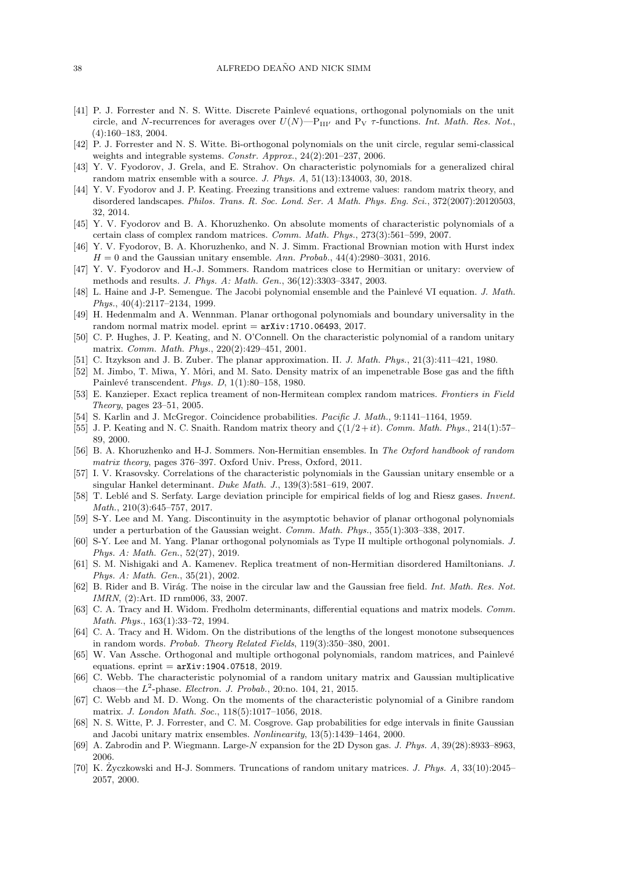- [41] P. J. Forrester and N. S. Witte. Discrete Painlevé equations, orthogonal polynomials on the unit circle, and N-recurrences for averages over  $U(N)$ —P<sub>III'</sub> and P<sub>V</sub>  $\tau$ -functions. Int. Math. Res. Not. (4):160–183, 2004.
- [42] P. J. Forrester and N. S. Witte. Bi-orthogonal polynomials on the unit circle, regular semi-classical weights and integrable systems. Constr. Approx., 24(2):201-237, 2006.
- [43] Y. V. Fyodorov, J. Grela, and E. Strahov. On characteristic polynomials for a generalized chiral random matrix ensemble with a source. J. Phys. A, 51(13):134003, 30, 2018.
- [44] Y. V. Fyodorov and J. P. Keating. Freezing transitions and extreme values: random matrix theory, and disordered landscapes. Philos. Trans. R. Soc. Lond. Ser. A Math. Phys. Eng. Sci., 372(2007):20120503, 32, 2014.
- [45] Y. V. Fyodorov and B. A. Khoruzhenko. On absolute moments of characteristic polynomials of a certain class of complex random matrices. Comm. Math. Phys., 273(3):561–599, 2007.
- [46] Y. V. Fyodorov, B. A. Khoruzhenko, and N. J. Simm. Fractional Brownian motion with Hurst index  $H = 0$  and the Gaussian unitary ensemble. Ann. Probab., 44(4):2980-3031, 2016.
- [47] Y. V. Fyodorov and H.-J. Sommers. Random matrices close to Hermitian or unitary: overview of methods and results. J. Phys. A: Math. Gen., 36(12):3303–3347, 2003.
- [48] L. Haine and J-P. Semengue. The Jacobi polynomial ensemble and the Painlevé VI equation. J. Math. Phys., 40(4):2117–2134, 1999.
- [49] H. Hedenmalm and A. Wennman. Planar orthogonal polynomials and boundary universality in the random normal matrix model. eprint  $=$   $arXiv:1710.06493, 2017$ .
- [50] C. P. Hughes, J. P. Keating, and N. O'Connell. On the characteristic polynomial of a random unitary matrix. Comm. Math. Phys., 220(2):429–451, 2001.
- [51] C. Itzykson and J. B. Zuber. The planar approximation. II. *J. Math. Phys.*, 21(3):411-421, 1980.
- [52] M. Jimbo, T. Miwa, Y. Môri, and M. Sato. Density matrix of an impenetrable Bose gas and the fifth Painlevé transcendent. Phys. D, 1(1):80-158, 1980.
- [53] E. Kanzieper. Exact replica treament of non-Hermitean complex random matrices. Frontiers in Field Theory, pages 23–51, 2005.
- [54] S. Karlin and J. McGregor. Coincidence probabilities. Pacific J. Math., 9:1141–1164, 1959.
- [55] J. P. Keating and N. C. Snaith. Random matrix theory and  $\zeta(1/2 + it)$ . Comm. Math. Phys., 214(1):57– 89, 2000.
- [56] B. A. Khoruzhenko and H-J. Sommers. Non-Hermitian ensembles. In The Oxford handbook of random matrix theory, pages 376–397. Oxford Univ. Press, Oxford, 2011.
- [57] I. V. Krasovsky. Correlations of the characteristic polynomials in the Gaussian unitary ensemble or a singular Hankel determinant. Duke Math. J., 139(3):581–619, 2007.
- [58] T. Leblé and S. Serfaty. Large deviation principle for empirical fields of log and Riesz gases. *Invent.* Math., 210(3):645–757, 2017.
- [59] S-Y. Lee and M. Yang. Discontinuity in the asymptotic behavior of planar orthogonal polynomials under a perturbation of the Gaussian weight. Comm. Math. Phys., 355(1):303–338, 2017.
- [60] S-Y. Lee and M. Yang. Planar orthogonal polynomials as Type II multiple orthogonal polynomials. J. Phys. A: Math. Gen., 52(27), 2019.
- [61] S. M. Nishigaki and A. Kamenev. Replica treatment of non-Hermitian disordered Hamiltonians. J. Phys. A: Math. Gen., 35(21), 2002.
- [62] B. Rider and B. Virág. The noise in the circular law and the Gaussian free field. Int. Math. Res. Not. IMRN, (2):Art. ID rnm006, 33, 2007.
- [63] C. A. Tracy and H. Widom. Fredholm determinants, differential equations and matrix models. Comm. Math. Phys., 163(1):33–72, 1994.
- [64] C. A. Tracy and H. Widom. On the distributions of the lengths of the longest monotone subsequences in random words. Probab. Theory Related Fields, 119(3):350–380, 2001.
- [65] W. Van Assche. Orthogonal and multiple orthogonal polynomials, random matrices, and Painlevé equations. eprint  $=$   $arXiv:1904.07518$ , 2019.
- [66] C. Webb. The characteristic polynomial of a random unitary matrix and Gaussian multiplicative chaos—the  $L^2$ -phase. Electron. J. Probab., 20:no. 104, 21, 2015.
- [67] C. Webb and M. D. Wong. On the moments of the characteristic polynomial of a Ginibre random matrix. J. London Math. Soc., 118(5):1017–1056, 2018.
- [68] N. S. Witte, P. J. Forrester, and C. M. Cosgrove. Gap probabilities for edge intervals in finite Gaussian and Jacobi unitary matrix ensembles. Nonlinearity, 13(5):1439–1464, 2000.
- [69] A. Zabrodin and P. Wiegmann. Large-N expansion for the 2D Dyson gas. J. Phys. A, 39(28):8933–8963, 2006.
- [70] K. Zyczkowski and H-J. Sommers. Truncations of random unitary matrices. ˙ J. Phys. A, 33(10):2045– 2057, 2000.